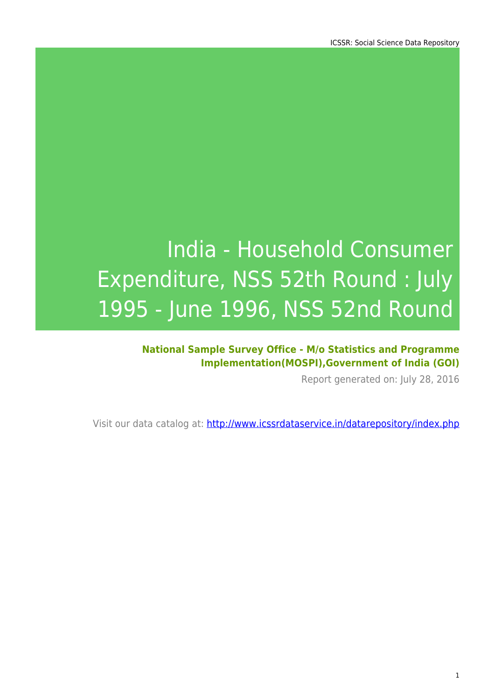# India - Household Consumer Expenditure, NSS 52th Round : July 1995 - June 1996, NSS 52nd Round

#### **National Sample Survey Office - M/o Statistics and Programme Implementation(MOSPI),Government of India (GOI)**

Report generated on: July 28, 2016

Visit our data catalog at: http://www.icssrdataservice.in/datarepository/index.php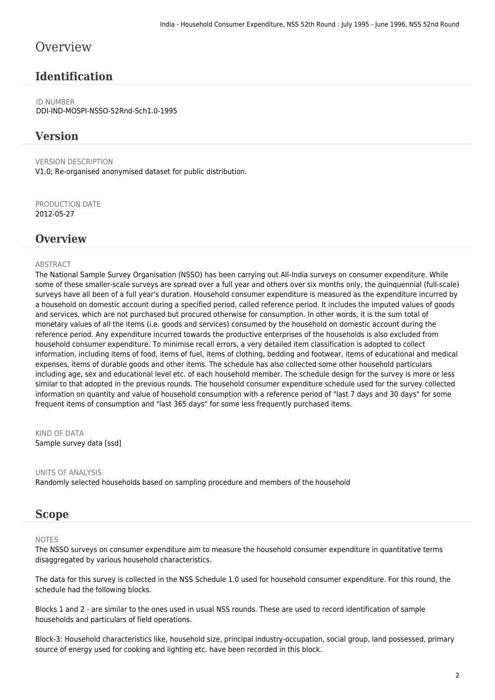#### **Overview**

#### **Identification**

ID NUMBER DDI-IND-MOSPI-NSSO-52Rnd-Sch1.0-1995

#### **Version**

VERSION DESCRIPTION V1.0; Re-organised anonymised dataset for public distribution.

PRODUCTION DATE 2012-05-27

#### **Overview**

#### **ABSTRACT**

The National Sample Survey Organisation (NSSO) has been carrying out All-India surveys on consumer expenditure. While some of these smaller-scale surveys are spread over a full year and others over six months only, the quinquennial (full-scale) surveys have all been of a full year's duration. Household consumer expenditure is measured as the expenditure incurred by a household on domestic account during a specified period, called reference period. It includes the imputed values of goods and services, which are not purchased but procured otherwise for consumption. In other words, it is the sum total of monetary values of all the items (i.e. goods and services) consumed by the household on domestic account during the reference period. Any expenditure incurred towards the productive enterprises of the households is also excluded from household consumer expenditure. To minimise recall errors, a very detailed item classification is adopted to collect information, including items of food, items of fuel, items of clothing, bedding and footwear, items of educational and medical expenses, items of durable goods and other items. The schedule has also collected some other household particulars including age, sex and educational level etc. of each household member. The schedule design for the survey is more or less similar to that adopted in the previous rounds. The household consumer expenditure schedule used for the survey collected information on quantity and value of household consumption with a reference period of "last 7 days and 30 days" for some frequent items of consumption and "last 365 days" for some less frequently purchased items.

KIND OF DATA Sample survey data [ssd]

#### UNITS OF ANALYSIS

Randomly selected households based on sampling procedure and members of the household

#### **Scope**

#### **NOTES**

The NSSO surveys on consumer expenditure aim to measure the household consumer expenditure in quantitative terms disaggregated by various household characteristics.

The data for this survey is collected in the NSS Schedule 1.0 used for household consumer expenditure. For this round, the schedule had the following blocks.

Blocks 1 and 2 - are similar to the ones used in usual NSS rounds. These are used to record identification of sample households and particulars of field operations.

Block-3: Household characteristics like, household size, principal industry-occupation, social group, land possessed, primary source of energy used for cooking and lighting etc. have been recorded in this block.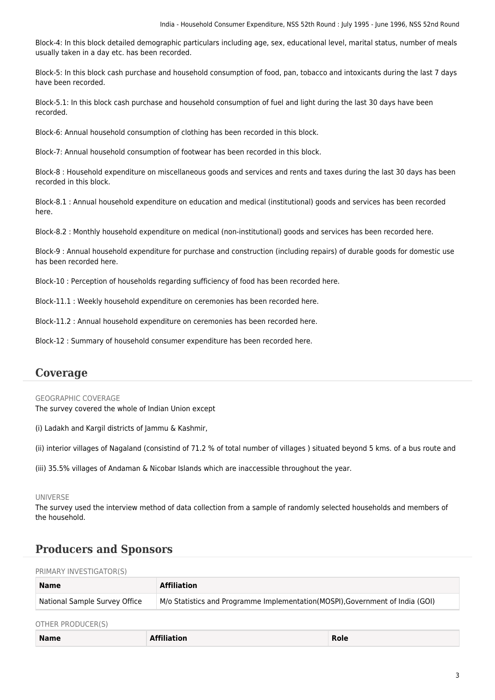Block-4: In this block detailed demographic particulars including age, sex, educational level, marital status, number of meals usually taken in a day etc. has been recorded.

Block-5: In this block cash purchase and household consumption of food, pan, tobacco and intoxicants during the last 7 days have been recorded.

Block-5.1: In this block cash purchase and household consumption of fuel and light during the last 30 days have been recorded.

Block-6: Annual household consumption of clothing has been recorded in this block.

Block-7: Annual household consumption of footwear has been recorded in this block.

Block-8 : Household expenditure on miscellaneous goods and services and rents and taxes during the last 30 days has been recorded in this block.

Block-8.1 : Annual household expenditure on education and medical (institutional) goods and services has been recorded here.

Block-8.2 : Monthly household expenditure on medical (non-institutional) goods and services has been recorded here.

Block-9 : Annual household expenditure for purchase and construction (including repairs) of durable goods for domestic use has been recorded here.

Block-10 : Perception of households regarding sufficiency of food has been recorded here.

Block-11.1 : Weekly household expenditure on ceremonies has been recorded here.

Block-11.2 : Annual household expenditure on ceremonies has been recorded here.

Block-12 : Summary of household consumer expenditure has been recorded here.

#### **Coverage**

#### GEOGRAPHIC COVERAGE

The survey covered the whole of Indian Union except

(i) Ladakh and Kargil districts of Jammu & Kashmir,

(ii) interior villages of Nagaland (consistind of 71.2 % of total number of villages ) situated beyond 5 kms. of a bus route and

(iii) 35.5% villages of Andaman & Nicobar Islands which are inaccessible throughout the year.

#### UNIVERSE

The survey used the interview method of data collection from a sample of randomly selected households and members of the household.

#### **Producers and Sponsors**

#### PRIMARY INVESTIGATOR(S)

| <b>Name</b>                     | <b>Affiliation</b>                                                            |
|---------------------------------|-------------------------------------------------------------------------------|
| I National Sample Survey Office | M/o Statistics and Programme Implementation(MOSPI), Government of India (GOI) |

#### OTHER PRODUCER(S)

| .<br><b>Name</b><br>Role<br>----<br>™lon<br>____<br>the contract of the contract of the contract of the contract of the contract of the contract of the contract of |  |
|---------------------------------------------------------------------------------------------------------------------------------------------------------------------|--|
|---------------------------------------------------------------------------------------------------------------------------------------------------------------------|--|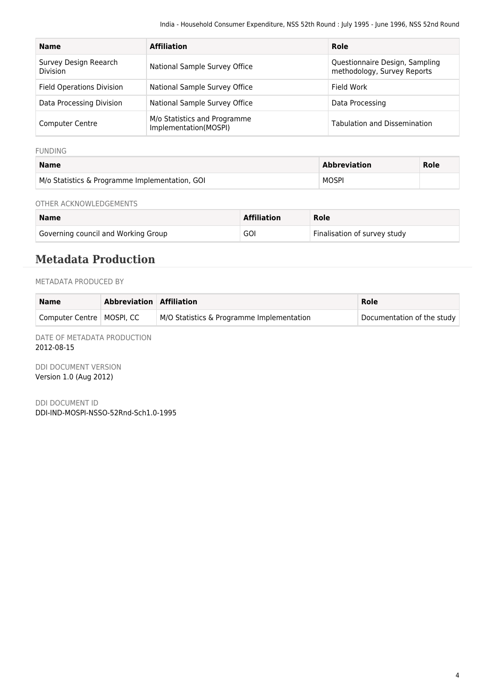| <b>Name</b>                              | <b>Affiliation</b>                                    | Role                                                          |
|------------------------------------------|-------------------------------------------------------|---------------------------------------------------------------|
| Survey Design Reearch<br><b>Division</b> | National Sample Survey Office                         | Questionnaire Design, Sampling<br>methodology, Survey Reports |
| <b>Field Operations Division</b>         | National Sample Survey Office                         | Field Work                                                    |
| Data Processing Division                 | National Sample Survey Office                         | Data Processing                                               |
| <b>Computer Centre</b>                   | M/o Statistics and Programme<br>Implementation(MOSPI) | Tabulation and Dissemination                                  |

#### FUNDING

| <b>Name</b>                                    | <b>Abbreviation</b> | Role |
|------------------------------------------------|---------------------|------|
| M/o Statistics & Programme Implementation, GOI | <b>MOSPI</b>        |      |

#### OTHER ACKNOWLEDGEMENTS

| <b>Name</b>                         | <b>Affiliation</b> | Role                         |
|-------------------------------------|--------------------|------------------------------|
| Governing council and Working Group | GOI                | Finalisation of survey study |

#### **Metadata Production**

#### METADATA PRODUCED BY

| Name                        | <b>Abbreviation Affiliation</b> |                                           | Role                       |
|-----------------------------|---------------------------------|-------------------------------------------|----------------------------|
| Computer Centre   MOSPI, CC |                                 | M/O Statistics & Programme Implementation | Documentation of the study |

DATE OF METADATA PRODUCTION 2012-08-15

DDI DOCUMENT VERSION Version 1.0 (Aug 2012)

DDI DOCUMENT ID DDI-IND-MOSPI-NSSO-52Rnd-Sch1.0-1995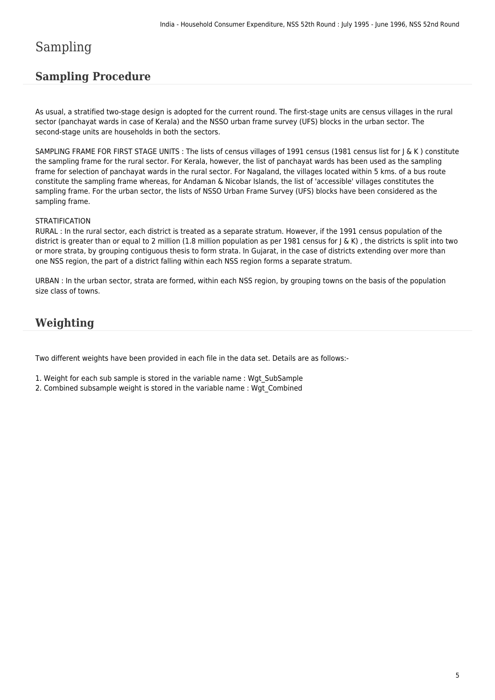# Sampling

### **Sampling Procedure**

As usual, a stratified two-stage design is adopted for the current round. The first-stage units are census villages in the rural sector (panchayat wards in case of Kerala) and the NSSO urban frame survey (UFS) blocks in the urban sector. The second-stage units are households in both the sectors.

SAMPLING FRAME FOR FIRST STAGE UNITS : The lists of census villages of 1991 census (1981 census list for J & K ) constitute the sampling frame for the rural sector. For Kerala, however, the list of panchayat wards has been used as the sampling frame for selection of panchayat wards in the rural sector. For Nagaland, the villages located within 5 kms. of a bus route constitute the sampling frame whereas, for Andaman & Nicobar Islands, the list of 'accessible' villages constitutes the sampling frame. For the urban sector, the lists of NSSO Urban Frame Survey (UFS) blocks have been considered as the sampling frame.

#### **STRATIFICATION**

RURAL : In the rural sector, each district is treated as a separate stratum. However, if the 1991 census population of the district is greater than or equal to 2 million (1.8 million population as per 1981 census for  $\vert \& K \rangle$ , the districts is split into two or more strata, by grouping contiguous thesis to form strata. In Gujarat, in the case of districts extending over more than one NSS region, the part of a district falling within each NSS region forms a separate stratum.

URBAN : In the urban sector, strata are formed, within each NSS region, by grouping towns on the basis of the population size class of towns.

### **Weighting**

Two different weights have been provided in each file in the data set. Details are as follows:-

- 1. Weight for each sub sample is stored in the variable name: Wgt SubSample
- 2. Combined subsample weight is stored in the variable name : Wgt\_Combined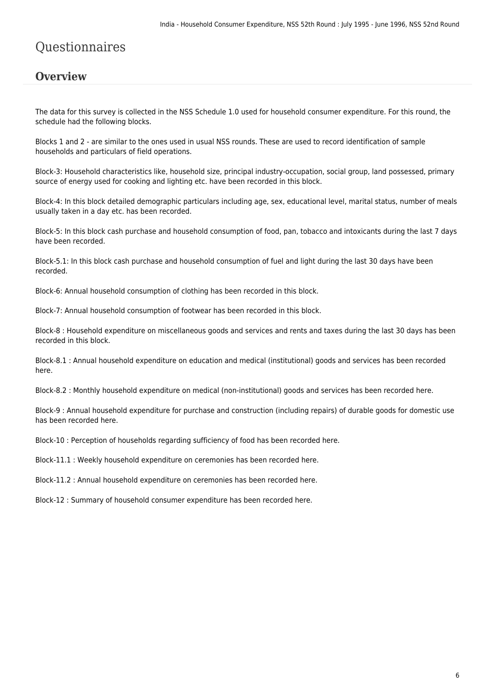# Questionnaires

#### **Overview**

The data for this survey is collected in the NSS Schedule 1.0 used for household consumer expenditure. For this round, the schedule had the following blocks.

Blocks 1 and 2 - are similar to the ones used in usual NSS rounds. These are used to record identification of sample households and particulars of field operations.

Block-3: Household characteristics like, household size, principal industry-occupation, social group, land possessed, primary source of energy used for cooking and lighting etc. have been recorded in this block.

Block-4: In this block detailed demographic particulars including age, sex, educational level, marital status, number of meals usually taken in a day etc. has been recorded.

Block-5: In this block cash purchase and household consumption of food, pan, tobacco and intoxicants during the last 7 days have been recorded.

Block-5.1: In this block cash purchase and household consumption of fuel and light during the last 30 days have been recorded.

Block-6: Annual household consumption of clothing has been recorded in this block.

Block-7: Annual household consumption of footwear has been recorded in this block.

Block-8 : Household expenditure on miscellaneous goods and services and rents and taxes during the last 30 days has been recorded in this block.

Block-8.1 : Annual household expenditure on education and medical (institutional) goods and services has been recorded here.

Block-8.2 : Monthly household expenditure on medical (non-institutional) goods and services has been recorded here.

Block-9 : Annual household expenditure for purchase and construction (including repairs) of durable goods for domestic use has been recorded here.

Block-10 : Perception of households regarding sufficiency of food has been recorded here.

Block-11.1 : Weekly household expenditure on ceremonies has been recorded here.

Block-11.2 : Annual household expenditure on ceremonies has been recorded here.

Block-12 : Summary of household consumer expenditure has been recorded here.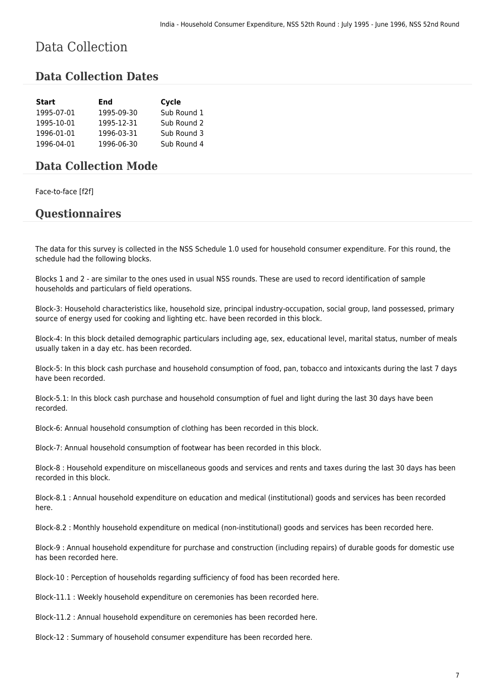# Data Collection

#### **Data Collection Dates**

| <b>Start</b> | End        | Cycle       |
|--------------|------------|-------------|
| 1995-07-01   | 1995-09-30 | Sub Round 1 |
| 1995-10-01   | 1995-12-31 | Sub Round 2 |
| 1996-01-01   | 1996-03-31 | Sub Round 3 |
| 1996-04-01   | 1996-06-30 | Sub Round 4 |

#### **Data Collection Mode**

Face-to-face [f2f]

#### **Questionnaires**

The data for this survey is collected in the NSS Schedule 1.0 used for household consumer expenditure. For this round, the schedule had the following blocks.

Blocks 1 and 2 - are similar to the ones used in usual NSS rounds. These are used to record identification of sample households and particulars of field operations.

Block-3: Household characteristics like, household size, principal industry-occupation, social group, land possessed, primary source of energy used for cooking and lighting etc. have been recorded in this block.

Block-4: In this block detailed demographic particulars including age, sex, educational level, marital status, number of meals usually taken in a day etc. has been recorded.

Block-5: In this block cash purchase and household consumption of food, pan, tobacco and intoxicants during the last 7 days have been recorded.

Block-5.1: In this block cash purchase and household consumption of fuel and light during the last 30 days have been recorded.

Block-6: Annual household consumption of clothing has been recorded in this block.

Block-7: Annual household consumption of footwear has been recorded in this block.

Block-8 : Household expenditure on miscellaneous goods and services and rents and taxes during the last 30 days has been recorded in this block.

Block-8.1 : Annual household expenditure on education and medical (institutional) goods and services has been recorded here.

Block-8.2 : Monthly household expenditure on medical (non-institutional) goods and services has been recorded here.

Block-9 : Annual household expenditure for purchase and construction (including repairs) of durable goods for domestic use has been recorded here.

Block-10 : Perception of households regarding sufficiency of food has been recorded here.

Block-11.1 : Weekly household expenditure on ceremonies has been recorded here.

Block-11.2 : Annual household expenditure on ceremonies has been recorded here.

Block-12 : Summary of household consumer expenditure has been recorded here.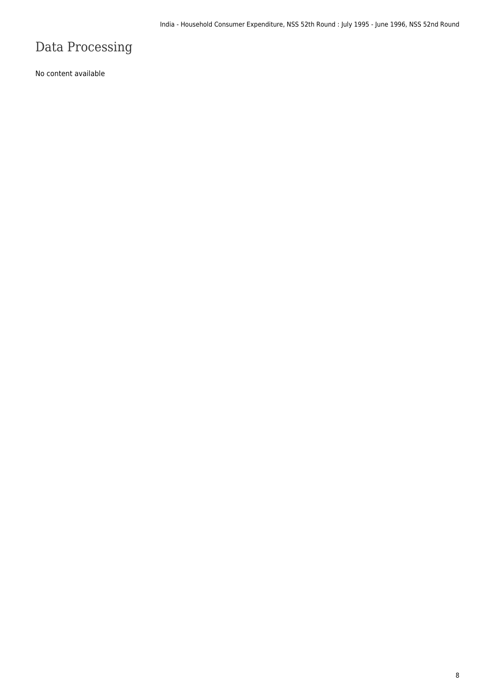# Data Processing

No content available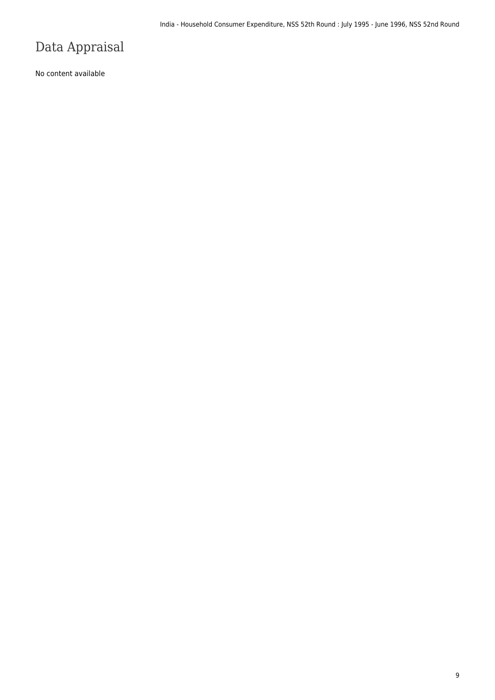# Data Appraisal

No content available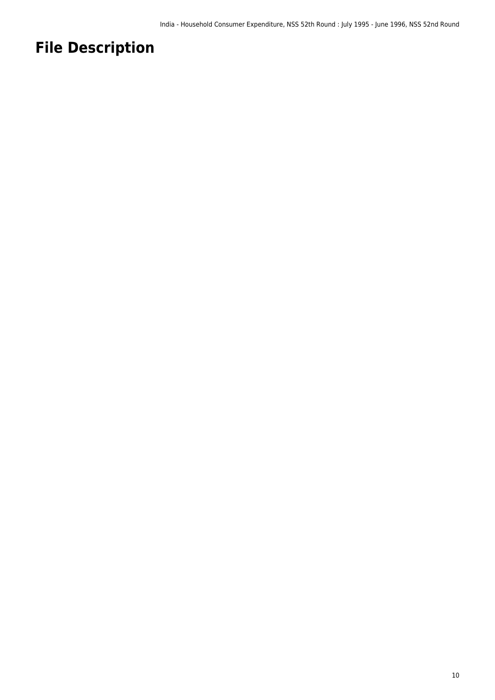# **File Description**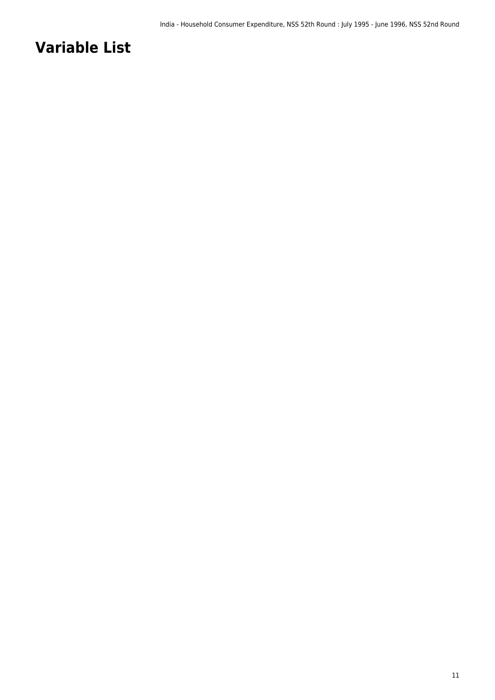# **Variable List**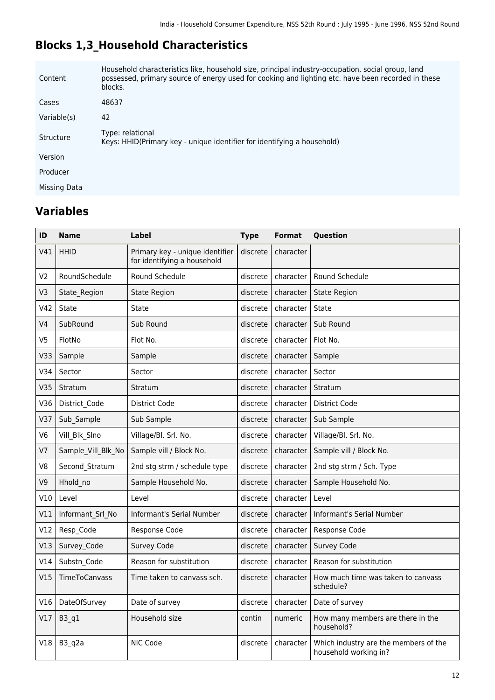# **Blocks 1,3\_Household Characteristics**

| Content      | Household characteristics like, household size, principal industry-occupation, social group, land<br>possessed, primary source of energy used for cooking and lighting etc. have been recorded in these<br>blocks. |
|--------------|--------------------------------------------------------------------------------------------------------------------------------------------------------------------------------------------------------------------|
| Cases        | 48637                                                                                                                                                                                                              |
| Variable(s)  | 42                                                                                                                                                                                                                 |
| Structure    | Type: relational<br>Keys: HHID(Primary key - unique identifier for identifying a household)                                                                                                                        |
| Version      |                                                                                                                                                                                                                    |
| Producer     |                                                                                                                                                                                                                    |
| Missing Data |                                                                                                                                                                                                                    |

| ID              | <b>Name</b>          | Label                                                          | <b>Type</b> | <b>Format</b> | Question                                                       |
|-----------------|----------------------|----------------------------------------------------------------|-------------|---------------|----------------------------------------------------------------|
| V <sub>41</sub> | <b>HHID</b>          | Primary key - unique identifier<br>for identifying a household | discrete    | character     |                                                                |
| V <sub>2</sub>  | RoundSchedule        | Round Schedule                                                 | discrete    | character     | Round Schedule                                                 |
| V3              | State_Region         | <b>State Region</b>                                            | discrete    | character     | <b>State Region</b>                                            |
| V <sub>42</sub> | <b>State</b>         | State                                                          | discrete    | character     | State                                                          |
| V4              | SubRound             | Sub Round                                                      | discrete    | character     | Sub Round                                                      |
| V <sub>5</sub>  | FlotNo               | Flot No.                                                       | discrete    | character     | Flot No.                                                       |
| V <sub>33</sub> | Sample               | Sample                                                         | discrete    | character     | Sample                                                         |
| V34             | Sector               | Sector                                                         | discrete    | character     | Sector                                                         |
| V35             | Stratum              | Stratum                                                        | discrete    | character     | Stratum                                                        |
| V36             | District Code        | District Code                                                  | discrete    | character     | District Code                                                  |
| V37             | Sub Sample           | Sub Sample                                                     | discrete    | character     | Sub Sample                                                     |
| V <sub>6</sub>  | Vill Blk Slno        | Village/Bl. Srl. No.                                           | discrete    | character     | Village/Bl. Srl. No.                                           |
| V <sub>7</sub>  | Sample_Vill_Blk_No   | Sample vill / Block No.                                        | discrete    | character     | Sample vill / Block No.                                        |
| V8              | Second Stratum       | 2nd stg strm / schedule type                                   | discrete    | character     | 2nd stg strm / Sch. Type                                       |
| V <sub>9</sub>  | Hhold_no             | Sample Household No.                                           | discrete    | character     | Sample Household No.                                           |
| V10             | Level                | Level                                                          | discrete    | character     | Level                                                          |
| V11             | Informant_Srl_No     | Informant's Serial Number                                      | discrete    | character     | Informant's Serial Number                                      |
| V12             | Resp Code            | Response Code                                                  | discrete    | character     | Response Code                                                  |
| V13             | Survey Code          | <b>Survey Code</b>                                             | discrete    | character     | Survey Code                                                    |
| V14             | Substn Code          | Reason for substitution                                        | discrete    | character     | Reason for substitution                                        |
| V15             | <b>TimeToCanvass</b> | Time taken to canvass sch.                                     | discrete    | character     | How much time was taken to canvass<br>schedule?                |
| V16             | DateOfSurvey         | Date of survey                                                 | discrete    | character     | Date of survey                                                 |
| V17             | $B3_q1$              | Household size                                                 | contin      | numeric       | How many members are there in the<br>household?                |
| V18             | $B3_q2a$             | NIC Code                                                       | discrete    | character     | Which industry are the members of the<br>household working in? |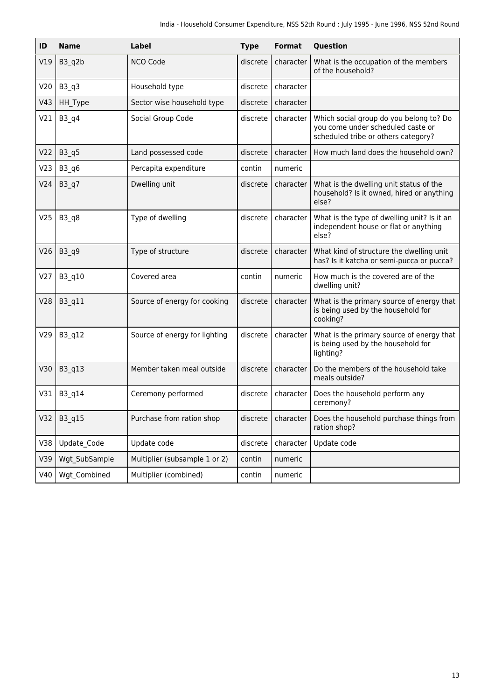| ID              | <b>Name</b>   | Label                         | <b>Type</b> | <b>Format</b> | Question                                                                                                            |
|-----------------|---------------|-------------------------------|-------------|---------------|---------------------------------------------------------------------------------------------------------------------|
| V19             | B3 q2b        | <b>NCO Code</b>               | discrete    | character     | What is the occupation of the members<br>of the household?                                                          |
| V20             | $B3_q3$       | Household type                | discrete    | character     |                                                                                                                     |
| V43             | HH_Type       | Sector wise household type    | discrete    | character     |                                                                                                                     |
| V21             | $B3_q4$       | Social Group Code             | discrete    | character     | Which social group do you belong to? Do<br>you come under scheduled caste or<br>scheduled tribe or others category? |
| V <sub>22</sub> | $B3_q5$       | Land possessed code           | discrete    | character     | How much land does the household own?                                                                               |
| V <sub>23</sub> | $B3_q6$       | Percapita expenditure         | contin      | numeric       |                                                                                                                     |
| V <sub>24</sub> | $B3_q7$       | Dwelling unit                 | discrete    | character     | What is the dwelling unit status of the<br>household? Is it owned, hired or anything<br>else?                       |
| V25             | B3 q8         | Type of dwelling              | discrete    | character     | What is the type of dwelling unit? Is it an<br>independent house or flat or anything<br>else?                       |
| V26             | B3 q9         | Type of structure             | discrete    | character     | What kind of structure the dwelling unit<br>has? Is it katcha or semi-pucca or pucca?                               |
| V <sub>27</sub> | B3 q10        | Covered area                  | contin      | numeric       | How much is the covered are of the<br>dwelling unit?                                                                |
| V28             | B3_q11        | Source of energy for cooking  | discrete    | character     | What is the primary source of energy that<br>is being used by the household for<br>cooking?                         |
| V29             | B3 q12        | Source of energy for lighting | discrete    | character     | What is the primary source of energy that<br>is being used by the household for<br>lighting?                        |
| V30             | B3_q13        | Member taken meal outside     | discrete    | character     | Do the members of the household take<br>meals outside?                                                              |
| V31             | B3_q14        | Ceremony performed            | discrete    | character     | Does the household perform any<br>ceremony?                                                                         |
| V32             | B3_q15        | Purchase from ration shop     | discrete    | character     | Does the household purchase things from<br>ration shop?                                                             |
| V38             | Update Code   | Update code                   | discrete    | character     | Update code                                                                                                         |
| V39             | Wgt SubSample | Multiplier (subsample 1 or 2) | contin      | numeric       |                                                                                                                     |
| V40             | Wgt Combined  | Multiplier (combined)         | contin      | numeric       |                                                                                                                     |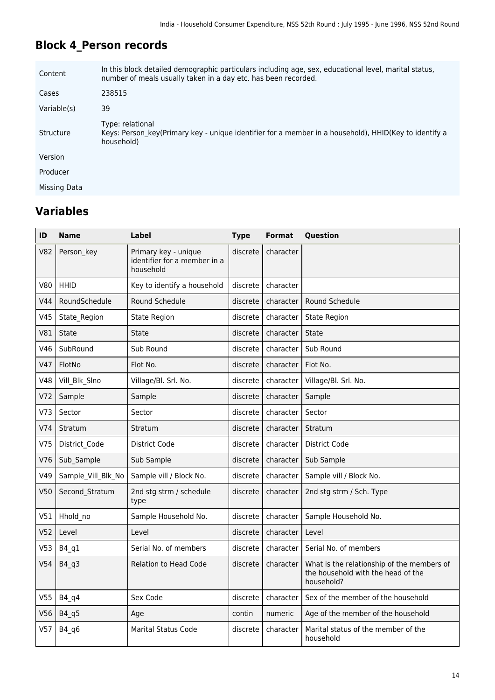# **Block 4\_Person records**

| Content      | In this block detailed demographic particulars including age, sex, educational level, marital status,<br>number of meals usually taken in a day etc. has been recorded. |
|--------------|-------------------------------------------------------------------------------------------------------------------------------------------------------------------------|
| Cases        | 238515                                                                                                                                                                  |
| Variable(s)  | 39                                                                                                                                                                      |
| Structure    | Type: relational<br>Keys: Person key(Primary key - unique identifier for a member in a household), HHID(Key to identify a<br>household)                                 |
| Version      |                                                                                                                                                                         |
| Producer     |                                                                                                                                                                         |
| Missing Data |                                                                                                                                                                         |

| ID              | <b>Name</b>        | Label                                                             | <b>Type</b> | <b>Format</b> | Question                                                                                       |
|-----------------|--------------------|-------------------------------------------------------------------|-------------|---------------|------------------------------------------------------------------------------------------------|
| <b>V82</b>      | Person key         | Primary key - unique<br>identifier for a member in a<br>household | discrete    | character     |                                                                                                |
| V80             | <b>HHID</b>        | Key to identify a household                                       | discrete    | character     |                                                                                                |
| V44             | RoundSchedule      | Round Schedule                                                    | discrete    | character     | Round Schedule                                                                                 |
| V <sub>45</sub> | State_Region       | <b>State Region</b>                                               | discrete    | character     | <b>State Region</b>                                                                            |
| V81             | <b>State</b>       | <b>State</b>                                                      | discrete    | character     | <b>State</b>                                                                                   |
| V46             | SubRound           | Sub Round                                                         | discrete    | character     | Sub Round                                                                                      |
| V47             | FlotNo             | Flot No.                                                          | discrete    | character     | Flot No.                                                                                       |
| V48             | Vill Blk Slno      | Village/Bl. Srl. No.                                              | discrete    | character     | Village/Bl. Srl. No.                                                                           |
| V72             | Sample             | Sample                                                            | discrete    | character     | Sample                                                                                         |
| V <sub>73</sub> | Sector             | Sector                                                            | discrete    | character     | Sector                                                                                         |
| V74             | Stratum            | Stratum                                                           | discrete    | character     | Stratum                                                                                        |
| V75             | District_Code      | <b>District Code</b>                                              | discrete    | character     | <b>District Code</b>                                                                           |
| V76             | Sub_Sample         | Sub Sample                                                        | discrete    | character     | Sub Sample                                                                                     |
| V49             | Sample Vill Blk No | Sample vill / Block No.                                           | discrete    | character     | Sample vill / Block No.                                                                        |
| V50             | Second Stratum     | 2nd stg strm / schedule<br>type                                   | discrete    | character     | 2nd stg strm / Sch. Type                                                                       |
| V <sub>51</sub> | Hhold_no           | Sample Household No.                                              | discrete    | character     | Sample Household No.                                                                           |
| V <sub>52</sub> | Level              | Level                                                             | discrete    | character     | Level                                                                                          |
| V <sub>53</sub> | $B4_q1$            | Serial No. of members                                             | discrete    | character     | Serial No. of members                                                                          |
| V <sub>54</sub> | B4 q3              | <b>Relation to Head Code</b>                                      | discrete    | character     | What is the relationship of the members of<br>the household with the head of the<br>household? |
| V <sub>55</sub> | $B4_q$             | Sex Code                                                          | discrete    | character     | Sex of the member of the household                                                             |
| V56             | B4 q5              | Age                                                               | contin      | numeric       | Age of the member of the household                                                             |
| V <sub>57</sub> | $B4_q6$            | <b>Marital Status Code</b>                                        | discrete    | character     | Marital status of the member of the<br>household                                               |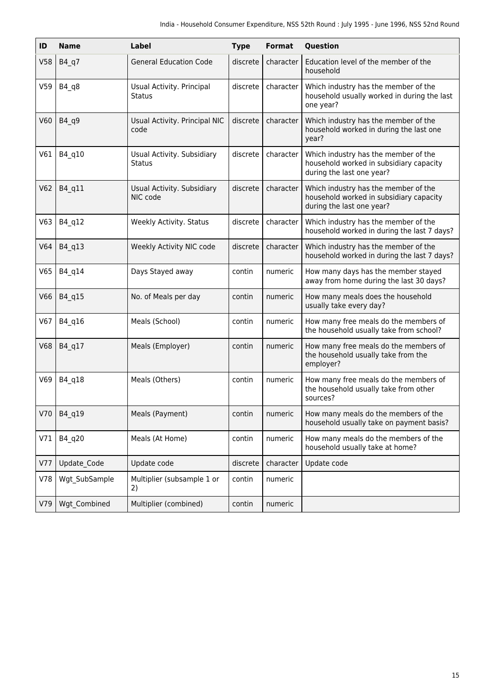| ID         | <b>Name</b>   | Label                                       | <b>Type</b> | Format    | Question                                                                                                     |
|------------|---------------|---------------------------------------------|-------------|-----------|--------------------------------------------------------------------------------------------------------------|
| V58        | B4q           | <b>General Education Code</b>               | discrete    | character | Education level of the member of the<br>household                                                            |
| V59        | B4 q8         | Usual Activity. Principal<br><b>Status</b>  | discrete    | character | Which industry has the member of the<br>household usually worked in during the last<br>one year?             |
| V60        | B4 q9         | Usual Activity. Principal NIC<br>code       | discrete    | character | Which industry has the member of the<br>household worked in during the last one<br>year?                     |
| V61        | B4 q10        | Usual Activity. Subsidiary<br><b>Status</b> | discrete    | character | Which industry has the member of the<br>household worked in subsidiary capacity<br>during the last one year? |
| V62        | B4_q11        | Usual Activity. Subsidiary<br>NIC code      | discrete    | character | Which industry has the member of the<br>household worked in subsidiary capacity<br>during the last one year? |
| V63        | B4_q12        | <b>Weekly Activity. Status</b>              | discrete    | character | Which industry has the member of the<br>household worked in during the last 7 days?                          |
| V64        | B4 q13        | Weekly Activity NIC code                    | discrete    | character | Which industry has the member of the<br>household worked in during the last 7 days?                          |
| V65        | B4_q14        | Days Stayed away                            | contin      | numeric   | How many days has the member stayed<br>away from home during the last 30 days?                               |
| <b>V66</b> | B4 q15        | No. of Meals per day                        | contin      | numeric   | How many meals does the household<br>usually take every day?                                                 |
| V67        | B4_q16        | Meals (School)                              | contin      | numeric   | How many free meals do the members of<br>the household usually take from school?                             |
| <b>V68</b> | B4 q17        | Meals (Employer)                            | contin      | numeric   | How many free meals do the members of<br>the household usually take from the<br>employer?                    |
| V69        | B4_q18        | Meals (Others)                              | contin      | numeric   | How many free meals do the members of<br>the household usually take from other<br>sources?                   |
| V70        | B4_q19        | Meals (Payment)                             | contin      | numeric   | How many meals do the members of the<br>household usually take on payment basis?                             |
| V71        | B4 q20        | Meals (At Home)                             | contin      | numeric   | How many meals do the members of the<br>household usually take at home?                                      |
| V77        | Update Code   | Update code                                 | discrete    | character | Update code                                                                                                  |
| V78        | Wgt SubSample | Multiplier (subsample 1 or<br>2)            | contin      | numeric   |                                                                                                              |
| V79        | Wgt Combined  | Multiplier (combined)                       | contin      | numeric   |                                                                                                              |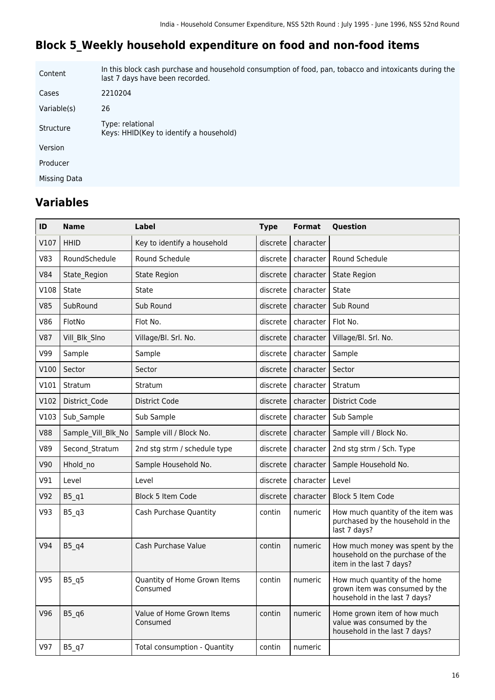# **Block 5\_Weekly household expenditure on food and non-food items**

| Content      | In this block cash purchase and household consumption of food, pan, tobacco and intoxicants during the<br>last 7 days have been recorded. |
|--------------|-------------------------------------------------------------------------------------------------------------------------------------------|
| Cases        | 2210204                                                                                                                                   |
| Variable(s)  | 26                                                                                                                                        |
| Structure    | Type: relational<br>Keys: HHID(Key to identify a household)                                                                               |
| Version      |                                                                                                                                           |
| Producer     |                                                                                                                                           |
| Missing Data |                                                                                                                                           |
|              |                                                                                                                                           |

| ID         | <b>Name</b>        | Label                                    | <b>Type</b> | <b>Format</b> | <b>Question</b>                                                                                  |
|------------|--------------------|------------------------------------------|-------------|---------------|--------------------------------------------------------------------------------------------------|
| V107       | <b>HHID</b>        | Key to identify a household              | discrete    | character     |                                                                                                  |
| V83        | RoundSchedule      | Round Schedule                           | discrete    | character I   | <b>Round Schedule</b>                                                                            |
| <b>V84</b> | State Region       | <b>State Region</b>                      | discrete    | character     | <b>State Region</b>                                                                              |
| V108       | State              | State                                    | discrete    | character     | State                                                                                            |
| <b>V85</b> | SubRound           | Sub Round                                | discrete    | character     | Sub Round                                                                                        |
| V86        | FlotNo             | Flot No.                                 | discrete    | character     | Flot No.                                                                                         |
| <b>V87</b> | Vill Blk Slno      | Village/Bl. Srl. No.                     | discrete    | character     | Village/Bl. Srl. No.                                                                             |
| V99        | Sample             | Sample                                   | discrete    | character     | Sample                                                                                           |
| V100       | Sector             | Sector                                   | discrete    | character     | Sector                                                                                           |
| V101       | Stratum            | Stratum                                  | discrete    | character     | Stratum                                                                                          |
| V102       | District Code      | District Code                            | discrete    | character     | District Code                                                                                    |
| V103       | Sub Sample         | Sub Sample                               | discrete    | character     | Sub Sample                                                                                       |
| <b>V88</b> | Sample_Vill_Blk_No | Sample vill / Block No.                  | discrete    | character     | Sample vill / Block No.                                                                          |
| V89        | Second Stratum     | 2nd stg strm / schedule type             | discrete    | character     | 2nd stg strm / Sch. Type                                                                         |
| V90        | Hhold no           | Sample Household No.                     | discrete    | character     | Sample Household No.                                                                             |
| V91        | Level              | Level                                    | discrete    | character     | Level                                                                                            |
| V92        | $B5_q1$            | <b>Block 5 Item Code</b>                 | discrete    | character     | <b>Block 5 Item Code</b>                                                                         |
| V93        | $B5_q3$            | Cash Purchase Quantity                   | contin      | numeric       | How much quantity of the item was<br>purchased by the household in the<br>last 7 days?           |
| V94        | $B5_q4$            | Cash Purchase Value                      | contin      | numeric       | How much money was spent by the<br>household on the purchase of the<br>item in the last 7 days?  |
| V95        | $B5_q5$            | Quantity of Home Grown Items<br>Consumed | contin      | numeric       | How much quantity of the home<br>grown item was consumed by the<br>household in the last 7 days? |
| V96        | $B5_q6$            | Value of Home Grown Items<br>Consumed    | contin      | numeric       | Home grown item of how much<br>value was consumed by the<br>household in the last 7 days?        |
| V97        | B5 q7              | Total consumption - Quantity             | contin      | numeric       |                                                                                                  |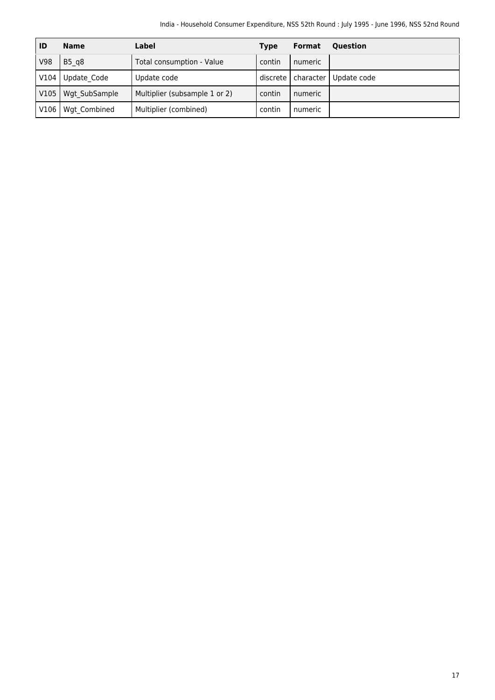India - Household Consumer Expenditure, NSS 52th Round : July 1995 - June 1996, NSS 52nd Round

| ID         | <b>Name</b>   | Label                         | <b>Type</b> | <b>Format</b> | <b>Ouestion</b>         |
|------------|---------------|-------------------------------|-------------|---------------|-------------------------|
| <b>V98</b> | B5 q8         | Total consumption - Value     | contin      | numeric       |                         |
| V104       | Update Code   | Update code                   | discrete l  |               | character   Update code |
| V105       | Wgt SubSample | Multiplier (subsample 1 or 2) | contin      | numeric       |                         |
| V106       | Wgt Combined  | Multiplier (combined)         | contin      | numeric       |                         |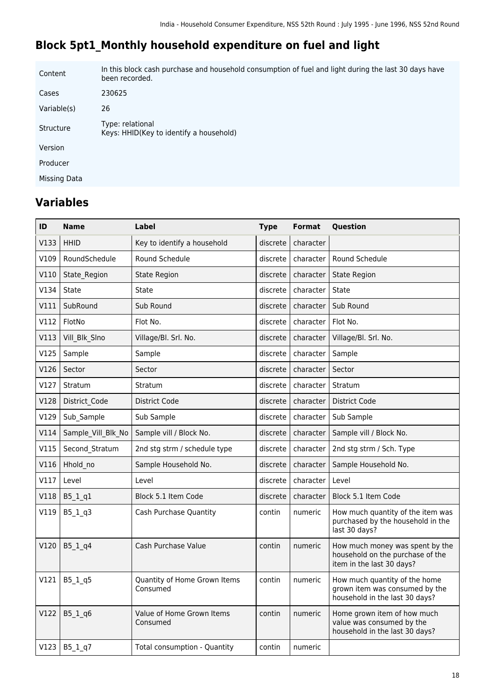# **Block 5pt1\_Monthly household expenditure on fuel and light**

| Content      | In this block cash purchase and household consumption of fuel and light during the last 30 days have<br>been recorded. |
|--------------|------------------------------------------------------------------------------------------------------------------------|
| Cases        | 230625                                                                                                                 |
| Variable(s)  | 26                                                                                                                     |
| Structure    | Type: relational<br>Keys: HHID(Key to identify a household)                                                            |
| Version      |                                                                                                                        |
| Producer     |                                                                                                                        |
| Missing Data |                                                                                                                        |
|              |                                                                                                                        |

| ID   | <b>Name</b>        | Label                                    | <b>Type</b> | <b>Format</b> | <b>Question</b>                                                                                   |
|------|--------------------|------------------------------------------|-------------|---------------|---------------------------------------------------------------------------------------------------|
| V133 | <b>HHID</b>        | Key to identify a household              | discrete    | character     |                                                                                                   |
| V109 | RoundSchedule      | Round Schedule                           | discrete l  | character     | Round Schedule                                                                                    |
| V110 | State_Region       | <b>State Region</b>                      | discrete    | character     | <b>State Region</b>                                                                               |
| V134 | State              | State                                    | discrete    | character     | State                                                                                             |
| V111 | SubRound           | Sub Round                                | discrete    | character     | Sub Round                                                                                         |
| V112 | FlotNo             | Flot No.                                 | discrete    | character     | Flot No.                                                                                          |
| V113 | Vill Blk Slno      | Village/Bl. Srl. No.                     | discrete    | character     | Village/Bl. Srl. No.                                                                              |
| V125 | Sample             | Sample                                   | discrete    | character     | Sample                                                                                            |
| V126 | Sector             | Sector                                   | discrete    | character     | Sector                                                                                            |
| V127 | Stratum            | Stratum                                  | discrete    | character     | Stratum                                                                                           |
| V128 | District Code      | District Code                            | discrete    | character     | <b>District Code</b>                                                                              |
| V129 | Sub Sample         | Sub Sample                               | discrete    | character     | Sub Sample                                                                                        |
| V114 | Sample Vill Blk No | Sample vill / Block No.                  | discrete l  | character     | Sample vill / Block No.                                                                           |
| V115 | Second_Stratum     | 2nd stg strm / schedule type             | discrete    | character     | 2nd stg strm / Sch. Type                                                                          |
| V116 | Hhold no           | Sample Household No.                     | discrete l  | character     | Sample Household No.                                                                              |
| V117 | Level              | Level                                    | discrete    | character     | Level                                                                                             |
| V118 | B5_1_q1            | Block 5.1 Item Code                      | discrete l  | character     | Block 5.1 Item Code                                                                               |
| V119 | B5_1_q3            | Cash Purchase Quantity                   | contin      | numeric       | How much quantity of the item was<br>purchased by the household in the<br>last 30 days?           |
| V120 | B5_1_q4            | Cash Purchase Value                      | contin      | numeric       | How much money was spent by the<br>household on the purchase of the<br>item in the last 30 days?  |
| V121 | B5_1_q5            | Quantity of Home Grown Items<br>Consumed | contin      | numeric       | How much quantity of the home<br>grown item was consumed by the<br>household in the last 30 days? |
| V122 | B5_1_q6            | Value of Home Grown Items<br>Consumed    | contin      | numeric       | Home grown item of how much<br>value was consumed by the<br>household in the last 30 days?        |
| V123 | B5 1 q7            | Total consumption - Quantity             | contin      | numeric       |                                                                                                   |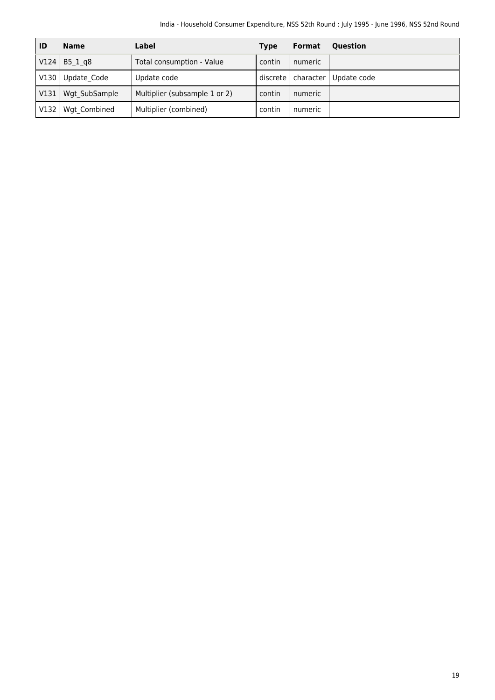India - Household Consumer Expenditure, NSS 52th Round : July 1995 - June 1996, NSS 52nd Round

| ID   | <b>Name</b>   | Label                         | <b>Type</b> | <b>Format</b> | <b>Ouestion</b>         |
|------|---------------|-------------------------------|-------------|---------------|-------------------------|
| V124 | B5 1 q8       | Total consumption - Value     | contin      | numeric       |                         |
| V130 | Update Code   | Update code                   | discrete l  |               | character   Update code |
| V131 | Wgt SubSample | Multiplier (subsample 1 or 2) | contin      | numeric       |                         |
| V132 | Wgt Combined  | Multiplier (combined)         | contin      | numeric       |                         |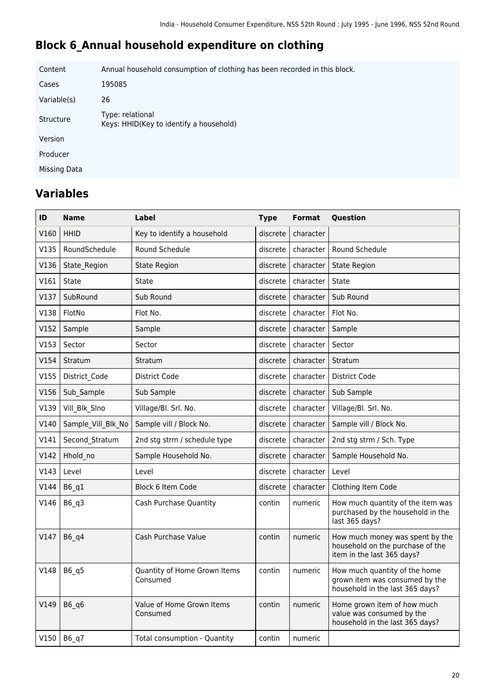# **Block 6\_Annual household expenditure on clothing**

| Content      | Annual household consumption of clothing has been recorded in this block. |
|--------------|---------------------------------------------------------------------------|
| Cases        | 195085                                                                    |
| Variable(s)  | 26                                                                        |
| Structure    | Type: relational<br>Keys: HHID(Key to identify a household)               |
| Version      |                                                                           |
| Producer     |                                                                           |
| Missing Data |                                                                           |

| ID   | <b>Name</b>        | Label                                    | <b>Type</b> | Format      | Question                                                                                           |
|------|--------------------|------------------------------------------|-------------|-------------|----------------------------------------------------------------------------------------------------|
| V160 | <b>HHID</b>        | Key to identify a household              | discrete    | character   |                                                                                                    |
| V135 | RoundSchedule      | Round Schedule                           | discrete    | character I | <b>Round Schedule</b>                                                                              |
| V136 | State_Region       | <b>State Region</b>                      | discrete    | character   | <b>State Region</b>                                                                                |
| V161 | State              | <b>State</b>                             | discrete    | character   | State                                                                                              |
| V137 | SubRound           | Sub Round                                | discrete    | character   | Sub Round                                                                                          |
| V138 | FlotNo             | Flot No.                                 | discrete    | character   | Flot No.                                                                                           |
| V152 | Sample             | Sample                                   | discrete    | character   | Sample                                                                                             |
| V153 | Sector             | Sector                                   | discrete    | character   | Sector                                                                                             |
| V154 | Stratum            | Stratum                                  | discrete    | character   | Stratum                                                                                            |
| V155 | District_Code      | District Code                            | discrete    | character   | District Code                                                                                      |
| V156 | Sub_Sample         | Sub Sample                               | discrete    | character   | Sub Sample                                                                                         |
| V139 | Vill_Blk_SIno      | Village/Bl. Srl. No.                     | discrete    | character   | Village/Bl. Srl. No.                                                                               |
| V140 | Sample_Vill_Blk_No | Sample vill / Block No.                  | discrete    | character   | Sample vill / Block No.                                                                            |
| V141 | Second Stratum     | 2nd stg strm / schedule type             | discrete    | character   | 2nd stg strm / Sch. Type                                                                           |
| V142 | Hhold no           | Sample Household No.                     | discrete    | character   | Sample Household No.                                                                               |
| V143 | Level              | Level                                    | discrete    | character   | Level                                                                                              |
| V144 | B6 q1              | Block 6 Item Code                        | discrete    | character   | Clothing Item Code                                                                                 |
| V146 | B6 q3              | Cash Purchase Quantity                   | contin      | numeric     | How much quantity of the item was<br>purchased by the household in the<br>last 365 days?           |
| V147 | B6 q4              | Cash Purchase Value                      | contin      | numeric     | How much money was spent by the<br>household on the purchase of the<br>item in the last 365 days?  |
| V148 | $B6_q5$            | Quantity of Home Grown Items<br>Consumed | contin      | numeric     | How much quantity of the home<br>grown item was consumed by the<br>household in the last 365 days? |
| V149 | B6_q6              | Value of Home Grown Items<br>Consumed    | contin      | numeric     | Home grown item of how much<br>value was consumed by the<br>household in the last 365 days?        |
| V150 | B6 q7              | Total consumption - Quantity             | contin      | numeric     |                                                                                                    |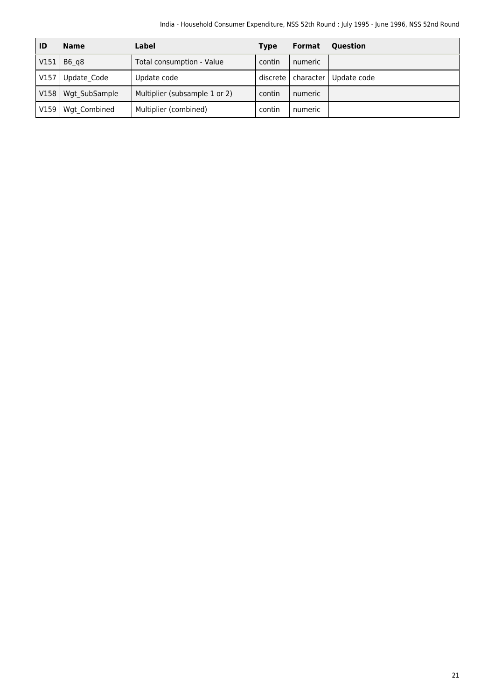India - Household Consumer Expenditure, NSS 52th Round : July 1995 - June 1996, NSS 52nd Round

| ID   | <b>Name</b>   | Label                         | <b>Type</b> | <b>Format</b> | <b>Ouestion</b> |
|------|---------------|-------------------------------|-------------|---------------|-----------------|
| V151 | B6 q8         | Total consumption - Value     | contin      | numeric       |                 |
| V157 | Update Code   | Update code                   | discrete    | character     | Update code     |
| V158 | Wgt SubSample | Multiplier (subsample 1 or 2) | contin      | numeric       |                 |
| V159 | Wgt Combined  | Multiplier (combined)         | contin      | numeric       |                 |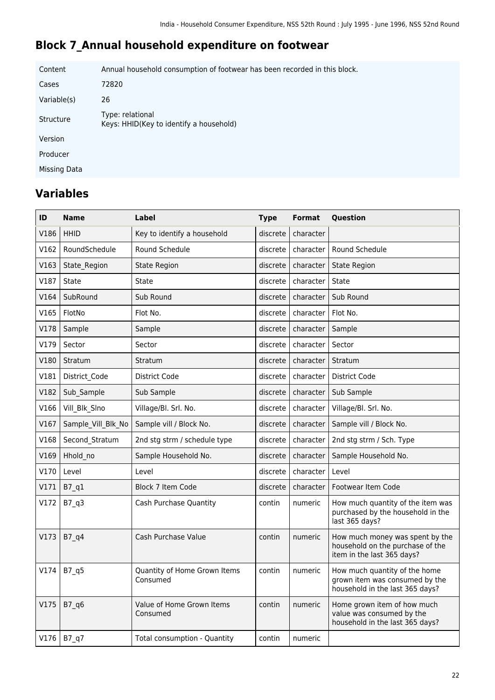# **Block 7\_Annual household expenditure on footwear**

| Content      | Annual household consumption of footwear has been recorded in this block. |
|--------------|---------------------------------------------------------------------------|
| Cases        | 72820                                                                     |
| Variable(s)  | 26                                                                        |
| Structure    | Type: relational<br>Keys: HHID(Key to identify a household)               |
| Version      |                                                                           |
| Producer     |                                                                           |
| Missing Data |                                                                           |

| ID   | <b>Name</b>        | Label                                    | <b>Type</b> | Format    | Question                                                                                           |
|------|--------------------|------------------------------------------|-------------|-----------|----------------------------------------------------------------------------------------------------|
| V186 | <b>HHID</b>        | Key to identify a household              | discrete    | character |                                                                                                    |
| V162 | RoundSchedule      | Round Schedule                           | discrete    | character | Round Schedule                                                                                     |
| V163 | State Region       | <b>State Region</b>                      | discrete    | character | <b>State Region</b>                                                                                |
| V187 | State              | <b>State</b>                             | discrete    | character | State                                                                                              |
| V164 | SubRound           | Sub Round                                | discrete    | character | Sub Round                                                                                          |
| V165 | FlotNo             | Flot No.                                 | discrete    | character | Flot No.                                                                                           |
| V178 | Sample             | Sample                                   | discrete    | character | Sample                                                                                             |
| V179 | Sector             | Sector                                   | discrete    | character | Sector                                                                                             |
| V180 | Stratum            | Stratum                                  | discrete    | character | Stratum                                                                                            |
| V181 | District Code      | District Code                            | discrete    | character | District Code                                                                                      |
| V182 | Sub Sample         | Sub Sample                               | discrete    | character | Sub Sample                                                                                         |
| V166 | Vill_Blk_Slno      | Village/Bl. Srl. No.                     | discrete    | character | Village/Bl. Srl. No.                                                                               |
| V167 | Sample_Vill_Blk_No | Sample vill / Block No.                  | discrete    | character | Sample vill / Block No.                                                                            |
| V168 | Second Stratum     | 2nd stg strm / schedule type             | discrete    | character | 2nd stg strm / Sch. Type                                                                           |
| V169 | Hhold_no           | Sample Household No.                     | discrete    | character | Sample Household No.                                                                               |
| V170 | Level              | Level                                    | discrete    | character | Level                                                                                              |
| V171 | $B7_q1$            | Block 7 Item Code                        | discrete    | character | Footwear Item Code                                                                                 |
| V172 | $B7_q3$            | Cash Purchase Quantity                   | contin      | numeric   | How much quantity of the item was<br>purchased by the household in the<br>last 365 days?           |
| V173 | B7 q4              | Cash Purchase Value                      | contin      | numeric   | How much money was spent by the<br>household on the purchase of the<br>item in the last 365 days?  |
| V174 | B7 q5              | Quantity of Home Grown Items<br>Consumed | contin      | numeric   | How much quantity of the home<br>grown item was consumed by the<br>household in the last 365 days? |
| V175 | B7 q6              | Value of Home Grown Items<br>Consumed    | contin      | numeric   | Home grown item of how much<br>value was consumed by the<br>household in the last 365 days?        |
|      | $V176$ B7 q7       | Total consumption - Quantity             | contin      | numeric   |                                                                                                    |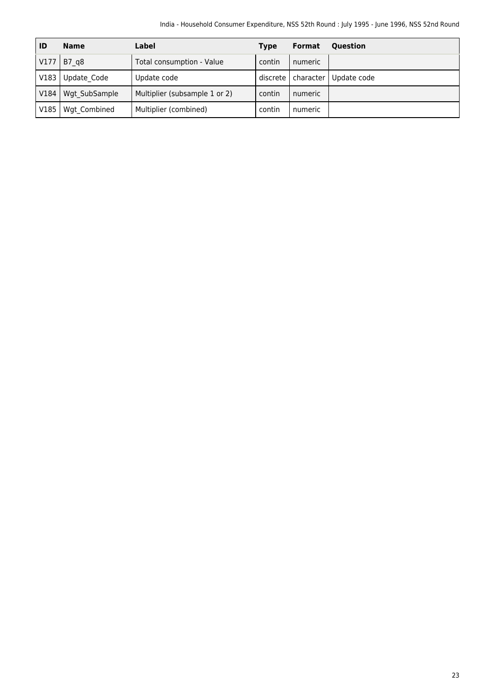India - Household Consumer Expenditure, NSS 52th Round : July 1995 - June 1996, NSS 52nd Round

| ID   | <b>Name</b>   | Label                         | <b>Type</b> | <b>Format</b> | <b>Ouestion</b>                    |
|------|---------------|-------------------------------|-------------|---------------|------------------------------------|
| V177 | B7 q8         | Total consumption - Value     | contin      | numeric       |                                    |
| V183 | Update Code   | Update code                   |             |               | discrete   character   Update code |
| V184 | Wgt SubSample | Multiplier (subsample 1 or 2) | contin      | numeric       |                                    |
| V185 | Wgt Combined  | Multiplier (combined)         | contin      | numeric       |                                    |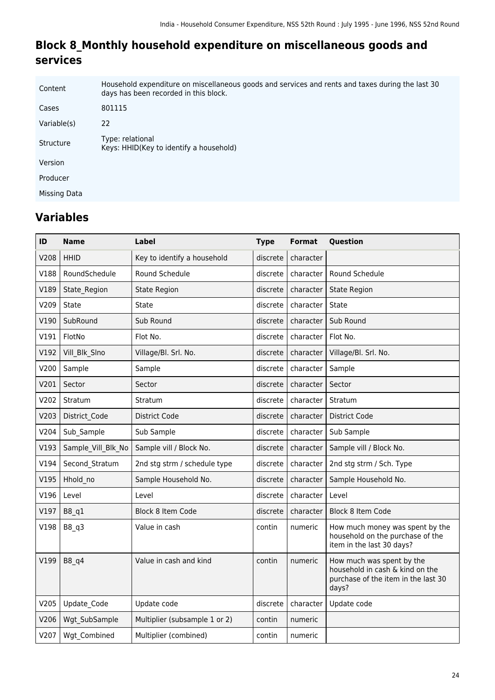### **Block 8\_Monthly household expenditure on miscellaneous goods and services**

| Content      | Household expenditure on miscellaneous goods and services and rents and taxes during the last 30<br>days has been recorded in this block. |
|--------------|-------------------------------------------------------------------------------------------------------------------------------------------|
| Cases        | 801115                                                                                                                                    |
| Variable(s)  | 22                                                                                                                                        |
| Structure    | Type: relational<br>Keys: HHID(Key to identify a household)                                                                               |
| Version      |                                                                                                                                           |
| Producer     |                                                                                                                                           |
| Missing Data |                                                                                                                                           |

| ID   | <b>Name</b>        | <b>Label</b>                  | <b>Type</b> | <b>Format</b> | Question                                                                                                     |
|------|--------------------|-------------------------------|-------------|---------------|--------------------------------------------------------------------------------------------------------------|
| V208 | <b>HHID</b>        | Key to identify a household   | discrete    | character     |                                                                                                              |
| V188 | RoundSchedule      | Round Schedule                | discrete    | character     | Round Schedule                                                                                               |
| V189 | State Region       | <b>State Region</b>           | discrete    | character     | <b>State Region</b>                                                                                          |
| V209 | State              | State                         | discrete    | character     | State                                                                                                        |
| V190 | SubRound           | Sub Round                     | discrete    | character     | Sub Round                                                                                                    |
| V191 | FlotNo             | Flot No.                      | discrete    | character     | Flot No.                                                                                                     |
| V192 | Vill_Blk_Slno      | Village/Bl. Srl. No.          | discrete    | character     | Village/Bl. Srl. No.                                                                                         |
| V200 | Sample             | Sample                        | discrete    | character     | Sample                                                                                                       |
| V201 | Sector             | Sector                        | discrete    | character     | Sector                                                                                                       |
| V202 | Stratum            | Stratum                       | discrete    | character     | Stratum                                                                                                      |
| V203 | District Code      | <b>District Code</b>          | discrete    | character     | <b>District Code</b>                                                                                         |
| V204 | Sub Sample         | Sub Sample                    | discrete    | character     | Sub Sample                                                                                                   |
| V193 | Sample_Vill_Blk_No | Sample vill / Block No.       | discrete    | character     | Sample vill / Block No.                                                                                      |
| V194 | Second Stratum     | 2nd stg strm / schedule type  | discrete    | character     | 2nd stg strm / Sch. Type                                                                                     |
| V195 | Hhold no           | Sample Household No.          | discrete    | character     | Sample Household No.                                                                                         |
| V196 | Level              | Level                         | discrete    | character     | Level                                                                                                        |
| V197 | $B8_q1$            | Block 8 Item Code             | discrete    | character     | Block 8 Item Code                                                                                            |
| V198 | $B8_q3$            | Value in cash                 | contin      | numeric       | How much money was spent by the<br>household on the purchase of the<br>item in the last 30 days?             |
| V199 | B8 q4              | Value in cash and kind        | contin      | numeric       | How much was spent by the<br>household in cash & kind on the<br>purchase of the item in the last 30<br>days? |
| V205 | Update Code        | Update code                   | discrete    | character     | Update code                                                                                                  |
| V206 | Wgt SubSample      | Multiplier (subsample 1 or 2) | contin      | numeric       |                                                                                                              |
| V207 | Wgt_Combined       | Multiplier (combined)         | contin      | numeric       |                                                                                                              |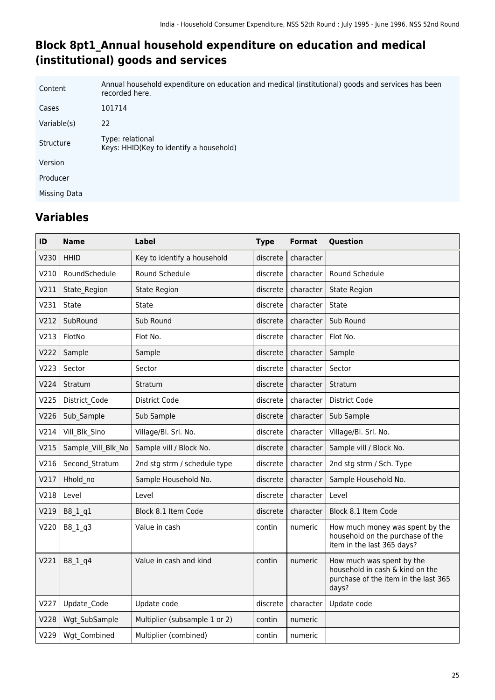### **Block 8pt1\_Annual household expenditure on education and medical (institutional) goods and services**

| Content      | Annual household expenditure on education and medical (institutional) goods and services has been<br>recorded here. |
|--------------|---------------------------------------------------------------------------------------------------------------------|
| Cases        | 101714                                                                                                              |
| Variable(s)  | 22                                                                                                                  |
| Structure    | Type: relational<br>Keys: HHID(Key to identify a household)                                                         |
| Version      |                                                                                                                     |
| Producer     |                                                                                                                     |
| Missing Data |                                                                                                                     |

| ID   | <b>Name</b>        | <b>Label</b>                  | <b>Type</b> | <b>Format</b> | Question                                                                                                      |
|------|--------------------|-------------------------------|-------------|---------------|---------------------------------------------------------------------------------------------------------------|
| V230 | <b>HHID</b>        | Key to identify a household   | discrete    | character     |                                                                                                               |
| V210 | RoundSchedule      | Round Schedule                | discrete    | character     | Round Schedule                                                                                                |
| V211 | State_Region       | <b>State Region</b>           | discrete    | character     | <b>State Region</b>                                                                                           |
| V231 | State              | <b>State</b>                  | discrete    | character     | State                                                                                                         |
| V212 | SubRound           | Sub Round                     | discrete    | character     | Sub Round                                                                                                     |
| V213 | FlotNo             | Flot No.                      | discrete    | character     | Flot No.                                                                                                      |
| V222 | Sample             | Sample                        | discrete    | character     | Sample                                                                                                        |
| V223 | Sector             | Sector                        | discrete    | character     | Sector                                                                                                        |
| V224 | Stratum            | Stratum                       | discrete    | character     | Stratum                                                                                                       |
| V225 | District_Code      | <b>District Code</b>          | discrete    | character     | <b>District Code</b>                                                                                          |
| V226 | Sub Sample         | Sub Sample                    | discrete    | character     | Sub Sample                                                                                                    |
| V214 | Vill_Blk_Slno      | Village/Bl. Srl. No.          | discrete    | character     | Village/Bl. Srl. No.                                                                                          |
| V215 | Sample Vill Blk No | Sample vill / Block No.       | discrete    | character     | Sample vill / Block No.                                                                                       |
| V216 | Second_Stratum     | 2nd stg strm / schedule type  | discrete    | character     | 2nd stg strm / Sch. Type                                                                                      |
| V217 | Hhold no           | Sample Household No.          | discrete    | character     | Sample Household No.                                                                                          |
| V218 | Level              | Level                         | discrete    | character     | Level                                                                                                         |
| V219 | B8_1_q1            | Block 8.1 Item Code           | discrete    | character     | Block 8.1 Item Code                                                                                           |
| V220 | B8 1 q3            | Value in cash                 | contin      | numeric       | How much money was spent by the<br>household on the purchase of the<br>item in the last 365 days?             |
| V221 | B8 1 q4            | Value in cash and kind        | contin      | numeric       | How much was spent by the<br>household in cash & kind on the<br>purchase of the item in the last 365<br>days? |
| V227 | Update Code        | Update code                   | discrete    | character     | Update code                                                                                                   |
| V228 | Wgt SubSample      | Multiplier (subsample 1 or 2) | contin      | numeric       |                                                                                                               |
| V229 | Wgt_Combined       | Multiplier (combined)         | contin      | numeric       |                                                                                                               |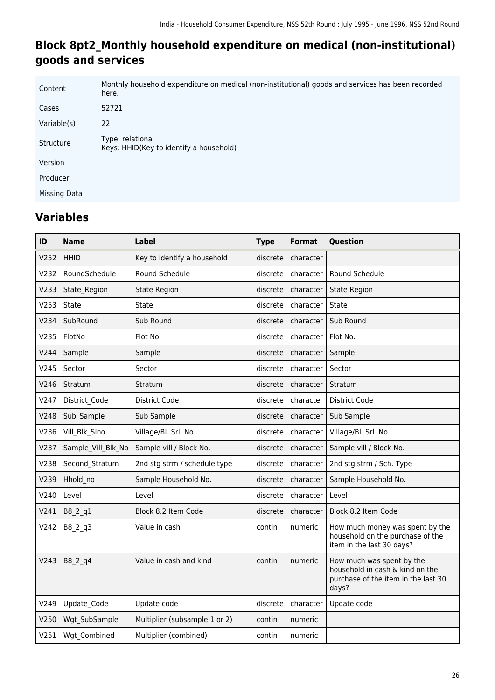### **Block 8pt2\_Monthly household expenditure on medical (non-institutional) goods and services**

| Content      | Monthly household expenditure on medical (non-institutional) goods and services has been recorded<br>here. |
|--------------|------------------------------------------------------------------------------------------------------------|
| Cases        | 52721                                                                                                      |
| Variable(s)  | 22                                                                                                         |
| Structure    | Type: relational<br>Keys: HHID(Key to identify a household)                                                |
| Version      |                                                                                                            |
| Producer     |                                                                                                            |
| Missing Data |                                                                                                            |

| ID   | <b>Name</b>        | <b>Label</b>                  | <b>Type</b> | <b>Format</b> | Question                                                                                                     |
|------|--------------------|-------------------------------|-------------|---------------|--------------------------------------------------------------------------------------------------------------|
| V252 | <b>HHID</b>        | Key to identify a household   | discrete    | character     |                                                                                                              |
| V232 | RoundSchedule      | Round Schedule                | discrete    | character     | Round Schedule                                                                                               |
| V233 | State_Region       | <b>State Region</b>           | discrete    | character     | <b>State Region</b>                                                                                          |
| V253 | State              | <b>State</b>                  | discrete    | character     | <b>State</b>                                                                                                 |
| V234 | SubRound           | Sub Round                     | discrete    | character     | Sub Round                                                                                                    |
| V235 | FlotNo             | Flot No.                      | discrete    | character     | Flot No.                                                                                                     |
| V244 | Sample             | Sample                        | discrete    | character     | Sample                                                                                                       |
| V245 | Sector             | Sector                        | discrete    | character     | Sector                                                                                                       |
| V246 | Stratum            | Stratum                       | discrete    | character     | Stratum                                                                                                      |
| V247 | District Code      | District Code                 | discrete    | character     | District Code                                                                                                |
| V248 | Sub_Sample         | Sub Sample                    | discrete    | character     | Sub Sample                                                                                                   |
| V236 | Vill_Blk_Slno      | Village/Bl. Srl. No.          | discrete    | character     | Village/Bl. Srl. No.                                                                                         |
| V237 | Sample_Vill_Blk_No | Sample vill / Block No.       | discrete    | character     | Sample vill / Block No.                                                                                      |
| V238 | Second Stratum     | 2nd stg strm / schedule type  | discrete    | character     | 2nd stg strm / Sch. Type                                                                                     |
| V239 | Hhold no           | Sample Household No.          | discrete    | character     | Sample Household No.                                                                                         |
| V240 | Level              | Level                         | discrete    | character     | Level                                                                                                        |
| V241 | B8_2_q1            | Block 8.2 Item Code           | discrete    | character     | Block 8.2 Item Code                                                                                          |
| V242 | B8_2_q3            | Value in cash                 | contin      | numeric       | How much money was spent by the<br>household on the purchase of the<br>item in the last 30 days?             |
| V243 | B8 2 q4            | Value in cash and kind        | contin      | numeric       | How much was spent by the<br>household in cash & kind on the<br>purchase of the item in the last 30<br>days? |
| V249 | Update_Code        | Update code                   | discrete    | character     | Update code                                                                                                  |
| V250 | Wgt SubSample      | Multiplier (subsample 1 or 2) | contin      | numeric       |                                                                                                              |
| V251 | Wgt_Combined       | Multiplier (combined)         | contin      | numeric       |                                                                                                              |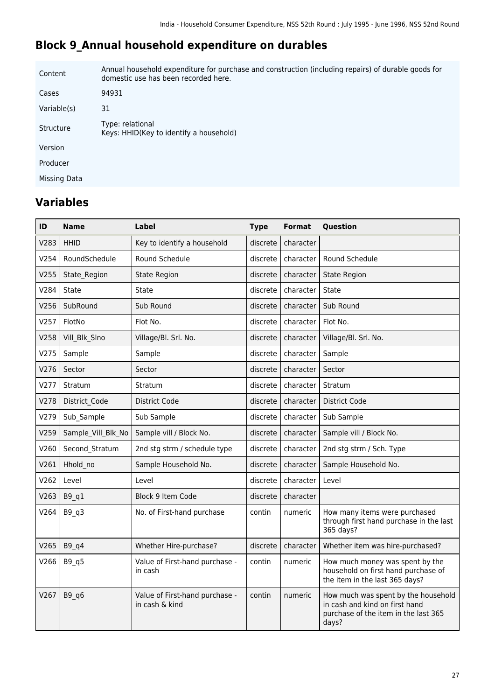# **Block 9\_Annual household expenditure on durables**

| Content      | Annual household expenditure for purchase and construction (including repairs) of durable goods for<br>domestic use has been recorded here. |
|--------------|---------------------------------------------------------------------------------------------------------------------------------------------|
| Cases        | 94931                                                                                                                                       |
| Variable(s)  | 31                                                                                                                                          |
| Structure    | Type: relational<br>Keys: HHID(Key to identify a household)                                                                                 |
| Version      |                                                                                                                                             |
| Producer     |                                                                                                                                             |
| Missing Data |                                                                                                                                             |

| ID   | <b>Name</b>        | Label                                            | <b>Type</b> | <b>Format</b> | Question                                                                                                               |
|------|--------------------|--------------------------------------------------|-------------|---------------|------------------------------------------------------------------------------------------------------------------------|
| V283 | <b>HHID</b>        | Key to identify a household                      | discrete    | character     |                                                                                                                        |
| V254 | RoundSchedule      | Round Schedule                                   | discrete    | character     | Round Schedule                                                                                                         |
| V255 | State Region       | <b>State Region</b>                              | discrete    | character     | <b>State Region</b>                                                                                                    |
| V284 | State              | State                                            | discrete    | character     | State                                                                                                                  |
| V256 | SubRound           | Sub Round                                        | discrete    | character     | Sub Round                                                                                                              |
| V257 | FlotNo             | Flot No.                                         | discrete    | character     | Flot No.                                                                                                               |
| V258 | Vill_Blk_SIno      | Village/Bl. Srl. No.                             | discrete    | character     | Village/Bl. Srl. No.                                                                                                   |
| V275 | Sample             | Sample                                           | discrete    | character     | Sample                                                                                                                 |
| V276 | Sector             | Sector                                           | discrete    | character     | Sector                                                                                                                 |
| V277 | Stratum            | Stratum                                          | discrete    | character     | Stratum                                                                                                                |
| V278 | District Code      | <b>District Code</b>                             | discrete    | character     | <b>District Code</b>                                                                                                   |
| V279 | Sub Sample         | Sub Sample                                       | discrete    | character     | Sub Sample                                                                                                             |
| V259 | Sample_Vill_Blk_No | Sample vill / Block No.                          | discrete    | character     | Sample vill / Block No.                                                                                                |
| V260 | Second Stratum     | 2nd stg strm / schedule type                     | discrete    | character     | 2nd stg strm / Sch. Type                                                                                               |
| V261 | Hhold no           | Sample Household No.                             | discrete    | character     | Sample Household No.                                                                                                   |
| V262 | Level              | Level                                            | discrete    | character     | Level                                                                                                                  |
| V263 | $B9_q1$            | Block 9 Item Code                                | discrete    | character     |                                                                                                                        |
| V264 | B9q3               | No. of First-hand purchase                       | contin      | numeric       | How many items were purchased<br>through first hand purchase in the last<br>365 days?                                  |
| V265 | $B9_q4$            | Whether Hire-purchase?                           | discrete    | character     | Whether item was hire-purchased?                                                                                       |
| V266 | $B9_q5$            | Value of First-hand purchase -<br>in cash        | contin      | numeric       | How much money was spent by the<br>household on first hand purchase of<br>the item in the last 365 days?               |
| V267 | $B9_q6$            | Value of First-hand purchase -<br>in cash & kind | contin      | numeric       | How much was spent by the household<br>in cash and kind on first hand<br>purchase of the item in the last 365<br>days? |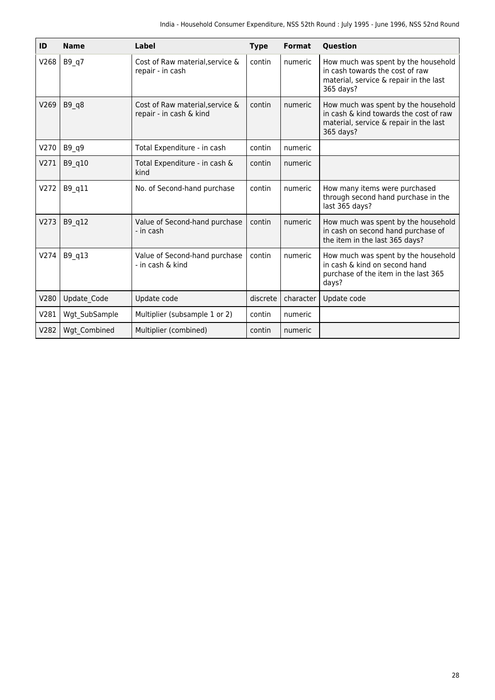| ID   | <b>Name</b>   | Label                                                      | <b>Type</b> | <b>Format</b> | <b>Ouestion</b>                                                                                                                      |
|------|---------------|------------------------------------------------------------|-------------|---------------|--------------------------------------------------------------------------------------------------------------------------------------|
| V268 | B9 q7         | Cost of Raw material, service &<br>repair - in cash        | contin      | numeric       | How much was spent by the household<br>in cash towards the cost of raw<br>material, service & repair in the last<br>365 days?        |
| V269 | $B9_q8$       | Cost of Raw material, service &<br>repair - in cash & kind | contin      | numeric       | How much was spent by the household<br>in cash & kind towards the cost of raw<br>material, service & repair in the last<br>365 days? |
| V270 | $B9_q9$       | Total Expenditure - in cash                                | contin      | numeric       |                                                                                                                                      |
| V271 | B9 q10        | Total Expenditure - in cash &<br>kind                      | contin      | numeric       |                                                                                                                                      |
| V272 | B9 q11        | No. of Second-hand purchase                                | contin      | numeric       | How many items were purchased<br>through second hand purchase in the<br>last 365 days?                                               |
| V273 | B9 q12        | Value of Second-hand purchase<br>- in cash                 | contin      | numeric       | How much was spent by the household<br>in cash on second hand purchase of<br>the item in the last 365 days?                          |
| V274 | B9 q13        | Value of Second-hand purchase<br>- in cash & kind          | contin      | numeric       | How much was spent by the household<br>in cash & kind on second hand<br>purchase of the item in the last 365<br>days?                |
| V280 | Update Code   | Update code                                                | discrete    | character     | Update code                                                                                                                          |
| V281 | Wgt SubSample | Multiplier (subsample 1 or 2)                              | contin      | numeric       |                                                                                                                                      |
| V282 | Wgt Combined  | Multiplier (combined)                                      | contin      | numeric       |                                                                                                                                      |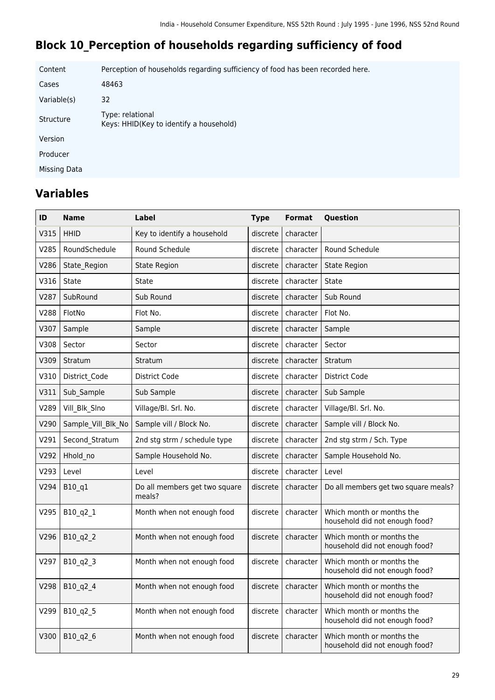# **Block 10\_Perception of households regarding sufficiency of food**

| Content      | Perception of households regarding sufficiency of food has been recorded here. |
|--------------|--------------------------------------------------------------------------------|
| Cases        | 48463                                                                          |
| Variable(s)  | 32                                                                             |
| Structure    | Type: relational<br>Keys: HHID(Key to identify a household)                    |
| Version      |                                                                                |
| Producer     |                                                                                |
| Missing Data |                                                                                |

| ID   | <b>Name</b>        | Label                                   | <b>Type</b> | <b>Format</b> | Question                                                    |
|------|--------------------|-----------------------------------------|-------------|---------------|-------------------------------------------------------------|
| V315 | HHID               | Key to identify a household             | discrete    | character     |                                                             |
| V285 | RoundSchedule      | Round Schedule                          | discrete    | character     | Round Schedule                                              |
| V286 | State_Region       | <b>State Region</b>                     | discrete    | character     | <b>State Region</b>                                         |
| V316 | State              | State                                   | discrete    | character     | State                                                       |
| V287 | SubRound           | Sub Round                               | discrete    | character     | Sub Round                                                   |
| V288 | FlotNo             | Flot No.                                | discrete    | character     | Flot No.                                                    |
| V307 | Sample             | Sample                                  | discrete    | character     | Sample                                                      |
| V308 | Sector             | Sector                                  | discrete    | character     | Sector                                                      |
| V309 | Stratum            | Stratum                                 | discrete    | character     | Stratum                                                     |
| V310 | District_Code      | District Code                           | discrete    | character     | District Code                                               |
| V311 | Sub Sample         | Sub Sample                              | discrete    | character     | Sub Sample                                                  |
| V289 | Vill_Blk_Slno      | Village/Bl. Srl. No.                    | discrete    | character     | Village/Bl. Srl. No.                                        |
| V290 | Sample Vill Blk No | Sample vill / Block No.                 | discrete    | character     | Sample vill / Block No.                                     |
| V291 | Second Stratum     | 2nd stg strm / schedule type            | discrete    | character     | 2nd stg strm / Sch. Type                                    |
| V292 | Hhold no           | Sample Household No.                    | discrete    | character     | Sample Household No.                                        |
| V293 | Level              | Level                                   | discrete    | character     | Level                                                       |
| V294 | B10 q1             | Do all members get two square<br>meals? | discrete    | character     | Do all members get two square meals?                        |
| V295 | B10_q2_1           | Month when not enough food              | discrete    | character     | Which month or months the<br>household did not enough food? |
| V296 | B10_q2_2           | Month when not enough food              | discrete    | character     | Which month or months the<br>household did not enough food? |
| V297 | B10_q2_3           | Month when not enough food              | discrete    | character     | Which month or months the<br>household did not enough food? |
| V298 | B10_q2_4           | Month when not enough food              | discrete    | character     | Which month or months the<br>household did not enough food? |
| V299 | B10_q2_5           | Month when not enough food              | discrete    | character     | Which month or months the<br>household did not enough food? |
| V300 | B10_q2_6           | Month when not enough food              | discrete    | character     | Which month or months the<br>household did not enough food? |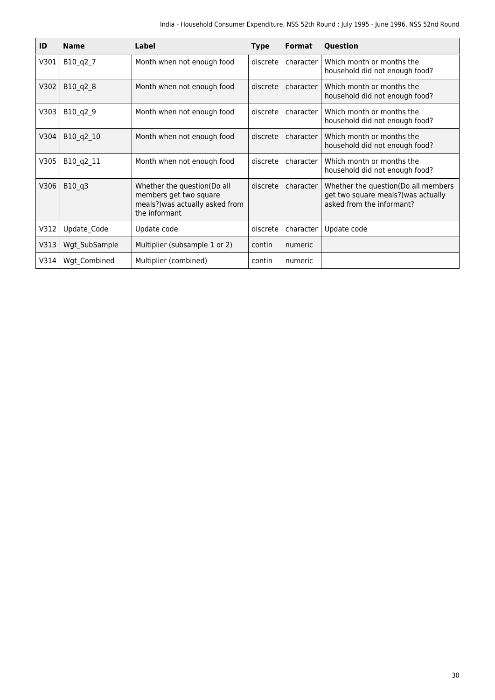| ID   | <b>Name</b>   | Label                                                                                                     | Type     | <b>Format</b> | Question                                                                                                |
|------|---------------|-----------------------------------------------------------------------------------------------------------|----------|---------------|---------------------------------------------------------------------------------------------------------|
| V301 | B10_q2_7      | Month when not enough food                                                                                | discrete | character     | Which month or months the<br>household did not enough food?                                             |
| V302 | B10_q2_8      | Month when not enough food                                                                                | discrete | character     | Which month or months the<br>household did not enough food?                                             |
| V303 | B10_q2_9      | Month when not enough food                                                                                | discrete | character     | Which month or months the<br>household did not enough food?                                             |
| V304 | B10_q2_10     | Month when not enough food                                                                                | discrete | character     | Which month or months the<br>household did not enough food?                                             |
| V305 | B10_q2_11     | Month when not enough food                                                                                | discrete | character     | Which month or months the<br>household did not enough food?                                             |
| V306 | B10 q3        | Whether the question(Do all<br>members get two square<br>meals?) was actually asked from<br>the informant | discrete | character     | Whether the question(Do all members<br>get two square meals?) was actually<br>asked from the informant? |
| V312 | Update Code   | Update code                                                                                               | discrete | character     | Update code                                                                                             |
| V313 | Wgt SubSample | Multiplier (subsample 1 or 2)                                                                             | contin   | numeric       |                                                                                                         |
| V314 | Wgt Combined  | Multiplier (combined)                                                                                     | contin   | numeric       |                                                                                                         |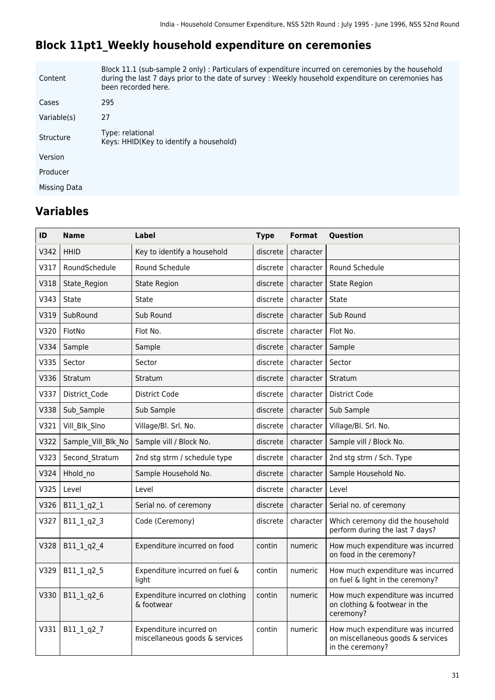# **Block 11pt1\_Weekly household expenditure on ceremonies**

| Content      | Block 11.1 (sub-sample 2 only): Particulars of expenditure incurred on ceremonies by the household<br>during the last 7 days prior to the date of survey : Weekly household expenditure on ceremonies has<br>been recorded here. |
|--------------|----------------------------------------------------------------------------------------------------------------------------------------------------------------------------------------------------------------------------------|
| Cases        | 295                                                                                                                                                                                                                              |
| Variable(s)  | 27                                                                                                                                                                                                                               |
| Structure    | Type: relational<br>Keys: HHID(Key to identify a household)                                                                                                                                                                      |
| Version      |                                                                                                                                                                                                                                  |
| Producer     |                                                                                                                                                                                                                                  |
| Missing Data |                                                                                                                                                                                                                                  |

| ID   | <b>Name</b>        | <b>Label</b>                                              | <b>Type</b> | Format    | Question                                                                                   |
|------|--------------------|-----------------------------------------------------------|-------------|-----------|--------------------------------------------------------------------------------------------|
| V342 | <b>HHID</b>        | Key to identify a household                               | discrete    | character |                                                                                            |
| V317 | RoundSchedule      | Round Schedule                                            | discrete    | character | Round Schedule                                                                             |
| V318 | State_Region       | <b>State Region</b>                                       | discrete    | character | <b>State Region</b>                                                                        |
| V343 | <b>State</b>       | State                                                     | discrete    | character | State                                                                                      |
| V319 | SubRound           | Sub Round                                                 | discrete    | character | Sub Round                                                                                  |
| V320 | FlotNo             | Flot No.                                                  | discrete    | character | Flot No.                                                                                   |
| V334 | Sample             | Sample                                                    | discrete    | character | Sample                                                                                     |
| V335 | Sector             | Sector                                                    | discrete    | character | Sector                                                                                     |
| V336 | Stratum            | Stratum                                                   | discrete    | character | Stratum                                                                                    |
| V337 | District Code      | <b>District Code</b>                                      | discrete    | character | <b>District Code</b>                                                                       |
| V338 | Sub Sample         | Sub Sample                                                | discrete    | character | Sub Sample                                                                                 |
| V321 | Vill_Blk_Slno      | Village/Bl. Srl. No.                                      | discrete    | character | Village/Bl. Srl. No.                                                                       |
| V322 | Sample_Vill_Blk_No | Sample vill / Block No.                                   | discrete    | character | Sample vill / Block No.                                                                    |
| V323 | Second Stratum     | 2nd stg strm / schedule type                              | discrete    | character | 2nd stg strm / Sch. Type                                                                   |
| V324 | Hhold no           | Sample Household No.                                      | discrete    | character | Sample Household No.                                                                       |
| V325 | Level              | Level                                                     | discrete    | character | Level                                                                                      |
| V326 | B11_1_q2_1         | Serial no. of ceremony                                    | discrete    | character | Serial no. of ceremony                                                                     |
| V327 | B11_1_q2_3         | Code (Ceremony)                                           | discrete    | character | Which ceremony did the household<br>perform during the last 7 days?                        |
| V328 | B11_1_q2_4         | Expenditure incurred on food                              | contin      | numeric   | How much expenditure was incurred<br>on food in the ceremony?                              |
| V329 | B11_1_q2_5         | Expenditure incurred on fuel &<br>light                   | contin      | numeric   | How much expenditure was incurred<br>on fuel & light in the ceremony?                      |
| V330 | B11_1_q2_6         | Expenditure incurred on clothing<br>& footwear            | contin      | numeric   | How much expenditure was incurred<br>on clothing & footwear in the<br>ceremony?            |
| V331 | B11_1_q2_7         | Expenditure incurred on<br>miscellaneous goods & services | contin      | numeric   | How much expenditure was incurred<br>on miscellaneous goods & services<br>in the ceremony? |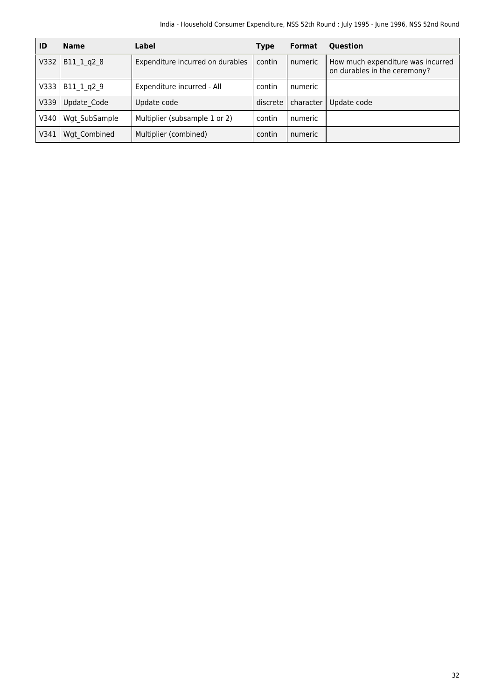| ID   | <b>Name</b>   | Label                            | <b>Type</b> | <b>Format</b> | <b>Ouestion</b>                                                   |
|------|---------------|----------------------------------|-------------|---------------|-------------------------------------------------------------------|
| V332 | B11 1 q2 8    | Expenditure incurred on durables | contin      | numeric       | How much expenditure was incurred<br>on durables in the ceremony? |
| V333 | B11 1 q2 9    | Expenditure incurred - All       | contin      | numeric       |                                                                   |
| V339 | Update Code   | Update code                      | discrete    | character     | Update code                                                       |
| V340 | Wgt SubSample | Multiplier (subsample 1 or 2)    | contin      | numeric       |                                                                   |
| V341 | Wgt Combined  | Multiplier (combined)            | contin      | numeric       |                                                                   |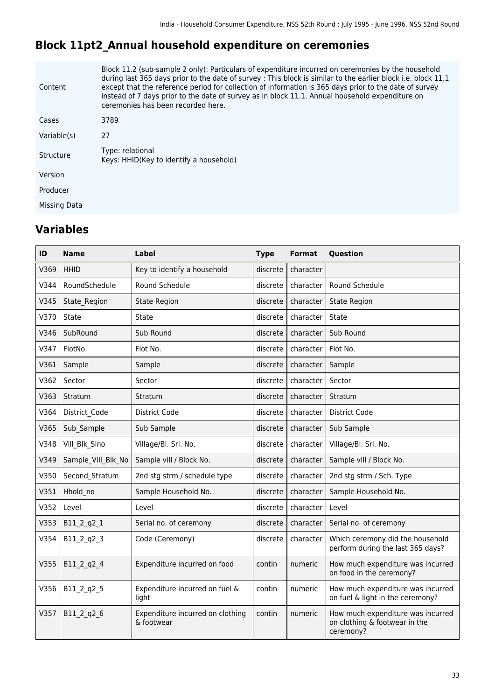# **Block 11pt2\_Annual household expenditure on ceremonies**

| Content      | Block 11.2 (sub-sample 2 only): Particulars of expenditure incurred on ceremonies by the household<br>during last 365 days prior to the date of survey: This block is similar to the earlier block i.e. block 11.1<br>except that the reference period for collection of information is 365 days prior to the date of survey<br>instead of 7 days prior to the date of survey as in block 11.1. Annual household expenditure on<br>ceremonies has been recorded here. |
|--------------|-----------------------------------------------------------------------------------------------------------------------------------------------------------------------------------------------------------------------------------------------------------------------------------------------------------------------------------------------------------------------------------------------------------------------------------------------------------------------|
| Cases        | 3789                                                                                                                                                                                                                                                                                                                                                                                                                                                                  |
| Variable(s)  | 27                                                                                                                                                                                                                                                                                                                                                                                                                                                                    |
| Structure    | Type: relational<br>Keys: HHID(Key to identify a household)                                                                                                                                                                                                                                                                                                                                                                                                           |
| Version      |                                                                                                                                                                                                                                                                                                                                                                                                                                                                       |
| Producer     |                                                                                                                                                                                                                                                                                                                                                                                                                                                                       |
| Missing Data |                                                                                                                                                                                                                                                                                                                                                                                                                                                                       |

| ID   | <b>Name</b>        | <b>Label</b>                                   | <b>Type</b> | <b>Format</b> | Question                                                                        |
|------|--------------------|------------------------------------------------|-------------|---------------|---------------------------------------------------------------------------------|
| V369 | <b>HHID</b>        | Key to identify a household                    | discrete    | character     |                                                                                 |
| V344 | RoundSchedule      | Round Schedule                                 | discrete    | character     | Round Schedule                                                                  |
| V345 | State_Region       | <b>State Region</b>                            | discrete    | character     | <b>State Region</b>                                                             |
| V370 | State              | State                                          | discrete    | character     | State                                                                           |
| V346 | SubRound           | Sub Round                                      | discrete    | character     | Sub Round                                                                       |
| V347 | FlotNo             | Flot No.                                       | discrete    | character     | Flot No.                                                                        |
| V361 | Sample             | Sample                                         | discrete    | character     | Sample                                                                          |
| V362 | Sector             | Sector                                         | discrete    | character     | Sector                                                                          |
| V363 | Stratum            | Stratum                                        | discrete    | character     | Stratum                                                                         |
| V364 | District Code      | District Code                                  | discrete    | character     | District Code                                                                   |
| V365 | Sub Sample         | Sub Sample                                     | discrete    | character     | Sub Sample                                                                      |
| V348 | Vill Blk Slno      | Village/Bl. Srl. No.                           | discrete    | character     | Village/Bl. Srl. No.                                                            |
| V349 | Sample Vill Blk No | Sample vill / Block No.                        | discrete    | character     | Sample vill / Block No.                                                         |
| V350 | Second Stratum     | 2nd stg strm / schedule type                   | discrete    | character     | 2nd stg strm / Sch. Type                                                        |
| V351 | Hhold no           | Sample Household No.                           | discrete    | character     | Sample Household No.                                                            |
| V352 | Level              | Level                                          | discrete    | character     | Level                                                                           |
| V353 | B11_2_q2_1         | Serial no. of ceremony                         | discrete    | character     | Serial no. of ceremony                                                          |
| V354 | B11_2_q2_3         | Code (Ceremony)                                | discrete    | character     | Which ceremony did the household<br>perform during the last 365 days?           |
| V355 | B11_2_q2_4         | Expenditure incurred on food                   | contin      | numeric       | How much expenditure was incurred<br>on food in the ceremony?                   |
| V356 | B11_2_q2_5         | Expenditure incurred on fuel &<br>light        | contin      | numeric       | How much expenditure was incurred<br>on fuel & light in the ceremony?           |
| V357 | B11_2_q2_6         | Expenditure incurred on clothing<br>& footwear | contin      | numeric       | How much expenditure was incurred<br>on clothing & footwear in the<br>ceremony? |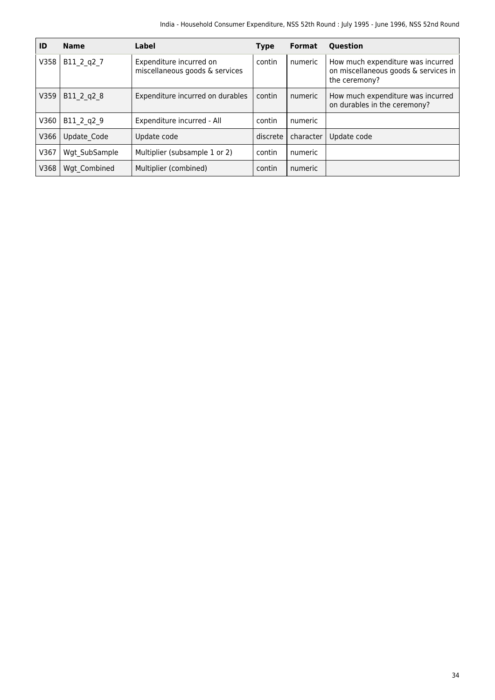| ID   | <b>Name</b>   | Label                                                     | <b>Type</b> | <b>Format</b> | <b>Ouestion</b>                                                                            |
|------|---------------|-----------------------------------------------------------|-------------|---------------|--------------------------------------------------------------------------------------------|
| V358 | B11 2 q2 7    | Expenditure incurred on<br>miscellaneous goods & services | contin      | numeric       | How much expenditure was incurred<br>on miscellaneous goods & services in<br>the ceremony? |
| V359 | B11 2 q2 8    | Expenditure incurred on durables                          | contin      | numeric       | How much expenditure was incurred<br>on durables in the ceremony?                          |
| V360 | B11 2 q2 9    | Expenditure incurred - All                                | contin      | numeric       |                                                                                            |
| V366 | Update Code   | Update code                                               | discrete    | character     | Update code                                                                                |
| V367 | Wgt SubSample | Multiplier (subsample 1 or 2)                             | contin      | numeric       |                                                                                            |
| V368 | Wgt Combined  | Multiplier (combined)                                     | contin      | numeric       |                                                                                            |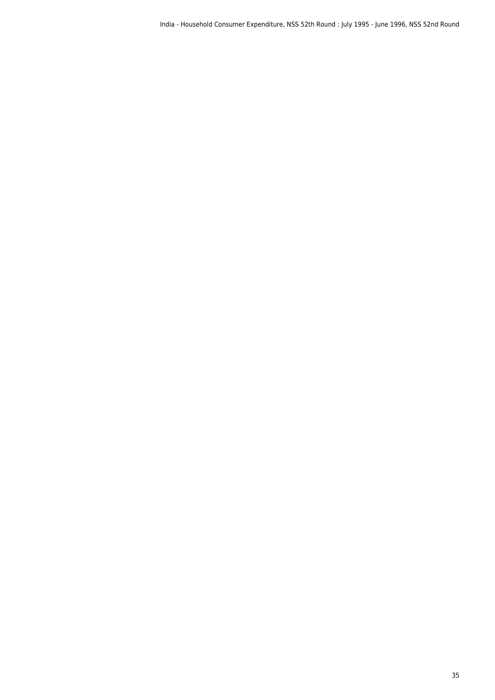India - Household Consumer Expenditure, NSS 52th Round : July 1995 - June 1996, NSS 52nd Round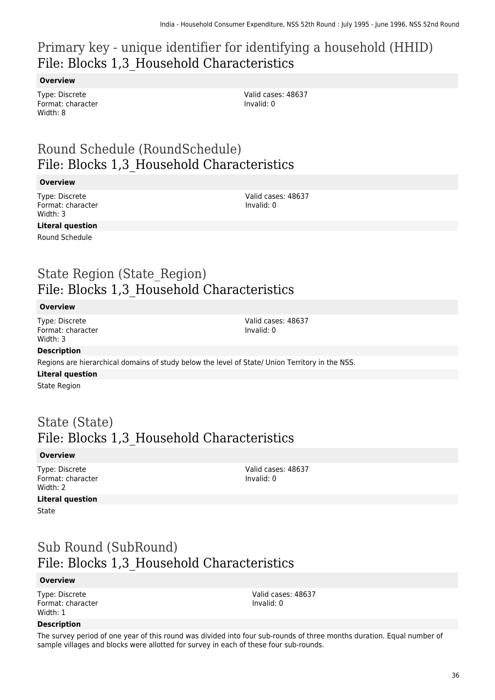# Primary key - unique identifier for identifying a household (HHID) File: Blocks 1,3\_Household Characteristics

**Overview**

Type: Discrete Format: character Width: 8

Valid cases: 48637 Invalid: 0

# Round Schedule (RoundSchedule) File: Blocks 1,3\_Household Characteristics

#### **Overview**

Type: Discrete Format: character Width: 3

Valid cases: 48637 Invalid: 0

#### **Literal question**

Round Schedule

### State Region (State\_Region) File: Blocks 1,3\_Household Characteristics

#### **Overview**

Type: Discrete Format: character Width: 3

Valid cases: 48637 Invalid: 0

#### **Description**

Regions are hierarchical domains of study below the level of State/ Union Territory in the NSS.

#### **Literal question**

State Region

# State (State) File: Blocks 1,3\_Household Characteristics

#### **Overview**

Type: Discrete Format: character Width: 2

Valid cases: 48637 Invalid: 0

#### **Literal question**

**State** 

### Sub Round (SubRound) File: Blocks 1,3\_Household Characteristics

#### **Overview**

Type: Discrete Format: character Width: 1

Valid cases: 48637 Invalid: 0

#### **Description**

The survey period of one year of this round was divided into four sub-rounds of three months duration. Equal number of sample villages and blocks were allotted for survey in each of these four sub-rounds.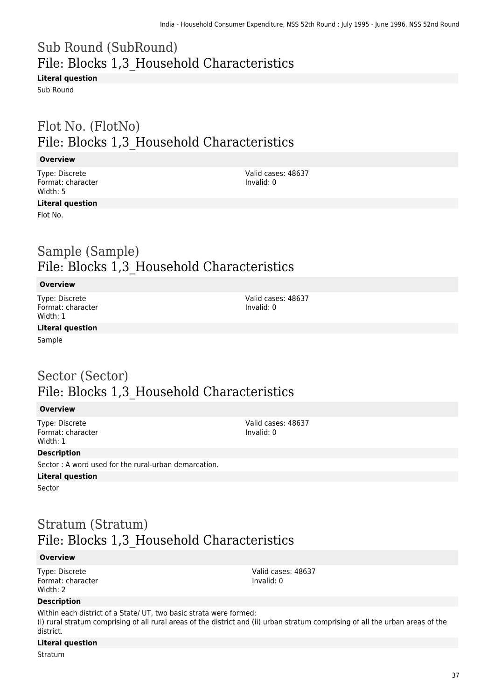### Sub Round (SubRound) File: Blocks 1,3\_Household Characteristics **Literal question**

Sub Round

### Flot No. (FlotNo) File: Blocks 1,3\_Household Characteristics

#### **Overview**

Type: Discrete Format: character Width: 5

Valid cases: 48637 Invalid: 0

**Literal question** Flot No.

### Sample (Sample) File: Blocks 1,3\_Household Characteristics

#### **Overview**

Type: Discrete Format: character Width: 1

Valid cases: 48637 Invalid: 0

# **Literal question**

Sample

### Sector (Sector) File: Blocks 1,3\_Household Characteristics

#### **Overview**

Type: Discrete Format: character Width: 1

Valid cases: 48637 Invalid: 0

#### **Description**

Sector : A word used for the rural-urban demarcation.

### **Literal question**

Sector

### Stratum (Stratum) File: Blocks 1,3\_Household Characteristics

#### **Overview**

Type: Discrete Format: character Width: 2

Valid cases: 48637 Invalid: 0

#### **Description**

Within each district of a State/ UT, two basic strata were formed: (i) rural stratum comprising of all rural areas of the district and (ii) urban stratum comprising of all the urban areas of the district.

#### **Literal question**

Stratum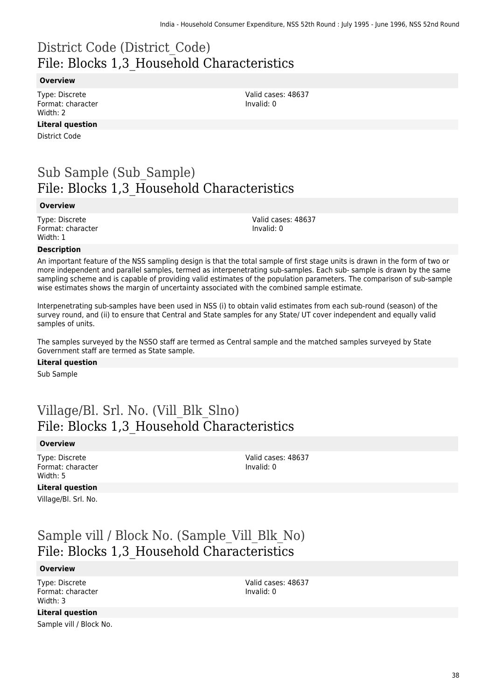### District Code (District\_Code) File: Blocks 1,3\_Household Characteristics

**Overview**

Type: Discrete Format: character Width: 2

**Literal question**

District Code

### Sub Sample (Sub\_Sample) File: Blocks 1,3\_Household Characteristics

#### **Overview**

Type: Discrete Format: character Width: 1

Valid cases: 48637 Invalid: 0

Valid cases: 48637

Invalid: 0

#### **Description**

An important feature of the NSS sampling design is that the total sample of first stage units is drawn in the form of two or more independent and parallel samples, termed as interpenetrating sub-samples. Each sub- sample is drawn by the same sampling scheme and is capable of providing valid estimates of the population parameters. The comparison of sub-sample wise estimates shows the margin of uncertainty associated with the combined sample estimate.

Interpenetrating sub-samples have been used in NSS (i) to obtain valid estimates from each sub-round (season) of the survey round, and (ii) to ensure that Central and State samples for any State/ UT cover independent and equally valid samples of units.

The samples surveyed by the NSSO staff are termed as Central sample and the matched samples surveyed by State Government staff are termed as State sample.

#### **Literal question**

Sub Sample

### Village/Bl. Srl. No. (Vill\_Blk\_Slno) File: Blocks 1,3\_Household Characteristics

#### **Overview**

Type: Discrete Format: character Width: 5

Valid cases: 48637 Invalid: 0

### **Literal question**

Village/Bl. Srl. No.

### Sample vill / Block No. (Sample\_Vill\_Blk\_No) File: Blocks 1,3\_Household Characteristics

#### **Overview**

Type: Discrete Format: character Width: 3

Valid cases: 48637 Invalid: 0

**Literal question**

Sample vill / Block No.

38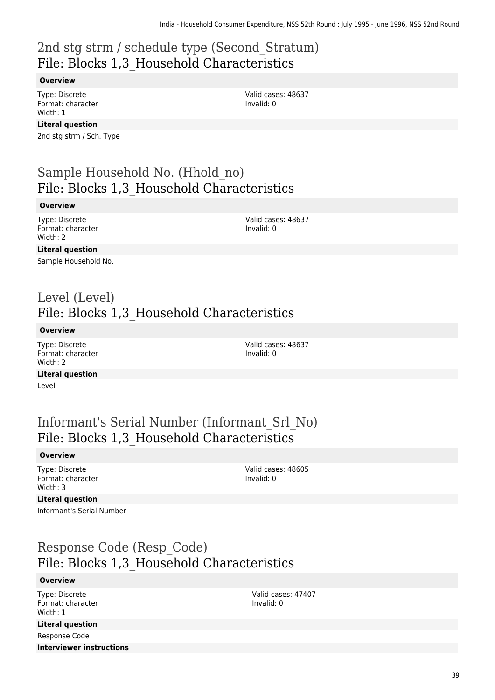# 2nd stg strm / schedule type (Second\_Stratum) File: Blocks 1,3\_Household Characteristics

#### **Overview**

Type: Discrete Format: character Width: 1

**Literal question**

2nd stg strm / Sch. Type

### Sample Household No. (Hhold\_no) File: Blocks 1,3\_Household Characteristics

#### **Overview**

Type: Discrete Format: character Width: 2

#### **Literal question**

Sample Household No.

### Level (Level) File: Blocks 1,3\_Household Characteristics

#### **Overview**

Type: Discrete Format: character Width: 2

Valid cases: 48637 Invalid: 0

### **Literal question**

Level

### Informant's Serial Number (Informant\_Srl\_No) File: Blocks 1,3\_Household Characteristics

#### **Overview**

Type: Discrete Format: character Width: 3

Valid cases: 48605 Invalid: 0

#### **Literal question**

Informant's Serial Number

### Response Code (Resp\_Code) File: Blocks 1,3 Household Characteristics

#### **Overview**

Type: Discrete Format: character Width: 1

Valid cases: 47407 Invalid: 0

### **Literal question**

Response Code **Interviewer instructions** Valid cases: 48637 Invalid: 0

Valid cases: 48637

Invalid: 0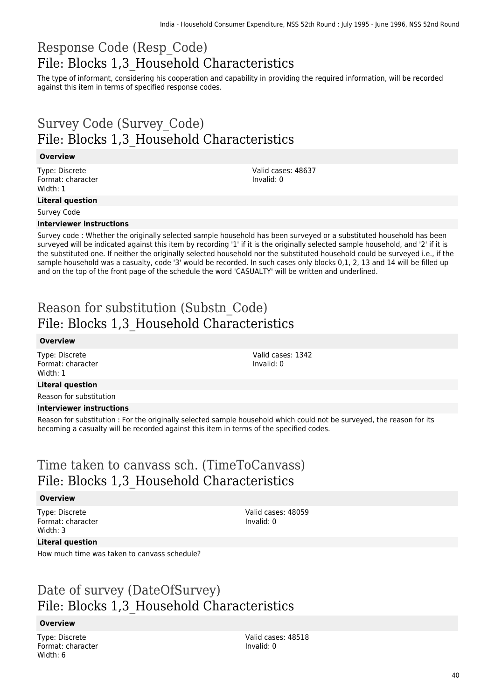# Response Code (Resp\_Code) File: Blocks 1,3\_Household Characteristics

The type of informant, considering his cooperation and capability in providing the required information, will be recorded against this item in terms of specified response codes.

### Survey Code (Survey\_Code) File: Blocks 1,3\_Household Characteristics

#### **Overview**

Type: Discrete Format: character Width: 1

Valid cases: 48637 Invalid: 0

### **Literal question**

Survey Code

#### **Interviewer instructions**

Survey code : Whether the originally selected sample household has been surveyed or a substituted household has been surveyed will be indicated against this item by recording '1' if it is the originally selected sample household, and '2' if it is the substituted one. If neither the originally selected household nor the substituted household could be surveyed i.e., if the sample household was a casualty, code '3' would be recorded. In such cases only blocks 0,1, 2, 13 and 14 will be filled up and on the top of the front page of the schedule the word 'CASUALTY' will be written and underlined.

### Reason for substitution (Substn\_Code) File: Blocks 1,3\_Household Characteristics

#### **Overview**

Type: Discrete Format: character Width: 1

Valid cases: 1342 Invalid: 0

#### **Literal question**

Reason for substitution

#### **Interviewer instructions**

Reason for substitution : For the originally selected sample household which could not be surveyed, the reason for its becoming a casualty will be recorded against this item in terms of the specified codes.

### Time taken to canvass sch. (TimeToCanvass) File: Blocks 1,3\_Household Characteristics

#### **Overview**

Type: Discrete Format: character Width: 3

Valid cases: 48059 Invalid: 0

#### **Literal question**

How much time was taken to canvass schedule?

### Date of survey (DateOfSurvey) File: Blocks 1,3\_Household Characteristics

#### **Overview**

Type: Discrete Format: character Width: 6

Valid cases: 48518 Invalid: 0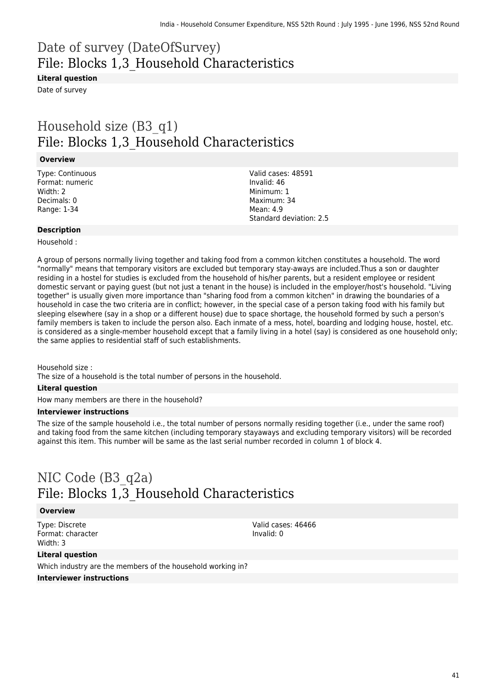### Date of survey (DateOfSurvey) File: Blocks 1,3\_Household Characteristics **Literal question**

Date of survey

# Household size (B3\_q1) File: Blocks 1,3\_Household Characteristics

#### **Overview**

Type: Continuous Format: numeric Width: 2 Decimals: 0 Range: 1-34

Valid cases: 48591 Invalid: 46 Minimum: 1 Maximum: 34 Mean: 4.9 Standard deviation: 2.5

#### **Description**

Household :

A group of persons normally living together and taking food from a common kitchen constitutes a household. The word "normally" means that temporary visitors are excluded but temporary stay-aways are included.Thus a son or daughter residing in a hostel for studies is excluded from the household of his/her parents, but a resident employee or resident domestic servant or paying guest (but not just a tenant in the house) is included in the employer/host's household. "Living together" is usually given more importance than "sharing food from a common kitchen" in drawing the boundaries of a household in case the two criteria are in conflict; however, in the special case of a person taking food with his family but sleeping elsewhere (say in a shop or a different house) due to space shortage, the household formed by such a person's family members is taken to include the person also. Each inmate of a mess, hotel, boarding and lodging house, hostel, etc. is considered as a single-member household except that a family living in a hotel (say) is considered as one household only; the same applies to residential staff of such establishments.

Household size : The size of a household is the total number of persons in the household.

#### **Literal question**

How many members are there in the household?

#### **Interviewer instructions**

The size of the sample household i.e., the total number of persons normally residing together (i.e., under the same roof) and taking food from the same kitchen (including temporary stayaways and excluding temporary visitors) will be recorded against this item. This number will be same as the last serial number recorded in column 1 of block 4.

# NIC Code (B3\_q2a) File: Blocks 1,3\_Household Characteristics

#### **Overview**

Type: Discrete Format: character Width: 3

Valid cases: 46466 Invalid: 0

#### **Literal question**

Which industry are the members of the household working in?

**Interviewer instructions**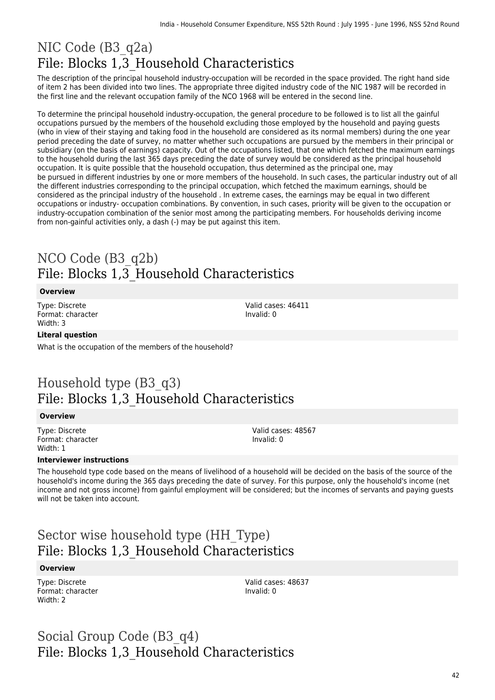# NIC Code (B3\_q2a) File: Blocks 1,3 Household Characteristics

The description of the principal household industry-occupation will be recorded in the space provided. The right hand side of item 2 has been divided into two lines. The appropriate three digited industry code of the NIC 1987 will be recorded in the first line and the relevant occupation family of the NCO 1968 will be entered in the second line.

To determine the principal household industry-occupation, the general procedure to be followed is to list all the gainful occupations pursued by the members of the household excluding those employed by the household and paying guests (who in view of their staying and taking food in the household are considered as its normal members) during the one year period preceding the date of survey, no matter whether such occupations are pursued by the members in their principal or subsidiary (on the basis of earnings) capacity. Out of the occupations listed, that one which fetched the maximum earnings to the household during the last 365 days preceding the date of survey would be considered as the principal household occupation. It is quite possible that the household occupation, thus determined as the principal one, may be pursued in different industries by one or more members of the household. In such cases, the particular industry out of all the different industries corresponding to the principal occupation, which fetched the maximum earnings, should be considered as the principal industry of the household . In extreme cases, the earnings may be equal in two different occupations or industry- occupation combinations. By convention, in such cases, priority will be given to the occupation or industry-occupation combination of the senior most among the participating members. For households deriving income from non-gainful activities only, a dash (-) may be put against this item.

# NCO Code (B3\_q2b) File: Blocks 1,3\_Household Characteristics

#### **Overview**

Type: Discrete Format: character Width: 3

#### **Literal question**

What is the occupation of the members of the household?

# Household type (B3\_q3) File: Blocks 1,3\_Household Characteristics

#### **Overview**

Type: Discrete Format: character Width: 1

Valid cases: 48567 Invalid: 0

Valid cases: 46411

Invalid: 0

#### **Interviewer instructions**

The household type code based on the means of livelihood of a household will be decided on the basis of the source of the household's income during the 365 days preceding the date of survey. For this purpose, only the household's income (net income and not gross income) from gainful employment will be considered; but the incomes of servants and paying guests will not be taken into account.

### Sector wise household type (HH\_Type) File: Blocks 1,3\_Household Characteristics

#### **Overview**

Type: Discrete Format: character Width: 2

Valid cases: 48637 Invalid: 0

Social Group Code (B3\_q4) File: Blocks 1,3\_Household Characteristics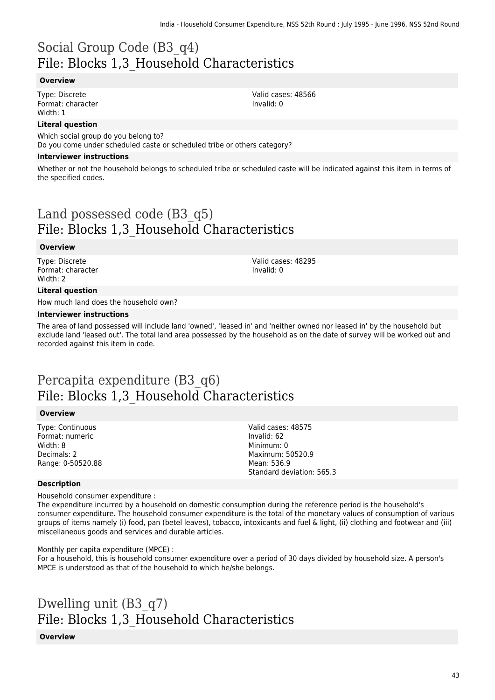### Social Group Code (B3\_q4) File: Blocks 1,3\_Household Characteristics

#### **Overview**

Type: Discrete Format: character Width: 1

#### **Literal question**

Which social group do you belong to? Do you come under scheduled caste or scheduled tribe or others category?

#### **Interviewer instructions**

Whether or not the household belongs to scheduled tribe or scheduled caste will be indicated against this item in terms of the specified codes.

### Land possessed code (B3\_q5) File: Blocks 1,3\_Household Characteristics

#### **Overview**

Type: Discrete Format: character Width: 2

#### **Literal question**

How much land does the household own?

#### **Interviewer instructions**

The area of land possessed will include land 'owned', 'leased in' and 'neither owned nor leased in' by the household but exclude land 'leased out'. The total land area possessed by the household as on the date of survey will be worked out and recorded against this item in code.

### Percapita expenditure (B3\_q6) File: Blocks 1,3\_Household Characteristics

#### **Overview**

Type: Continuous Format: numeric Width: 8 Decimals: 2 Range: 0-50520.88 Valid cases: 48575 Invalid: 62 Minimum: 0 Maximum: 50520.9 Mean: 536.9 Standard deviation: 565.3

#### **Description**

Household consumer expenditure :

The expenditure incurred by a household on domestic consumption during the reference period is the household's consumer expenditure. The household consumer expenditure is the total of the monetary values of consumption of various groups of items namely (i) food, pan (betel leaves), tobacco, intoxicants and fuel & light, (ii) clothing and footwear and (iii) miscellaneous goods and services and durable articles.

#### Monthly per capita expenditure (MPCE) :

For a household, this is household consumer expenditure over a period of 30 days divided by household size. A person's MPCE is understood as that of the household to which he/she belongs.

# Dwelling unit (B3\_q7) File: Blocks 1,3 Household Characteristics

#### **Overview**

Valid cases: 48566 Invalid: 0

Valid cases: 48295

Invalid: 0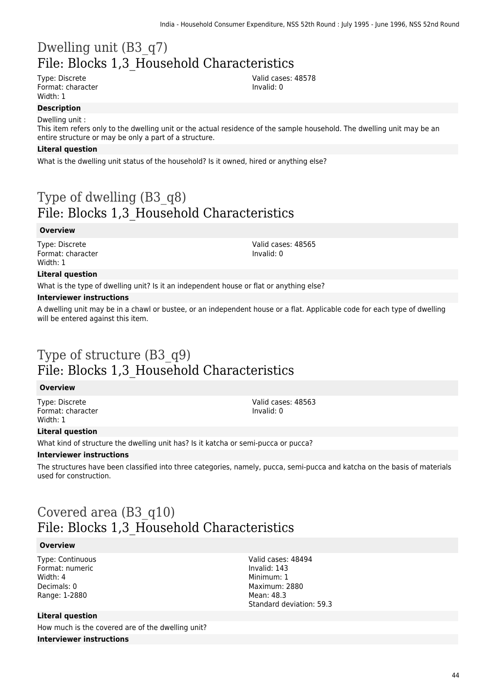### Dwelling unit (B3\_q7) File: Blocks 1,3\_Household Characteristics

Type: Discrete Format: character Width: 1

#### **Description**

Dwelling unit :

This item refers only to the dwelling unit or the actual residence of the sample household. The dwelling unit may be an entire structure or may be only a part of a structure.

#### **Literal question**

What is the dwelling unit status of the household? Is it owned, hired or anything else?

### Type of dwelling (B3\_q8) File: Blocks 1,3\_Household Characteristics

#### **Overview**

Type: Discrete Format: character Width: 1

Valid cases: 48565 Invalid: 0

Valid cases: 48578

Invalid: 0

#### **Literal question**

What is the type of dwelling unit? Is it an independent house or flat or anything else?

#### **Interviewer instructions**

A dwelling unit may be in a chawl or bustee, or an independent house or a flat. Applicable code for each type of dwelling will be entered against this item.

### Type of structure (B3\_q9) File: Blocks 1,3\_Household Characteristics

#### **Overview**

Type: Discrete Format: character Width: 1

Valid cases: 48563 Invalid: 0

#### **Literal question**

What kind of structure the dwelling unit has? Is it katcha or semi-pucca or pucca?

#### **Interviewer instructions**

The structures have been classified into three categories, namely, pucca, semi-pucca and katcha on the basis of materials used for construction.

# Covered area (B3\_q10) File: Blocks 1,3\_Household Characteristics

#### **Overview**

Type: Continuous Format: numeric Width: 4 Decimals: 0 Range: 1-2880

#### **Literal question**

How much is the covered are of the dwelling unit? **Interviewer instructions**

Valid cases: 48494 Invalid: 143 Minimum: 1 Maximum: 2880 Mean: 48.3 Standard deviation: 59.3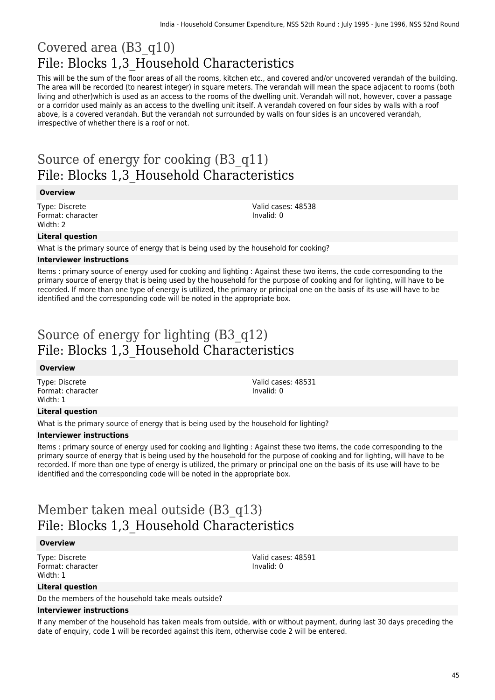# Covered area (B3\_q10) File: Blocks 1,3\_Household Characteristics

This will be the sum of the floor areas of all the rooms, kitchen etc., and covered and/or uncovered verandah of the building. The area will be recorded (to nearest integer) in square meters. The verandah will mean the space adjacent to rooms (both living and other)which is used as an access to the rooms of the dwelling unit. Verandah will not, however, cover a passage or a corridor used mainly as an access to the dwelling unit itself. A verandah covered on four sides by walls with a roof above, is a covered verandah. But the verandah not surrounded by walls on four sides is an uncovered verandah, irrespective of whether there is a roof or not.

# Source of energy for cooking (B3\_q11) File: Blocks 1,3\_Household Characteristics

#### **Overview**

Type: Discrete Format: character Width: 2

Valid cases: 48538 Invalid: 0

#### **Literal question**

What is the primary source of energy that is being used by the household for cooking?

#### **Interviewer instructions**

Items : primary source of energy used for cooking and lighting : Against these two items, the code corresponding to the primary source of energy that is being used by the household for the purpose of cooking and for lighting, will have to be recorded. If more than one type of energy is utilized, the primary or principal one on the basis of its use will have to be identified and the corresponding code will be noted in the appropriate box.

# Source of energy for lighting (B3\_q12) File: Blocks 1,3\_Household Characteristics

#### **Overview**

Type: Discrete Format: character Width: 1

Valid cases: 48531 Invalid: 0

#### **Literal question**

What is the primary source of energy that is being used by the household for lighting?

#### **Interviewer instructions**

Items : primary source of energy used for cooking and lighting : Against these two items, the code corresponding to the primary source of energy that is being used by the household for the purpose of cooking and for lighting, will have to be recorded. If more than one type of energy is utilized, the primary or principal one on the basis of its use will have to be identified and the corresponding code will be noted in the appropriate box.

### Member taken meal outside (B3 q13) File: Blocks 1,3\_Household Characteristics

#### **Overview**

Type: Discrete Format: character Width: 1

Valid cases: 48591 Invalid: 0

#### **Literal question**

Do the members of the household take meals outside?

#### **Interviewer instructions**

If any member of the household has taken meals from outside, with or without payment, during last 30 days preceding the date of enquiry, code 1 will be recorded against this item, otherwise code 2 will be entered.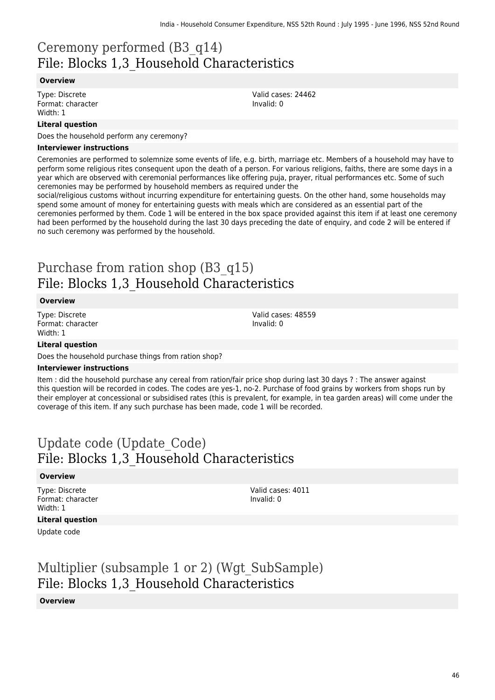### Ceremony performed (B3\_q14) File: Blocks 1,3\_Household Characteristics

#### **Overview**

Type: Discrete Format: character Width: 1

#### Valid cases: 24462 Invalid: 0

### **Literal question**

Does the household perform any ceremony?

#### **Interviewer instructions**

Ceremonies are performed to solemnize some events of life, e.g. birth, marriage etc. Members of a household may have to perform some religious rites consequent upon the death of a person. For various religions, faiths, there are some days in a year which are observed with ceremonial performances like offering puja, prayer, ritual performances etc. Some of such ceremonies may be performed by household members as required under the

social/religious customs without incurring expenditure for entertaining guests. On the other hand, some households may spend some amount of money for entertaining guests with meals which are considered as an essential part of the ceremonies performed by them. Code 1 will be entered in the box space provided against this item if at least one ceremony had been performed by the household during the last 30 days preceding the date of enquiry, and code 2 will be entered if no such ceremony was performed by the household.

### Purchase from ration shop (B3\_q15) File: Blocks 1,3\_Household Characteristics

#### **Overview**

Type: Discrete Format: character Width: 1

Valid cases: 48559 Invalid: 0

### **Literal question**

Does the household purchase things from ration shop?

#### **Interviewer instructions**

Item : did the household purchase any cereal from ration/fair price shop during last 30 days ? : The answer against this question will be recorded in codes. The codes are yes-1, no-2. Purchase of food grains by workers from shops run by their employer at concessional or subsidised rates (this is prevalent, for example, in tea garden areas) will come under the coverage of this item. If any such purchase has been made, code 1 will be recorded.

### Update code (Update\_Code) File: Blocks 1,3\_Household Characteristics

#### **Overview**

Type: Discrete Format: character Width: 1

Valid cases: 4011 Invalid: 0

# **Literal question**

Update code

Multiplier (subsample 1 or 2) (Wgt\_SubSample) File: Blocks 1,3\_Household Characteristics

#### **Overview**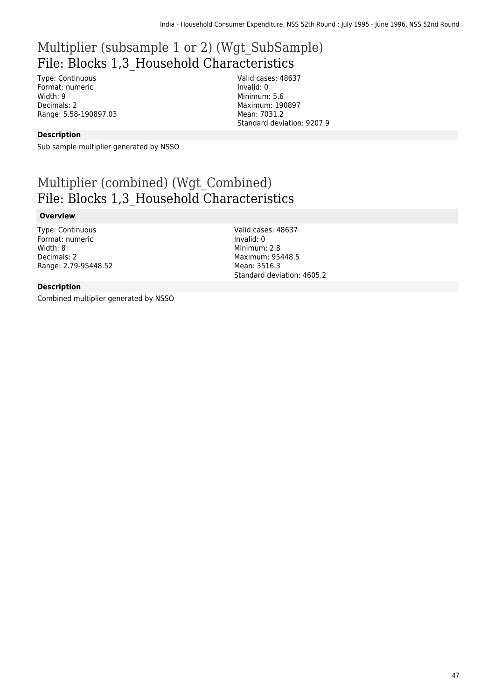# Multiplier (subsample 1 or 2) (Wgt\_SubSample) File: Blocks 1,3\_Household Characteristics

Type: Continuous Format: numeric Width: 9 Decimals: 2 Range: 5.58-190897.03 Valid cases: 48637 Invalid: 0 Minimum: 5.6 Maximum: 190897 Mean: 7031.2 Standard deviation: 9207.9

#### **Description**

Sub sample multiplier generated by NSSO

### Multiplier (combined) (Wgt\_Combined) File: Blocks 1,3\_Household Characteristics

#### **Overview**

Type: Continuous Format: numeric Width: 8 Decimals: 2 Range: 2.79-95448.52

#### **Description**

Combined multiplier generated by NSSO

Valid cases: 48637 Invalid: 0 Minimum: 2.8 Maximum: 95448.5 Mean: 3516.3 Standard deviation: 4605.2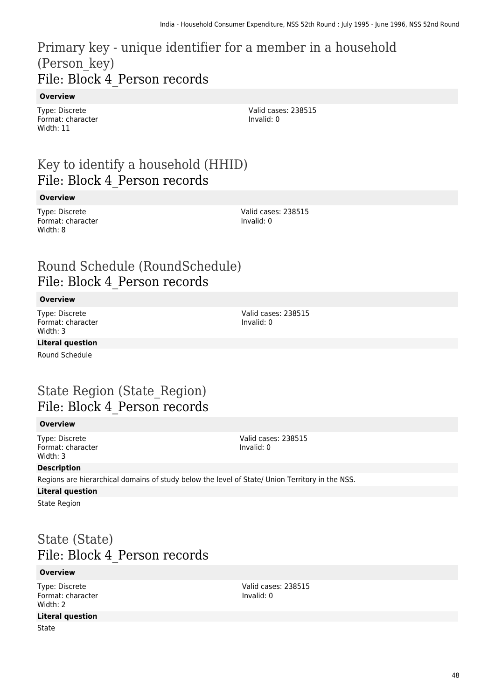### Primary key - unique identifier for a member in a household (Person\_key) File: Block 4\_Person records

#### **Overview**

Type: Discrete Format: character Width: 11

Valid cases: 238515 Invalid: 0

### Key to identify a household (HHID) File: Block 4\_Person records

#### **Overview**

Type: Discrete Format: character Width: 8

Valid cases: 238515 Invalid: 0

### Round Schedule (RoundSchedule) File: Block 4\_Person records

#### **Overview**

Type: Discrete Format: character Width: 3

**Literal question** Round Schedule

# State Region (State\_Region) File: Block 4\_Person records

#### **Overview**

Type: Discrete Format: character Width: 3

Valid cases: 238515 Invalid: 0

### **Description**

Regions are hierarchical domains of study below the level of State/ Union Territory in the NSS.

### **Literal question**

State Region

# State (State) File: Block 4\_Person records

### **Overview**

Type: Discrete Format: character Width: 2

Valid cases: 238515 Invalid: 0

#### **Literal question**

**State** 

Valid cases: 238515 Invalid: 0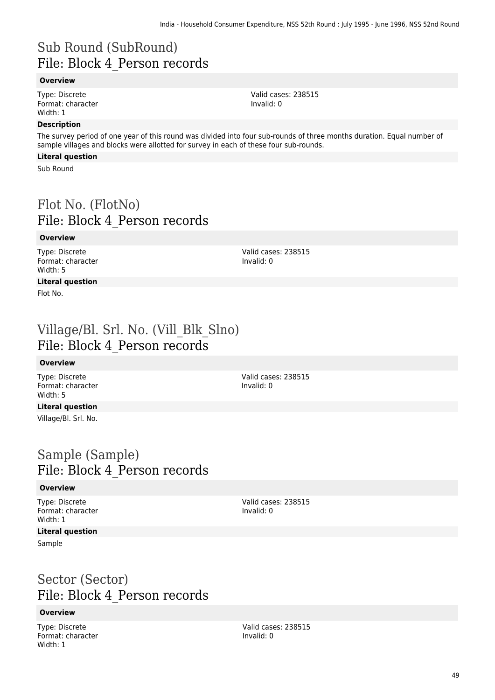# Sub Round (SubRound) File: Block 4\_Person records

#### **Overview**

Type: Discrete Format: character Width: 1

#### **Description**

The survey period of one year of this round was divided into four sub-rounds of three months duration. Equal number of sample villages and blocks were allotted for survey in each of these four sub-rounds.

#### **Literal question**

Sub Round

### Flot No. (FlotNo) File: Block 4\_Person records

#### **Overview**

Type: Discrete Format: character Width: 5

**Literal question**

Flot No.

### Village/Bl. Srl. No. (Vill\_Blk\_Slno) File: Block 4\_Person records

#### **Overview**

Type: Discrete Format: character Width: 5

### **Literal question**

Village/Bl. Srl. No.

### Sample (Sample) File: Block 4\_Person records

#### **Overview**

Type: Discrete Format: character Width: 1

#### **Literal question**

Sample

# Sector (Sector) File: Block 4\_Person records

#### **Overview**

Type: Discrete Format: character Width: 1

Valid cases: 238515

Invalid: 0

Valid cases: 238515 Invalid: 0

Valid cases: 238515

Invalid: 0

Valid cases: 238515 Invalid: 0

Valid cases: 238515

Invalid: 0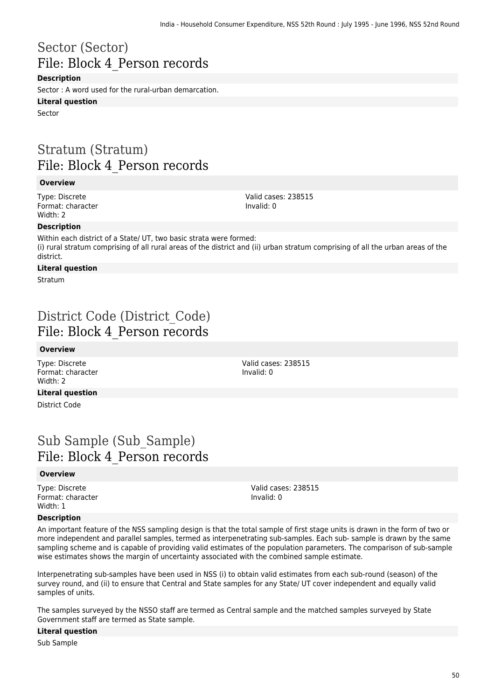### Sector (Sector) File: Block 4\_Person records

#### **Description**

Sector : A word used for the rural-urban demarcation.

**Literal question**

Sector

### Stratum (Stratum) File: Block 4\_Person records

#### **Overview**

Type: Discrete Format: character Width: 2

Valid cases: 238515 Invalid: 0

#### **Description**

Within each district of a State/ UT, two basic strata were formed: (i) rural stratum comprising of all rural areas of the district and (ii) urban stratum comprising of all the urban areas of the district.

#### **Literal question**

Stratum

### District Code (District\_Code) File: Block 4\_Person records

#### **Overview**

Type: Discrete Format: character Width: 2

Invalid: 0

Valid cases: 238515

### **Literal question**

District Code

### Sub Sample (Sub\_Sample) File: Block 4\_Person records

#### **Overview**

Type: Discrete Format: character Width: 1

Valid cases: 238515 Invalid: 0

#### **Description**

An important feature of the NSS sampling design is that the total sample of first stage units is drawn in the form of two or more independent and parallel samples, termed as interpenetrating sub-samples. Each sub- sample is drawn by the same sampling scheme and is capable of providing valid estimates of the population parameters. The comparison of sub-sample wise estimates shows the margin of uncertainty associated with the combined sample estimate.

Interpenetrating sub-samples have been used in NSS (i) to obtain valid estimates from each sub-round (season) of the survey round, and (ii) to ensure that Central and State samples for any State/ UT cover independent and equally valid samples of units.

The samples surveyed by the NSSO staff are termed as Central sample and the matched samples surveyed by State Government staff are termed as State sample.

#### **Literal question**

Sub Sample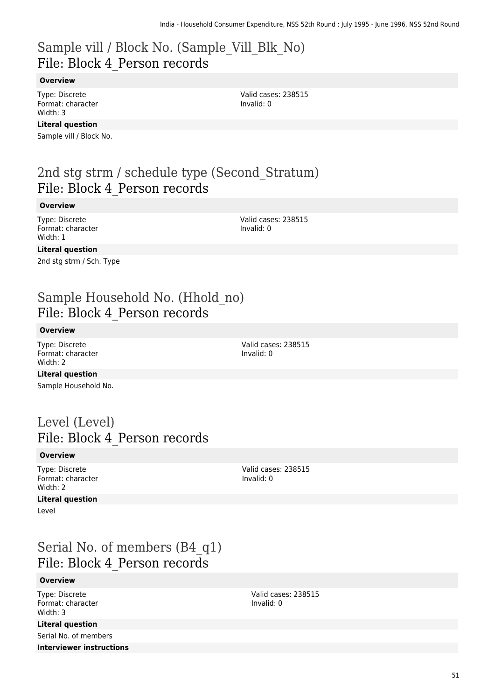### Sample vill / Block No. (Sample\_Vill\_Blk\_No) File: Block 4\_Person records

#### **Overview**

Type: Discrete Format: character Width: 3

#### **Literal question**

Sample vill / Block No.

### 2nd stg strm / schedule type (Second\_Stratum) File: Block 4\_Person records

#### **Overview**

Type: Discrete Format: character Width: 1

#### **Literal question**

2nd stg strm / Sch. Type

# Sample Household No. (Hhold\_no) File: Block 4\_Person records

#### **Overview**

Type: Discrete Format: character Width: 2

Valid cases: 238515 Invalid: 0

Valid cases: 238515

Invalid: 0

### **Literal question**

Sample Household No.

### Level (Level) File: Block 4\_Person records

#### **Overview**

Type: Discrete Format: character Width: 2

# **Literal question**

Level

# Serial No. of members (B4\_q1) File: Block 4\_Person records

#### **Overview**

Type: Discrete Format: character Width: 3

#### **Literal question**

Serial No. of members **Interviewer instructions** Valid cases: 238515 Invalid: 0

Valid cases: 238515 Invalid: 0

Valid cases: 238515

Invalid: 0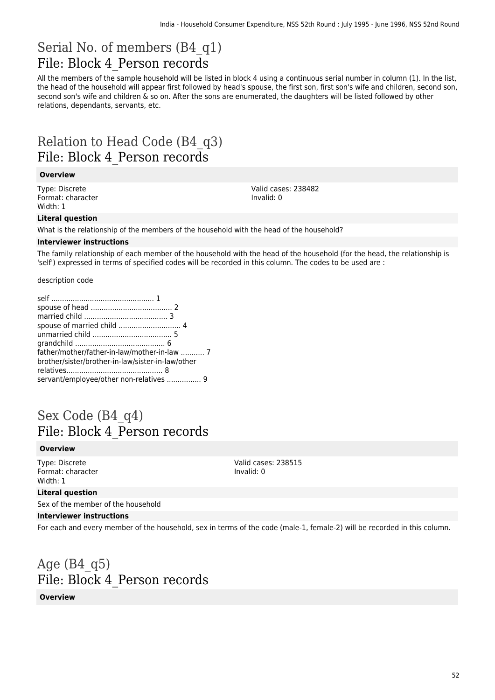# Serial No. of members (B4\_q1) File: Block 4\_Person records

All the members of the sample household will be listed in block 4 using a continuous serial number in column (1). In the list, the head of the household will appear first followed by head's spouse, the first son, first son's wife and children, second son, second son's wife and children & so on. After the sons are enumerated, the daughters will be listed followed by other relations, dependants, servants, etc.

# Relation to Head Code (B4\_q3) File: Block 4\_Person records

#### **Overview**

Type: Discrete Format: character Width: 1

Valid cases: 238482 Invalid: 0

#### **Literal question**

What is the relationship of the members of the household with the head of the household?

#### **Interviewer instructions**

The family relationship of each member of the household with the head of the household (for the head, the relationship is 'self') expressed in terms of specified codes will be recorded in this column. The codes to be used are :

description code

| father/mother/father-in-law/mother-in-law  7      |
|---------------------------------------------------|
| brother/sister/brother-in-law/sister-in-law/other |
|                                                   |
| servant/employee/other non-relatives  9           |

### Sex Code (B4\_q4) File: Block 4\_Person records

#### **Overview**

Type: Discrete Format: character Width: 1

Valid cases: 238515 Invalid: 0

#### **Literal question**

Sex of the member of the household

#### **Interviewer instructions**

For each and every member of the household, sex in terms of the code (male-1, female-2) will be recorded in this column.

# Age (B4\_q5) File: Block 4\_Person records

#### **Overview**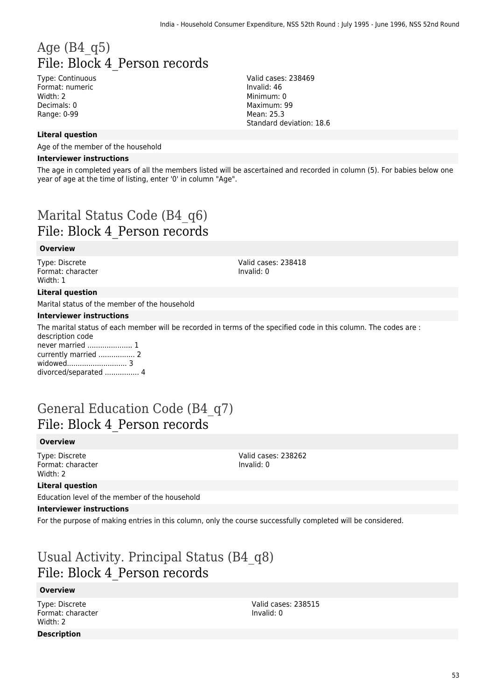Valid cases: 238469

Standard deviation: 18.6

Invalid: 46 Minimum: 0 Maximum: 99 Mean: 25.3

# Age (B4\_q5) File: Block 4\_Person records

Type: Continuous Format: numeric Width: 2 Decimals: 0 Range: 0-99

#### **Literal question**

Age of the member of the household

#### **Interviewer instructions**

The age in completed years of all the members listed will be ascertained and recorded in column (5). For babies below one year of age at the time of listing, enter '0' in column "Age".

### Marital Status Code (B4\_q6) File: Block 4\_Person records

#### **Overview**

Type: Discrete Format: character Width: 1

Valid cases: 238418 Invalid: 0

#### **Literal question**

Marital status of the member of the household

#### **Interviewer instructions**

divorced/separated ................ 4

The marital status of each member will be recorded in terms of the specified code in this column. The codes are : description code never married ..................... 1 currently married ................. 2 widowed............................ 3

### General Education Code (B4\_q7) File: Block 4\_Person records

#### **Overview**

Type: Discrete Format: character Width: 2

Valid cases: 238262 Invalid: 0

#### **Literal question**

Education level of the member of the household

#### **Interviewer instructions**

For the purpose of making entries in this column, only the course successfully completed will be considered.

### Usual Activity. Principal Status (B4\_q8) File: Block 4\_Person records

#### **Overview**

Type: Discrete Format: character Width: 2

Valid cases: 238515 Invalid: 0

#### **Description**

53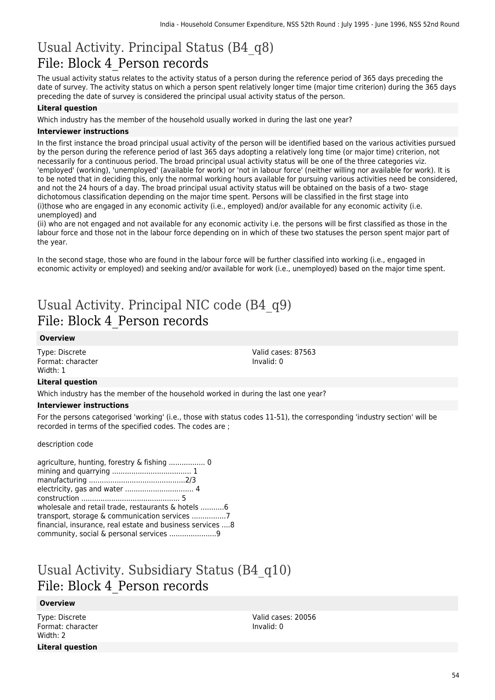### Usual Activity. Principal Status (B4\_q8) File: Block 4\_Person records

The usual activity status relates to the activity status of a person during the reference period of 365 days preceding the date of survey. The activity status on which a person spent relatively longer time (major time criterion) during the 365 days preceding the date of survey is considered the principal usual activity status of the person.

#### **Literal question**

Which industry has the member of the household usually worked in during the last one year?

#### **Interviewer instructions**

In the first instance the broad principal usual activity of the person will be identified based on the various activities pursued by the person during the reference period of last 365 days adopting a relatively long time (or major time) criterion, not necessarily for a continuous period. The broad principal usual activity status will be one of the three categories viz. 'employed' (working), 'unemployed' (available for work) or 'not in labour force' (neither willing nor available for work). It is to be noted that in deciding this, only the normal working hours available for pursuing various activities need be considered, and not the 24 hours of a day. The broad principal usual activity status will be obtained on the basis of a two- stage dichotomous classification depending on the major time spent. Persons will be classified in the first stage into (i)those who are engaged in any economic activity (i.e., employed) and/or available for any economic activity (i.e. unemployed) and

(ii) who are not engaged and not available for any economic activity i.e. the persons will be first classified as those in the labour force and those not in the labour force depending on in which of these two statuses the person spent major part of the year.

In the second stage, those who are found in the labour force will be further classified into working (i.e., engaged in economic activity or employed) and seeking and/or available for work (i.e., unemployed) based on the major time spent.

### Usual Activity. Principal NIC code (B4\_q9) File: Block 4\_Person records

#### **Overview**

| Type: Discrete    |
|-------------------|
| Format: character |
| Width: 1          |

Valid cases: 87563 Invalid: 0

#### **Literal question**

Which industry has the member of the household worked in during the last one year?

#### **Interviewer instructions**

For the persons categorised 'working' (i.e., those with status codes 11-51), the corresponding 'industry section' will be recorded in terms of the specified codes. The codes are ;

description code

| wholesale and retail trade, restaurants & hotels 6        |  |
|-----------------------------------------------------------|--|
| transport, storage & communication services 7             |  |
| financial, insurance, real estate and business services 8 |  |
| community, social & personal services 9                   |  |
|                                                           |  |

# Usual Activity. Subsidiary Status (B4\_q10) File: Block 4\_Person records

#### **Overview**

Type: Discrete Format: character Width: 2 **Literal question**

Valid cases: 20056 Invalid: 0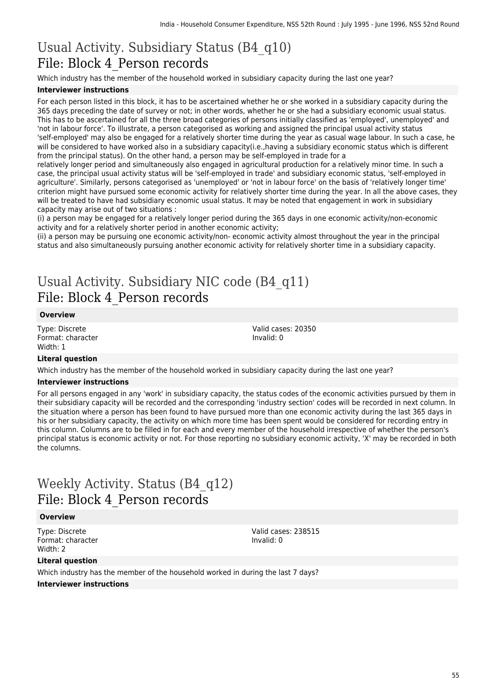### Usual Activity. Subsidiary Status (B4\_q10) File: Block 4\_Person records

Which industry has the member of the household worked in subsidiary capacity during the last one year?

#### **Interviewer instructions**

For each person listed in this block, it has to be ascertained whether he or she worked in a subsidiary capacity during the 365 days preceding the date of survey or not; in other words, whether he or she had a subsidiary economic usual status. This has to be ascertained for all the three broad categories of persons initially classified as 'employed', unemployed' and 'not in labour force'. To illustrate, a person categorised as working and assigned the principal usual activity status 'self-employed' may also be engaged for a relatively shorter time during the year as casual wage labour. In such a case, he will be considered to have worked also in a subsidiary capacity(i.e.,having a subsidiary economic status which is different from the principal status). On the other hand, a person may be self-employed in trade for a

relatively longer period and simultaneously also engaged in agricultural production for a relatively minor time. In such a case, the principal usual activity status will be 'self-employed in trade' and subsidiary economic status, 'self-employed in agriculture'. Similarly, persons categorised as 'unemployed' or 'not in labour force' on the basis of 'relatively longer time' criterion might have pursued some economic activity for relatively shorter time during the year. In all the above cases, they will be treated to have had subsidiary economic usual status. It may be noted that engagement in work in subsidiary capacity may arise out of two situations :

(i) a person may be engaged for a relatively longer period during the 365 days in one economic activity/non-economic activity and for a relatively shorter period in another economic activity;

(ii) a person may be pursuing one economic activity/non- economic activity almost throughout the year in the principal status and also simultaneously pursuing another economic activity for relatively shorter time in a subsidiary capacity.

# Usual Activity. Subsidiary NIC code (B4\_q11) File: Block 4\_Person records

#### **Overview**

Type: Discrete Format: character Width: 1

Valid cases: 20350 Invalid: 0

#### **Literal question**

Which industry has the member of the household worked in subsidiary capacity during the last one year?

#### **Interviewer instructions**

For all persons engaged in any 'work' in subsidiary capacity, the status codes of the economic activities pursued by them in their subsidiary capacity will be recorded and the corresponding 'industry section' codes will be recorded in next column. In the situation where a person has been found to have pursued more than one economic activity during the last 365 days in his or her subsidiary capacity, the activity on which more time has been spent would be considered for recording entry in this column. Columns are to be filled in for each and every member of the household irrespective of whether the person's principal status is economic activity or not. For those reporting no subsidiary economic activity, 'X' may be recorded in both the columns.

### Weekly Activity. Status (B4\_q12) File: Block 4\_Person records

#### **Overview**

Type: Discrete Format: character Width: 2

Valid cases: 238515 Invalid: 0

#### **Literal question**

Which industry has the member of the household worked in during the last 7 days?

#### **Interviewer instructions**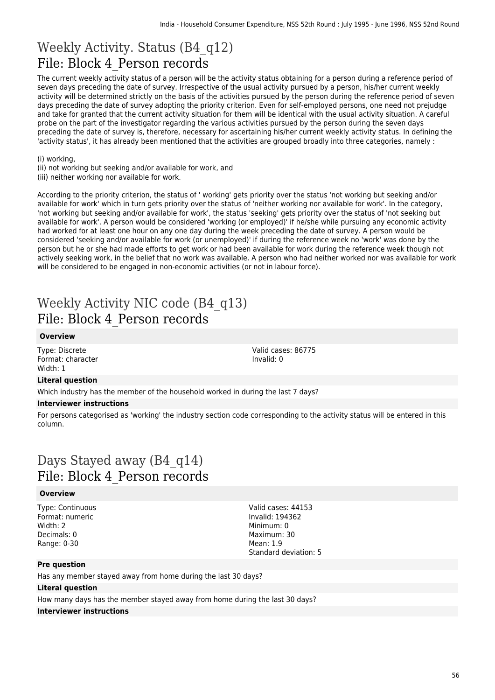# Weekly Activity. Status (B4\_q12) File: Block 4\_Person records

The current weekly activity status of a person will be the activity status obtaining for a person during a reference period of seven days preceding the date of survey. Irrespective of the usual activity pursued by a person, his/her current weekly activity will be determined strictly on the basis of the activities pursued by the person during the reference period of seven days preceding the date of survey adopting the priority criterion. Even for self-employed persons, one need not prejudge and take for granted that the current activity situation for them will be identical with the usual activity situation. A careful probe on the part of the investigator regarding the various activities pursued by the person during the seven days preceding the date of survey is, therefore, necessary for ascertaining his/her current weekly activity status. In defining the 'activity status', it has already been mentioned that the activities are grouped broadly into three categories, namely :

(i) working,

(ii) not working but seeking and/or available for work, and

(iii) neither working nor available for work.

According to the priority criterion, the status of ' working' gets priority over the status 'not working but seeking and/or available for work' which in turn gets priority over the status of 'neither working nor available for work'. In the category, 'not working but seeking and/or available for work', the status 'seeking' gets priority over the status of 'not seeking but available for work'. A person would be considered 'working (or employed)' if he/she while pursuing any economic activity had worked for at least one hour on any one day during the week preceding the date of survey. A person would be considered 'seeking and/or available for work (or unemployed)' if during the reference week no 'work' was done by the person but he or she had made efforts to get work or had been available for work during the reference week though not actively seeking work, in the belief that no work was available. A person who had neither worked nor was available for work will be considered to be engaged in non-economic activities (or not in labour force).

### Weekly Activity NIC code (B4\_q13) File: Block 4\_Person records

#### **Overview**

Type: Discrete Format: character Width: 1

Valid cases: 86775 Invalid: 0

#### **Literal question**

Which industry has the member of the household worked in during the last 7 days?

#### **Interviewer instructions**

For persons categorised as 'working' the industry section code corresponding to the activity status will be entered in this column.

### Days Stayed away (B4\_q14) File: Block 4\_Person records

#### **Overview**

Type: Continuous Format: numeric Width: 2 Decimals: 0 Range: 0-30

Valid cases: 44153 Invalid: 194362 Minimum: 0 Maximum: 30 Mean: 1.9 Standard deviation: 5

#### **Pre question**

Has any member stayed away from home during the last 30 days?

#### **Literal question**

How many days has the member stayed away from home during the last 30 days?

#### **Interviewer instructions**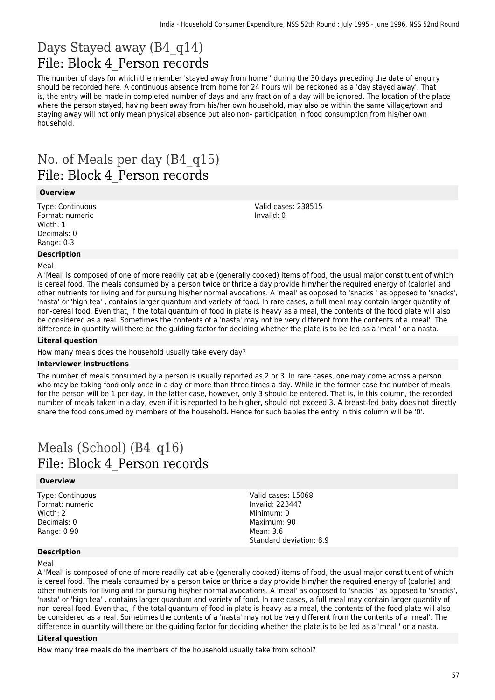### Days Stayed away (B4\_q14) File: Block 4\_Person records

The number of days for which the member 'stayed away from home ' during the 30 days preceding the date of enquiry should be recorded here. A continuous absence from home for 24 hours will be reckoned as a 'day stayed away'. That is, the entry will be made in completed number of days and any fraction of a day will be ignored. The location of the place where the person stayed, having been away from his/her own household, may also be within the same village/town and staying away will not only mean physical absence but also non- participation in food consumption from his/her own household.

### No. of Meals per day (B4\_q15) File: Block 4\_Person records

#### **Overview**

Type: Continuous Format: numeric Width: 1 Decimals: 0 Range: 0-3

Valid cases: 238515 Invalid: 0

#### **Description**

Meal

A 'Meal' is composed of one of more readily cat able (generally cooked) items of food, the usual major constituent of which is cereal food. The meals consumed by a person twice or thrice a day provide him/her the required energy of (calorie) and other nutrients for living and for pursuing his/her normal avocations. A 'meal' as opposed to 'snacks ' as opposed to 'snacks', 'nasta' or 'high tea' , contains larger quantum and variety of food. In rare cases, a full meal may contain larger quantity of non-cereal food. Even that, if the total quantum of food in plate is heavy as a meal, the contents of the food plate will also be considered as a real. Sometimes the contents of a 'nasta' may not be very different from the contents of a 'meal'. The difference in quantity will there be the guiding factor for deciding whether the plate is to be led as a 'meal ' or a nasta.

#### **Literal question**

How many meals does the household usually take every day?

#### **Interviewer instructions**

The number of meals consumed by a person is usually reported as 2 or 3. In rare cases, one may come across a person who may be taking food only once in a day or more than three times a day. While in the former case the number of meals for the person will be 1 per day, in the latter case, however, only 3 should be entered. That is, in this column, the recorded number of meals taken in a day, even if it is reported to be higher, should not exceed 3. A breast-fed baby does not directly share the food consumed by members of the household. Hence for such babies the entry in this column will be '0'.

### Meals (School) (B4\_q16) File: Block 4\_Person records

#### **Overview**

Type: Continuous Format: numeric Width: 2 Decimals: 0 Range: 0-90

Valid cases: 15068 Invalid: 223447 Minimum: 0 Maximum: 90 Mean: 3.6 Standard deviation: 8.9

#### **Description**

#### Meal

A 'Meal' is composed of one of more readily cat able (generally cooked) items of food, the usual major constituent of which is cereal food. The meals consumed by a person twice or thrice a day provide him/her the required energy of (calorie) and other nutrients for living and for pursuing his/her normal avocations. A 'meal' as opposed to 'snacks ' as opposed to 'snacks', 'nasta' or 'high tea' , contains larger quantum and variety of food. In rare cases, a full meal may contain larger quantity of non-cereal food. Even that, if the total quantum of food in plate is heavy as a meal, the contents of the food plate will also be considered as a real. Sometimes the contents of a 'nasta' may not be very different from the contents of a 'meal'. The difference in quantity will there be the guiding factor for deciding whether the plate is to be led as a 'meal ' or a nasta.

#### **Literal question**

How many free meals do the members of the household usually take from school?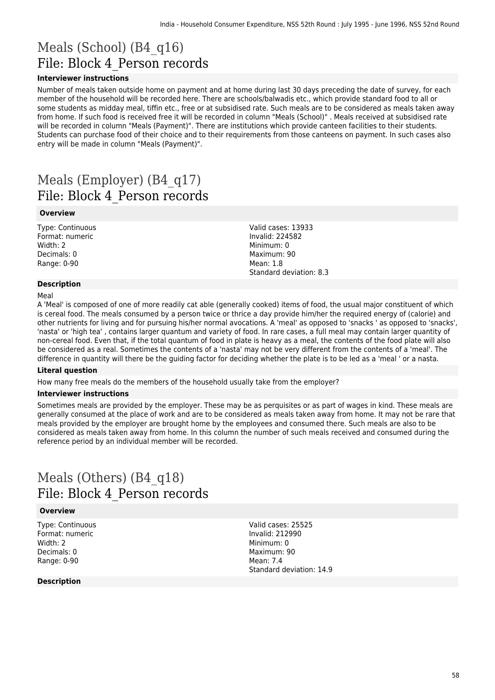# Meals (School) (B4\_q16) File: Block 4\_Person records

### **Interviewer instructions**

Number of meals taken outside home on payment and at home during last 30 days preceding the date of survey, for each member of the household will be recorded here. There are schools/balwadis etc., which provide standard food to all or some students as midday meal, tiffin etc., free or at subsidised rate. Such meals are to be considered as meals taken away from home. If such food is received free it will be recorded in column "Meals (School)" . Meals received at subsidised rate will be recorded in column "Meals (Payment)". There are institutions which provide canteen facilities to their students. Students can purchase food of their choice and to their requirements from those canteens on payment. In such cases also entry will be made in column "Meals (Payment)".

### Meals (Employer) (B4\_q17) File: Block 4\_Person records

#### **Overview**

Type: Continuous Format: numeric Width: 2 Decimals: 0 Range: 0-90

#### **Description**

Meal

A 'Meal' is composed of one of more readily cat able (generally cooked) items of food, the usual major constituent of which is cereal food. The meals consumed by a person twice or thrice a day provide him/her the required energy of (calorie) and other nutrients for living and for pursuing his/her normal avocations. A 'meal' as opposed to 'snacks ' as opposed to 'snacks', 'nasta' or 'high tea' , contains larger quantum and variety of food. In rare cases, a full meal may contain larger quantity of non-cereal food. Even that, if the total quantum of food in plate is heavy as a meal, the contents of the food plate will also be considered as a real. Sometimes the contents of a 'nasta' may not be very different from the contents of a 'meal'. The difference in quantity will there be the guiding factor for deciding whether the plate is to be led as a 'meal ' or a nasta.

Valid cases: 13933 Invalid: 224582 Minimum: 0 Maximum: 90 Mean: 1.8

Standard deviation: 8.3

#### **Literal question**

How many free meals do the members of the household usually take from the employer?

#### **Interviewer instructions**

Sometimes meals are provided by the employer. These may be as perquisites or as part of wages in kind. These meals are generally consumed at the place of work and are to be considered as meals taken away from home. It may not be rare that meals provided by the employer are brought home by the employees and consumed there. Such meals are also to be considered as meals taken away from home. In this column the number of such meals received and consumed during the reference period by an individual member will be recorded.

### Meals (Others) (B4\_q18) File: Block 4\_Person records

#### **Overview**

Type: Continuous Format: numeric Width: 2 Decimals: 0 Range: 0-90

**Description**

Valid cases: 25525 Invalid: 212990 Minimum: 0 Maximum: 90 Mean: 7.4 Standard deviation: 14.9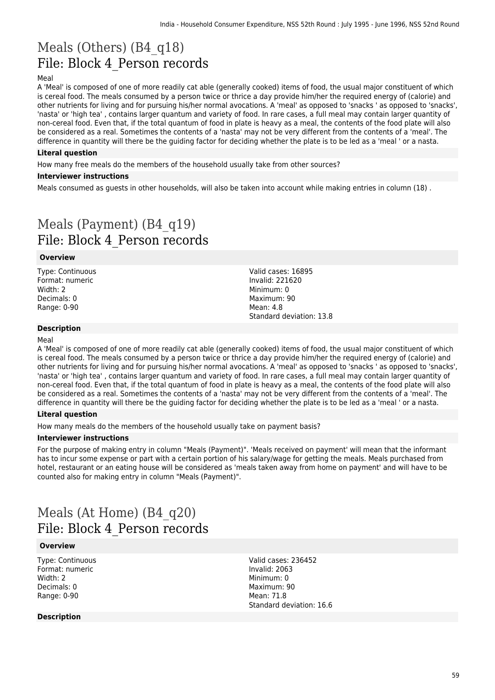# Meals (Others) (B4\_q18) File: Block 4\_Person records

#### Meal

A 'Meal' is composed of one of more readily cat able (generally cooked) items of food, the usual major constituent of which is cereal food. The meals consumed by a person twice or thrice a day provide him/her the required energy of (calorie) and other nutrients for living and for pursuing his/her normal avocations. A 'meal' as opposed to 'snacks ' as opposed to 'snacks', 'nasta' or 'high tea' , contains larger quantum and variety of food. In rare cases, a full meal may contain larger quantity of non-cereal food. Even that, if the total quantum of food in plate is heavy as a meal, the contents of the food plate will also be considered as a real. Sometimes the contents of a 'nasta' may not be very different from the contents of a 'meal'. The difference in quantity will there be the guiding factor for deciding whether the plate is to be led as a 'meal ' or a nasta.

#### **Literal question**

How many free meals do the members of the household usually take from other sources?

#### **Interviewer instructions**

Meals consumed as guests in other households, will also be taken into account while making entries in column (18) .

# Meals (Payment) (B4\_q19) File: Block 4\_Person records

#### **Overview**

Type: Continuous Format: numeric Width: 2 Decimals: 0 Range: 0-90

Valid cases: 16895 Invalid: 221620 Minimum: 0 Maximum: 90 Mean: 4.8 Standard deviation: 13.8

#### **Description**

#### Meal

A 'Meal' is composed of one of more readily cat able (generally cooked) items of food, the usual major constituent of which is cereal food. The meals consumed by a person twice or thrice a day provide him/her the required energy of (calorie) and other nutrients for living and for pursuing his/her normal avocations. A 'meal' as opposed to 'snacks ' as opposed to 'snacks', 'nasta' or 'high tea' , contains larger quantum and variety of food. In rare cases, a full meal may contain larger quantity of non-cereal food. Even that, if the total quantum of food in plate is heavy as a meal, the contents of the food plate will also be considered as a real. Sometimes the contents of a 'nasta' may not be very different from the contents of a 'meal'. The difference in quantity will there be the guiding factor for deciding whether the plate is to be led as a 'meal ' or a nasta.

#### **Literal question**

How many meals do the members of the household usually take on payment basis?

#### **Interviewer instructions**

For the purpose of making entry in column "Meals (Payment)". 'Meals received on payment' will mean that the informant has to incur some expense or part with a certain portion of his salary/wage for getting the meals. Meals purchased from hotel, restaurant or an eating house will be considered as 'meals taken away from home on payment' and will have to be counted also for making entry in column "Meals (Payment)".

# Meals (At Home) (B4\_q20) File: Block 4\_Person records

#### **Overview**

Type: Continuous Format: numeric Width: 2 Decimals: 0 Range: 0-90

Valid cases: 236452 Invalid: 2063 Minimum: 0 Maximum: 90 Mean: 71.8 Standard deviation: 16.6

#### **Description**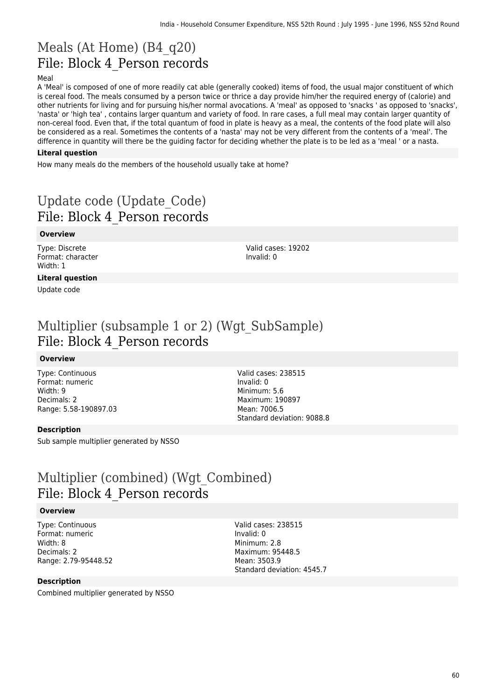### Meals (At Home) (B4\_q20) File: Block 4\_Person records

#### Meal

A 'Meal' is composed of one of more readily cat able (generally cooked) items of food, the usual major constituent of which is cereal food. The meals consumed by a person twice or thrice a day provide him/her the required energy of (calorie) and other nutrients for living and for pursuing his/her normal avocations. A 'meal' as opposed to 'snacks ' as opposed to 'snacks', 'nasta' or 'high tea' , contains larger quantum and variety of food. In rare cases, a full meal may contain larger quantity of non-cereal food. Even that, if the total quantum of food in plate is heavy as a meal, the contents of the food plate will also be considered as a real. Sometimes the contents of a 'nasta' may not be very different from the contents of a 'meal'. The difference in quantity will there be the guiding factor for deciding whether the plate is to be led as a 'meal ' or a nasta.

#### **Literal question**

How many meals do the members of the household usually take at home?

### Update code (Update\_Code) File: Block 4\_Person records

### **Overview**

Type: Discrete Format: character Width: 1

Valid cases: 19202 Invalid: 0

### **Literal question**

Update code

# Multiplier (subsample 1 or 2) (Wgt\_SubSample) File: Block 4\_Person records

#### **Overview**

Type: Continuous Format: numeric Width: 9 Decimals: 2 Range: 5.58-190897.03

#### **Description**

Sub sample multiplier generated by NSSO

Valid cases: 238515 Invalid: 0 Minimum: 5.6 Maximum: 190897 Mean: 7006.5 Standard deviation: 9088.8

# Multiplier (combined) (Wgt\_Combined) File: Block 4\_Person records

#### **Overview**

Type: Continuous Format: numeric Width: 8 Decimals: 2 Range: 2.79-95448.52 Valid cases: 238515 Invalid: 0 Minimum: 2.8 Maximum: 95448.5 Mean: 3503.9 Standard deviation: 4545.7

#### **Description**

Combined multiplier generated by NSSO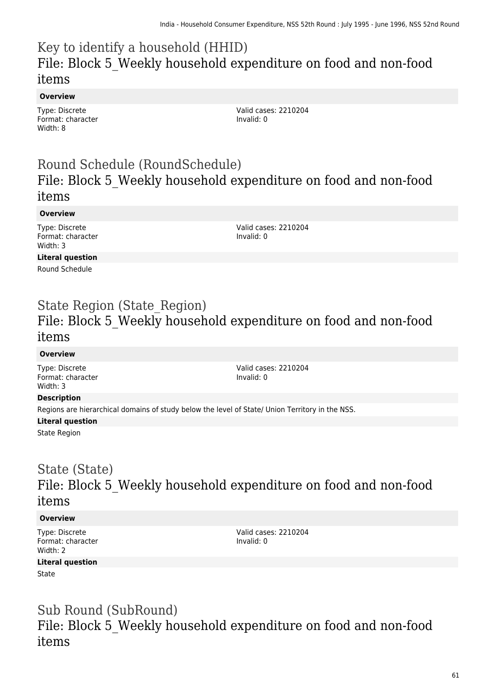### Key to identify a household (HHID) File: Block 5\_Weekly household expenditure on food and non-food items

### **Overview**

Type: Discrete Format: character Width: 8

Valid cases: 2210204 Invalid: 0

### Round Schedule (RoundSchedule) File: Block 5\_Weekly household expenditure on food and non-food items

**Overview**

Type: Discrete Format: character Width: 3

Valid cases: 2210204 Invalid: 0

### **Literal question**

Round Schedule

### State Region (State\_Region) File: Block 5\_Weekly household expenditure on food and non-food items

### **Overview**

Type: Discrete Format: character Width: 3

Valid cases: 2210204 Invalid: 0

### **Description**

Regions are hierarchical domains of study below the level of State/ Union Territory in the NSS.

### **Literal question**

State Region

# State (State) File: Block 5\_Weekly household expenditure on food and non-food items

### **Overview**

Type: Discrete Format: character Width: 2

Valid cases: 2210204 Invalid: 0

# **Literal question**

**State** 

# Sub Round (SubRound) File: Block 5\_Weekly household expenditure on food and non-food items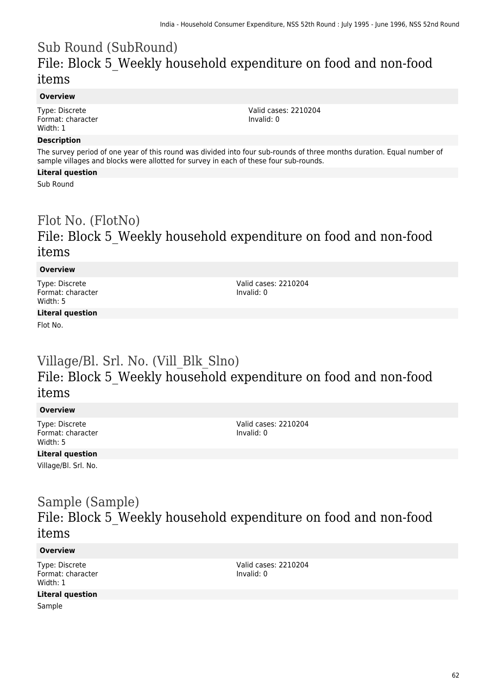### Sub Round (SubRound) File: Block 5\_Weekly household expenditure on food and non-food items

### **Overview**

Type: Discrete Format: character Width: 1

Valid cases: 2210204 Invalid: 0

### **Description**

The survey period of one year of this round was divided into four sub-rounds of three months duration. Equal number of sample villages and blocks were allotted for survey in each of these four sub-rounds.

#### **Literal question**

Sub Round

### Flot No. (FlotNo) File: Block 5\_Weekly household expenditure on food and non-food items

#### **Overview**

Type: Discrete Format: character Width: 5

Valid cases: 2210204 Invalid: 0

### **Literal question**

Flot No.

### Village/Bl. Srl. No. (Vill\_Blk\_Slno) File: Block 5\_Weekly household expenditure on food and non-food items

#### **Overview**

Type: Discrete Format: character Width: 5

#### **Literal question**

Village/Bl. Srl. No.

Valid cases: 2210204 Invalid: 0

### Sample (Sample) File: Block 5\_Weekly household expenditure on food and non-food items

#### **Overview**

Type: Discrete Format: character Width: 1

#### **Literal question**

Sample

Valid cases: 2210204 Invalid: 0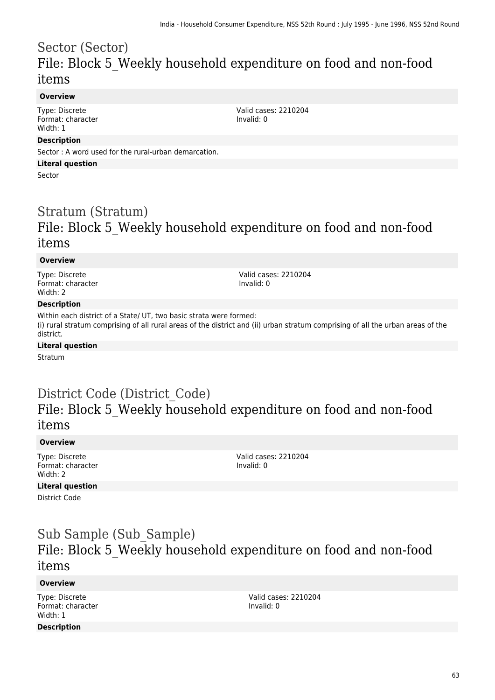### Sector (Sector) File: Block 5\_Weekly household expenditure on food and non-food items

### **Overview**

Type: Discrete Format: character Width: 1

Valid cases: 2210204 Invalid: 0

### **Description**

Sector : A word used for the rural-urban demarcation.

#### **Literal question**

Sector

### Stratum (Stratum) File: Block 5\_Weekly household expenditure on food and non-food items

#### **Overview**

Type: Discrete Format: character Width: 2

Valid cases: 2210204 Invalid: 0

### **Description**

Within each district of a State/ UT, two basic strata were formed: (i) rural stratum comprising of all rural areas of the district and (ii) urban stratum comprising of all the urban areas of the district.

#### **Literal question**

Stratum

### District Code (District\_Code) File: Block 5\_Weekly household expenditure on food and non-food items

#### **Overview**

Type: Discrete Format: character Width: 2

#### **Literal question**

District Code

Valid cases: 2210204 Invalid: 0

### Sub Sample (Sub\_Sample) File: Block 5\_Weekly household expenditure on food and non-food items

#### **Overview**

Type: Discrete Format: character Width: 1

**Description**

Valid cases: 2210204 Invalid: 0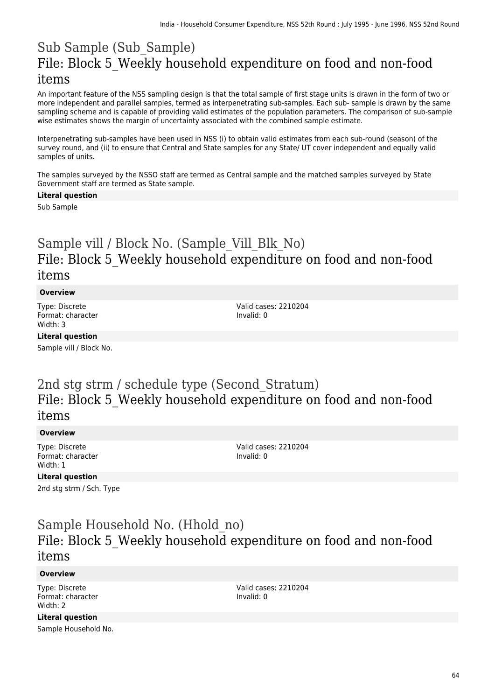### Sub Sample (Sub\_Sample) File: Block 5\_Weekly household expenditure on food and non-food items

An important feature of the NSS sampling design is that the total sample of first stage units is drawn in the form of two or more independent and parallel samples, termed as interpenetrating sub-samples. Each sub- sample is drawn by the same sampling scheme and is capable of providing valid estimates of the population parameters. The comparison of sub-sample wise estimates shows the margin of uncertainty associated with the combined sample estimate.

Interpenetrating sub-samples have been used in NSS (i) to obtain valid estimates from each sub-round (season) of the survey round, and (ii) to ensure that Central and State samples for any State/ UT cover independent and equally valid samples of units.

The samples surveyed by the NSSO staff are termed as Central sample and the matched samples surveyed by State Government staff are termed as State sample.

#### **Literal question**

Sub Sample

# Sample vill / Block No. (Sample\_Vill\_Blk\_No) File: Block 5\_Weekly household expenditure on food and non-food

### items

#### **Overview**

Type: Discrete Format: character Width: 3

#### **Literal question**

Sample vill / Block No.

Valid cases: 2210204 Invalid: 0

### 2nd stg strm / schedule type (Second\_Stratum) File: Block 5\_Weekly household expenditure on food and non-food items

#### **Overview**

Type: Discrete Format: character Width: 1

Valid cases: 2210204 Invalid: 0

#### **Literal question**

2nd stg strm / Sch. Type

# Sample Household No. (Hhold\_no) File: Block 5\_Weekly household expenditure on food and non-food items

#### **Overview**

Type: Discrete Format: character Width: 2

Valid cases: 2210204 Invalid: 0

#### **Literal question**

Sample Household No.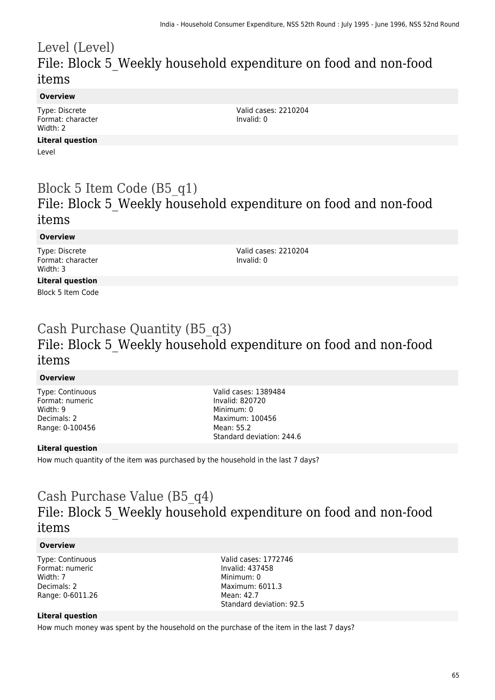### Level (Level) File: Block 5\_Weekly household expenditure on food and non-food items

### **Overview**

Type: Discrete Format: character Width: 2

**Literal question**

Level

### Block 5 Item Code (B5\_q1) File: Block 5\_Weekly household expenditure on food and non-food items

#### **Overview**

Type: Discrete Format: character Width: 3

Valid cases: 2210204 Invalid: 0

Valid cases: 2210204

Invalid: 0

### **Literal question**

Block 5 Item Code

### Cash Purchase Quantity (B5\_q3) File: Block 5\_Weekly household expenditure on food and non-food items

#### **Overview**

Type: Continuous Format: numeric Width: 9 Decimals: 2 Range: 0-100456

Valid cases: 1389484 Invalid: 820720 Minimum: 0 Maximum: 100456 Mean: 55.2 Standard deviation: 244.6

#### **Literal question**

How much quantity of the item was purchased by the household in the last 7 days?

### Cash Purchase Value (B5\_q4) File: Block 5\_Weekly household expenditure on food and non-food items

#### **Overview**

Type: Continuous Format: numeric Width: 7 Decimals: 2 Range: 0-6011.26 Valid cases: 1772746 Invalid: 437458 Minimum: 0 Maximum: 6011.3 Mean: 42.7 Standard deviation: 92.5

#### **Literal question**

How much money was spent by the household on the purchase of the item in the last 7 days?

65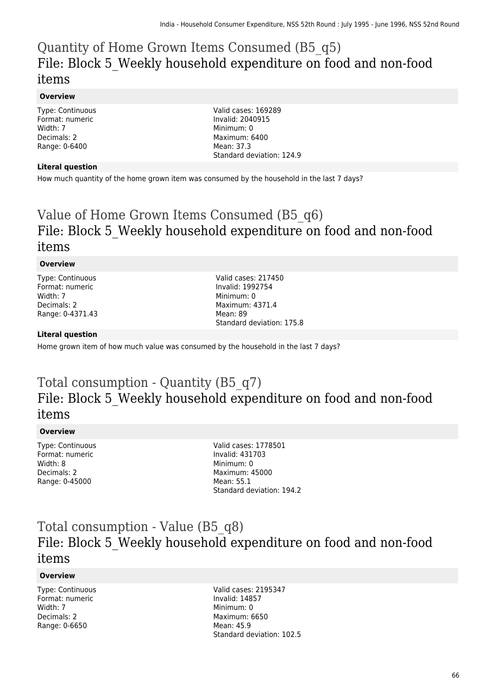# Quantity of Home Grown Items Consumed (B5\_q5) File: Block 5\_Weekly household expenditure on food and non-food items

### **Overview**

Type: Continuous Format: numeric Width: 7 Decimals: 2 Range: 0-6400

Valid cases: 169289 Invalid: 2040915 Minimum: 0 Maximum: 6400 Mean: 37.3 Standard deviation: 124.9

#### **Literal question**

How much quantity of the home grown item was consumed by the household in the last 7 days?

### Value of Home Grown Items Consumed (B5\_q6) File: Block 5\_Weekly household expenditure on food and non-food items

#### **Overview**

Type: Continuous Format: numeric Width: 7 Decimals: 2 Range: 0-4371.43

Valid cases: 217450 Invalid: 1992754 Minimum: 0 Maximum: 4371.4 Mean: 89 Standard deviation: 175.8

#### **Literal question**

Home grown item of how much value was consumed by the household in the last 7 days?

### Total consumption - Quantity (B5\_q7) File: Block 5\_Weekly household expenditure on food and non-food items

#### **Overview**

Type: Continuous Format: numeric Width: 8 Decimals: 2 Range: 0-45000

Valid cases: 1778501 Invalid: 431703 Minimum: 0 Maximum: 45000 Mean: 55.1 Standard deviation: 194.2

### Total consumption - Value (B5\_q8) File: Block 5\_Weekly household expenditure on food and non-food items

#### **Overview**

Type: Continuous Format: numeric Width: 7 Decimals: 2 Range: 0-6650

Valid cases: 2195347 Invalid: 14857 Minimum: 0 Maximum: 6650 Mean: 45.9 Standard deviation: 102.5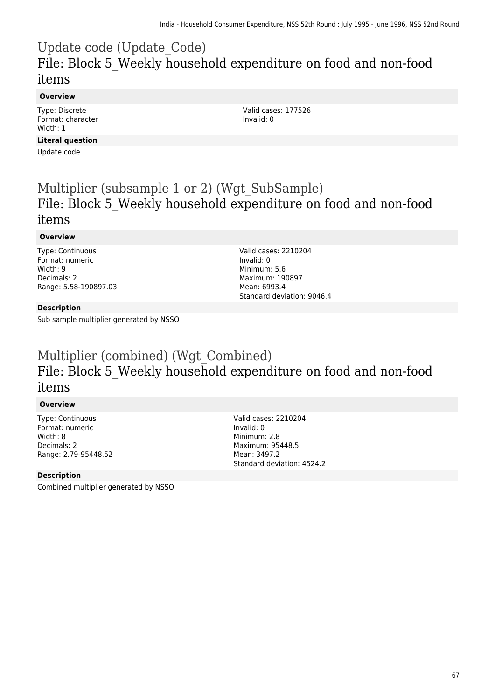### Update code (Update\_Code) File: Block 5\_Weekly household expenditure on food and non-food items

### **Overview**

Type: Discrete Format: character Width: 1

### **Literal question**

Update code

Valid cases: 177526 Invalid: 0

### Multiplier (subsample 1 or 2) (Wqt\_SubSample) File: Block 5\_Weekly household expenditure on food and non-food items

### **Overview**

Type: Continuous Format: numeric Width: 9 Decimals: 2 Range: 5.58-190897.03

### **Description**

Sub sample multiplier generated by NSSO

Valid cases: 2210204 Invalid: 0 Minimum: 5.6 Maximum: 190897 Mean: 6993.4 Standard deviation: 9046.4

# Multiplier (combined) (Wgt\_Combined) File: Block 5\_Weekly household expenditure on food and non-food items

#### **Overview**

Type: Continuous Format: numeric Width: 8 Decimals: 2 Range: 2.79-95448.52

#### **Description**

Combined multiplier generated by NSSO

Valid cases: 2210204 Invalid: 0 Minimum: 2.8 Maximum: 95448.5 Mean: 3497.2 Standard deviation: 4524.2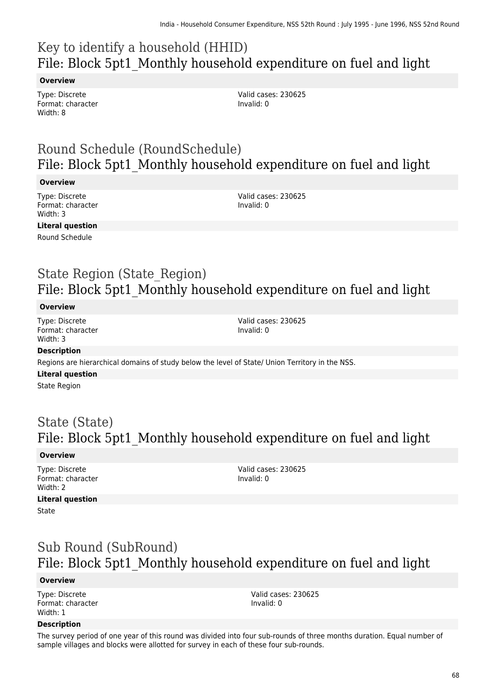# Key to identify a household (HHID) File: Block 5pt1\_Monthly household expenditure on fuel and light

**Overview**

Type: Discrete Format: character Width: 8

Valid cases: 230625 Invalid: 0

# Round Schedule (RoundSchedule) File: Block 5pt1\_Monthly household expenditure on fuel and light

#### **Overview**

Type: Discrete Format: character Width: 3

Valid cases: 230625 Invalid: 0

### **Literal question**

Round Schedule

### State Region (State\_Region) File: Block 5pt1 Monthly household expenditure on fuel and light

#### **Overview**

Type: Discrete Format: character Width: 3

Valid cases: 230625 Invalid: 0

### **Description**

Regions are hierarchical domains of study below the level of State/ Union Territory in the NSS.

### **Literal question**

State Region

# State (State) File: Block 5pt1 Monthly household expenditure on fuel and light

#### **Overview**

Type: Discrete Format: character Width: 2

Valid cases: 230625 Invalid: 0

### **Literal question**

**State** 

### Sub Round (SubRound) File: Block 5pt1\_Monthly household expenditure on fuel and light

#### **Overview**

Type: Discrete Format: character Width: 1

Valid cases: 230625 Invalid: 0

#### **Description**

The survey period of one year of this round was divided into four sub-rounds of three months duration. Equal number of sample villages and blocks were allotted for survey in each of these four sub-rounds.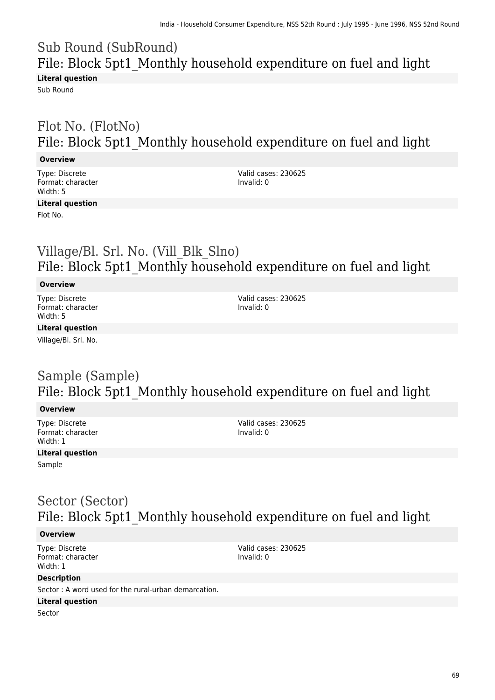# Sub Round (SubRound) File: Block 5pt1\_Monthly household expenditure on fuel and light **Literal question**

Sub Round

# Flot No. (FlotNo) File: Block 5pt1\_Monthly household expenditure on fuel and light

### **Overview**

Type: Discrete Format: character Width: 5

**Literal question** Flot No.

Valid cases: 230625 Invalid: 0

# Village/Bl. Srl. No. (Vill\_Blk\_Slno) File: Block 5pt1 Monthly household expenditure on fuel and light

#### **Overview**

Type: Discrete Format: character Width: 5

Valid cases: 230625 Invalid: 0

### **Literal question**

Village/Bl. Srl. No.

# Sample (Sample) File: Block 5pt1 Monthly household expenditure on fuel and light

#### **Overview**

Type: Discrete Format: character Width: 1

Valid cases: 230625 Invalid: 0

### **Literal question**

Sample

### Sector (Sector) File: Block 5pt1\_Monthly household expenditure on fuel and light

#### **Overview**

Type: Discrete Format: character Width: 1

Valid cases: 230625 Invalid: 0

### **Description**

Sector : A word used for the rural-urban demarcation.

#### **Literal question**

Sector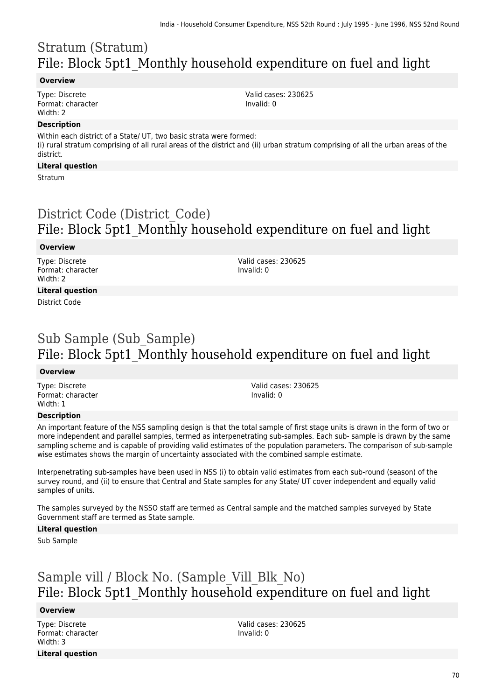# Stratum (Stratum) File: Block 5pt1 Monthly household expenditure on fuel and light

#### **Overview**

Type: Discrete Format: character Width: 2

Valid cases: 230625 Invalid: 0

#### **Description**

Within each district of a State/ UT, two basic strata were formed: (i) rural stratum comprising of all rural areas of the district and (ii) urban stratum comprising of all the urban areas of the district.

#### **Literal question**

Stratum

### District Code (District\_Code) File: Block 5pt1\_Monthly household expenditure on fuel and light

#### **Overview**

Type: Discrete Format: character Width: 2

#### **Literal question**

District Code

Valid cases: 230625 Invalid: 0

# Sub Sample (Sub\_Sample) File: Block 5pt1 Monthly household expenditure on fuel and light

#### **Overview**

Type: Discrete Format: character Width: 1

Valid cases: 230625 Invalid: 0

#### **Description**

An important feature of the NSS sampling design is that the total sample of first stage units is drawn in the form of two or more independent and parallel samples, termed as interpenetrating sub-samples. Each sub- sample is drawn by the same sampling scheme and is capable of providing valid estimates of the population parameters. The comparison of sub-sample wise estimates shows the margin of uncertainty associated with the combined sample estimate.

Interpenetrating sub-samples have been used in NSS (i) to obtain valid estimates from each sub-round (season) of the survey round, and (ii) to ensure that Central and State samples for any State/ UT cover independent and equally valid samples of units.

The samples surveyed by the NSSO staff are termed as Central sample and the matched samples surveyed by State Government staff are termed as State sample.

#### **Literal question**

Sub Sample

# Sample vill / Block No. (Sample\_Vill\_Blk\_No) File: Block 5pt1 Monthly household expenditure on fuel and light

#### **Overview**

Type: Discrete Format: character Width: 3 **Literal question**

Valid cases: 230625 Invalid: 0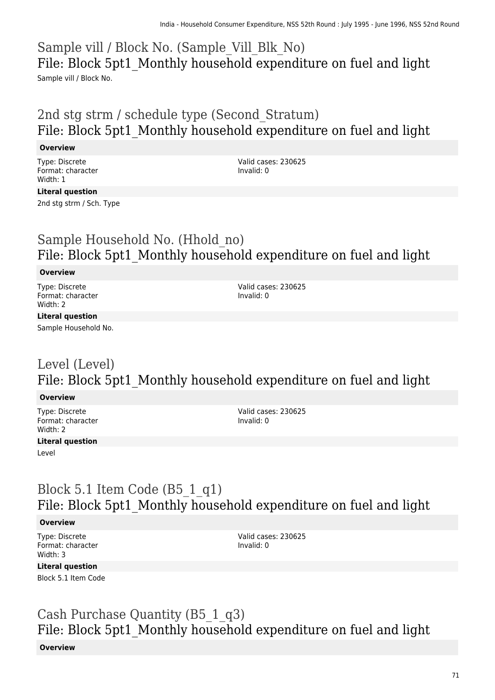### Sample vill / Block No. (Sample\_Vill\_Blk\_No) File: Block 5pt1 Monthly household expenditure on fuel and light Sample vill / Block No.

### 2nd stg strm / schedule type (Second\_Stratum) File: Block 5pt1 Monthly household expenditure on fuel and light

#### **Overview**

Type: Discrete Format: character Width: 1

Valid cases: 230625 Invalid: 0

### **Literal question**

2nd stg strm / Sch. Type

### Sample Household No. (Hhold\_no) File: Block 5pt1\_Monthly household expenditure on fuel and light

#### **Overview**

Type: Discrete Format: character Width: 2

Valid cases: 230625 Invalid: 0

### **Literal question**

Sample Household No.

### Level (Level) File: Block 5pt1 Monthly household expenditure on fuel and light

#### **Overview**

Type: Discrete Format: character Width: 2

# **Literal question**

Level

#### Valid cases: 230625 Invalid: 0

### Block 5.1 Item Code (B5\_1\_q1) File: Block 5pt1 Monthly household expenditure on fuel and light

#### **Overview**

Type: Discrete Format: character Width: 3

Valid cases: 230625 Invalid: 0

**Literal question**

Block 5.1 Item Code

### Cash Purchase Quantity (B5\_1\_q3) File: Block 5pt1\_Monthly household expenditure on fuel and light

**Overview**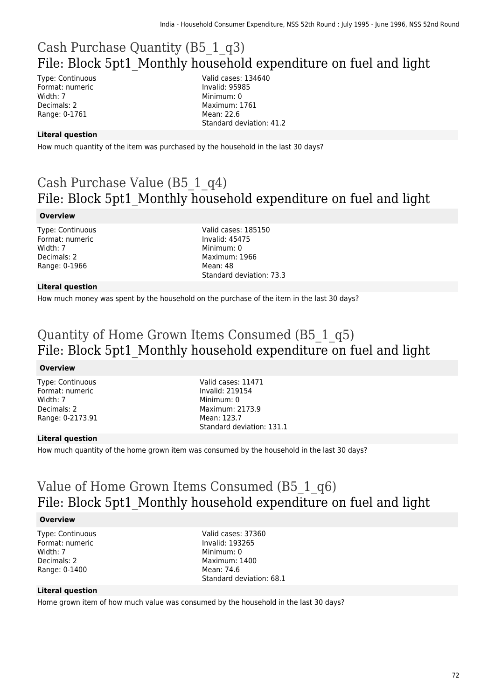# Cash Purchase Quantity (B5\_1\_q3) File: Block 5pt1\_Monthly household expenditure on fuel and light

Type: Continuous Format: numeric Width: 7 Decimals: 2 Range: 0-1761

Valid cases: 134640 Invalid: 95985 Minimum: 0 Maximum: 1761 Mean: 22.6 Standard deviation: 41.2

#### **Literal question**

How much quantity of the item was purchased by the household in the last 30 days?

# Cash Purchase Value (B5\_1\_q4) File: Block 5pt1\_Monthly household expenditure on fuel and light

#### **Overview**

Type: Continuous Format: numeric Width: 7 Decimals: 2 Range: 0-1966

Valid cases: 185150 Invalid: 45475 Minimum: 0 Maximum: 1966 Mean: 48 Standard deviation: 73.3

#### **Literal question**

How much money was spent by the household on the purchase of the item in the last 30 days?

# Quantity of Home Grown Items Consumed (B5\_1\_q5) File: Block 5pt1\_Monthly household expenditure on fuel and light

#### **Overview**

Type: Continuous Format: numeric Width: 7 Decimals: 2 Range: 0-2173.91 Valid cases: 11471 Invalid: 219154 Minimum: 0 Maximum: 2173.9 Mean: 123.7 Standard deviation: 131.1

#### **Literal question**

How much quantity of the home grown item was consumed by the household in the last 30 days?

### Value of Home Grown Items Consumed (B5\_1\_q6) File: Block 5pt1\_Monthly household expenditure on fuel and light

#### **Overview**

Type: Continuous Format: numeric Width: 7 Decimals: 2 Range: 0-1400

Valid cases: 37360 Invalid: 193265 Minimum: 0 Maximum: 1400 Mean: 74.6 Standard deviation: 68.1

#### **Literal question**

Home grown item of how much value was consumed by the household in the last 30 days?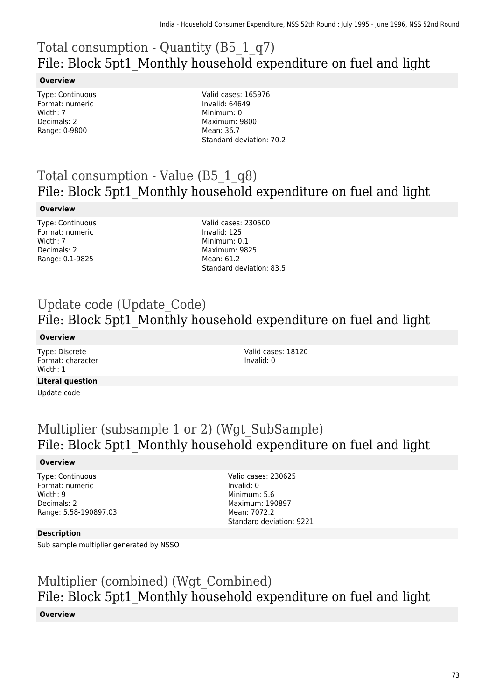# Total consumption - Quantity (B5\_1\_q7) File: Block 5pt1\_Monthly household expenditure on fuel and light

#### **Overview**

Type: Continuous Format: numeric Width: 7 Decimals: 2 Range: 0-9800

Valid cases: 165976 Invalid: 64649 Minimum: 0 Maximum: 9800 Mean: 36.7 Standard deviation: 70.2

# Total consumption - Value (B5\_1\_q8) File: Block 5pt1\_Monthly household expenditure on fuel and light

#### **Overview**

Type: Continuous Format: numeric Width: 7 Decimals: 2 Range: 0.1-9825

Valid cases: 230500 Invalid: 125 Minimum: 0.1 Maximum: 9825 Mean: 61.2 Standard deviation: 83.5

# Update code (Update\_Code) File: Block 5pt1 Monthly household expenditure on fuel and light

#### **Overview**

Type: Discrete Format: character Width: 1

Valid cases: 18120 Invalid: 0

#### **Literal question**

Update code

# Multiplier (subsample 1 or 2) (Wgt\_SubSample) File: Block 5pt1\_Monthly household expenditure on fuel and light

#### **Overview**

Type: Continuous Format: numeric Width: 9 Decimals: 2 Range: 5.58-190897.03 Valid cases: 230625 Invalid: 0 Minimum: 5.6 Maximum: 190897 Mean: 7072.2 Standard deviation: 9221

#### **Description**

Sub sample multiplier generated by NSSO

# Multiplier (combined) (Wgt\_Combined) File: Block 5pt1 Monthly household expenditure on fuel and light

#### **Overview**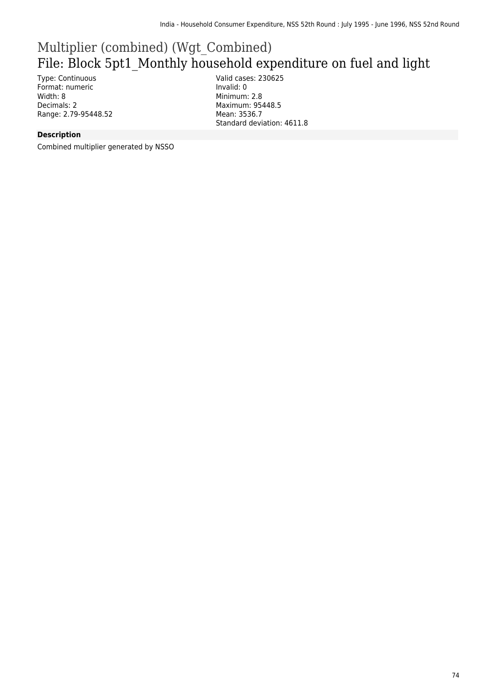# Multiplier (combined) (Wgt\_Combined) File: Block 5pt1\_Monthly household expenditure on fuel and light

Type: Continuous Format: numeric Width: 8 Decimals: 2 Range: 2.79-95448.52 Valid cases: 230625 Invalid: 0 Minimum: 2.8 Maximum: 95448.5 Mean: 3536.7 Standard deviation: 4611.8

#### **Description**

Combined multiplier generated by NSSO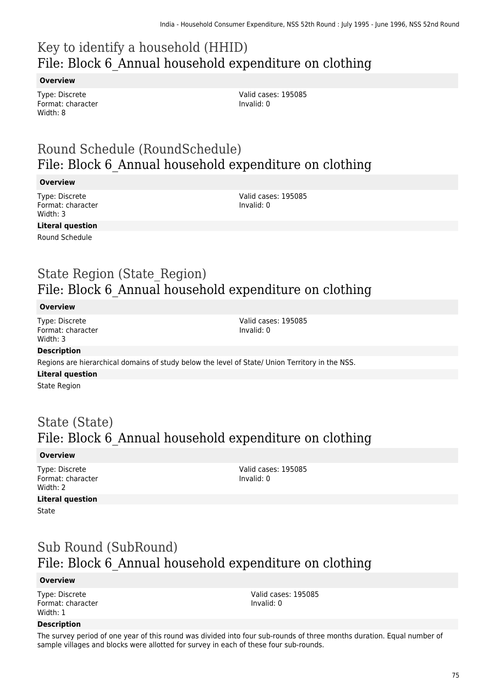# Key to identify a household (HHID) File: Block 6\_Annual household expenditure on clothing

**Overview**

Type: Discrete Format: character Width: 8

Valid cases: 195085 Invalid: 0

# Round Schedule (RoundSchedule) File: Block 6 Annual household expenditure on clothing

**Overview**

Type: Discrete Format: character Width: 3

Valid cases: 195085 Invalid: 0

#### **Literal question**

Round Schedule

# State Region (State\_Region) File: Block 6\_Annual household expenditure on clothing

#### **Overview**

Type: Discrete Format: character Width: 3

Valid cases: 195085 Invalid: 0

#### **Description**

Regions are hierarchical domains of study below the level of State/ Union Territory in the NSS.

#### **Literal question**

State Region

# State (State) File: Block 6 Annual household expenditure on clothing

#### **Overview**

**State** 

Type: Discrete Format: character Width: 2

**Literal question**

Valid cases: 195085 Invalid: 0

# Sub Round (SubRound) File: Block 6\_Annual household expenditure on clothing

#### **Overview**

Type: Discrete Format: character Width: 1

Valid cases: 195085 Invalid: 0

#### **Description**

The survey period of one year of this round was divided into four sub-rounds of three months duration. Equal number of sample villages and blocks were allotted for survey in each of these four sub-rounds.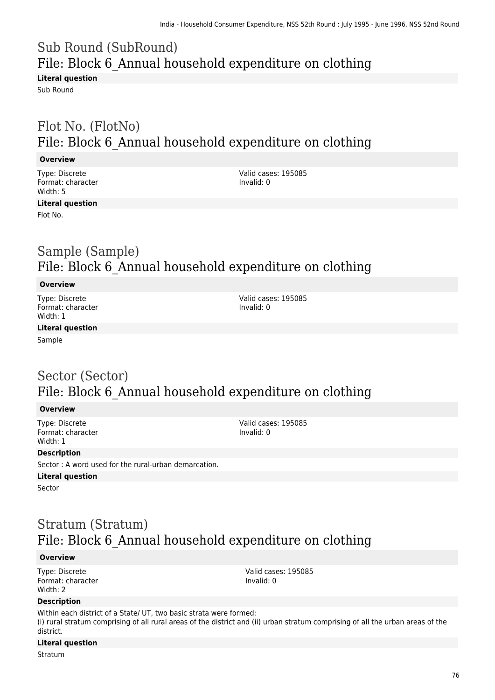# Sub Round (SubRound) File: Block 6\_Annual household expenditure on clothing **Literal question**

Sub Round

# Flot No. (FlotNo) File: Block 6\_Annual household expenditure on clothing

#### **Overview**

Type: Discrete Format: character Width: 5

Valid cases: 195085 Invalid: 0

**Literal question**

Flot No.

# Sample (Sample) File: Block 6 Annual household expenditure on clothing

#### **Overview**

Type: Discrete Format: character Width: 1

Valid cases: 195085 Invalid: 0

#### **Literal question** Sample

# Sector (Sector) File: Block 6 Annual household expenditure on clothing

#### **Overview**

Type: Discrete Format: character Width: 1

Valid cases: 195085 Invalid: 0

#### **Description**

Sector : A word used for the rural-urban demarcation.

#### **Literal question**

Sector

# Stratum (Stratum) File: Block 6 Annual household expenditure on clothing

#### **Overview**

Type: Discrete Format: character Width: 2

Valid cases: 195085 Invalid: 0

#### **Description**

Within each district of a State/ UT, two basic strata were formed: (i) rural stratum comprising of all rural areas of the district and (ii) urban stratum comprising of all the urban areas of the district.

#### **Literal question**

Stratum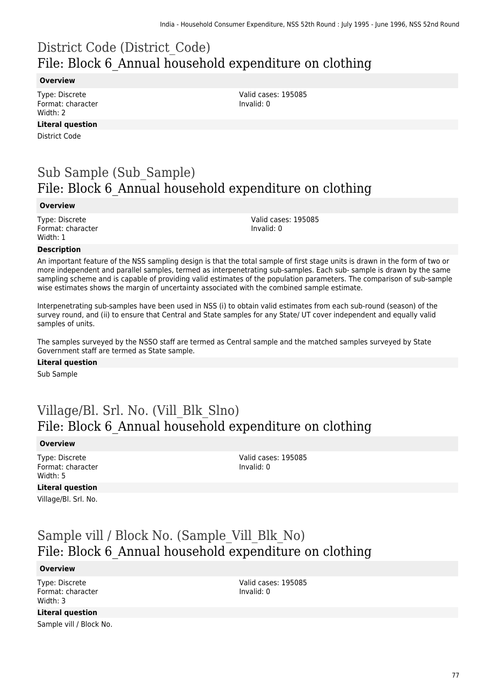# District Code (District\_Code) File: Block 6\_Annual household expenditure on clothing

**Overview**

Type: Discrete Format: character Width: 2

**Literal question**

District Code

Valid cases: 195085 Invalid: 0

# Sub Sample (Sub\_Sample) File: Block 6\_Annual household expenditure on clothing

#### **Overview**

Type: Discrete Format: character Width: 1

Valid cases: 195085 Invalid: 0

#### **Description**

An important feature of the NSS sampling design is that the total sample of first stage units is drawn in the form of two or more independent and parallel samples, termed as interpenetrating sub-samples. Each sub- sample is drawn by the same sampling scheme and is capable of providing valid estimates of the population parameters. The comparison of sub-sample wise estimates shows the margin of uncertainty associated with the combined sample estimate.

Interpenetrating sub-samples have been used in NSS (i) to obtain valid estimates from each sub-round (season) of the survey round, and (ii) to ensure that Central and State samples for any State/ UT cover independent and equally valid samples of units.

The samples surveyed by the NSSO staff are termed as Central sample and the matched samples surveyed by State Government staff are termed as State sample.

#### **Literal question**

Sub Sample

# Village/Bl. Srl. No. (Vill\_Blk\_Slno) File: Block 6\_Annual household expenditure on clothing

#### **Overview**

Type: Discrete Format: character Width: 5

Valid cases: 195085 Invalid: 0

#### **Literal question**

Village/Bl. Srl. No.

# Sample vill / Block No. (Sample\_Vill\_Blk\_No) File: Block 6\_Annual household expenditure on clothing

#### **Overview**

Type: Discrete Format: character Width: 3

Valid cases: 195085 Invalid: 0

**Literal question**

Sample vill / Block No.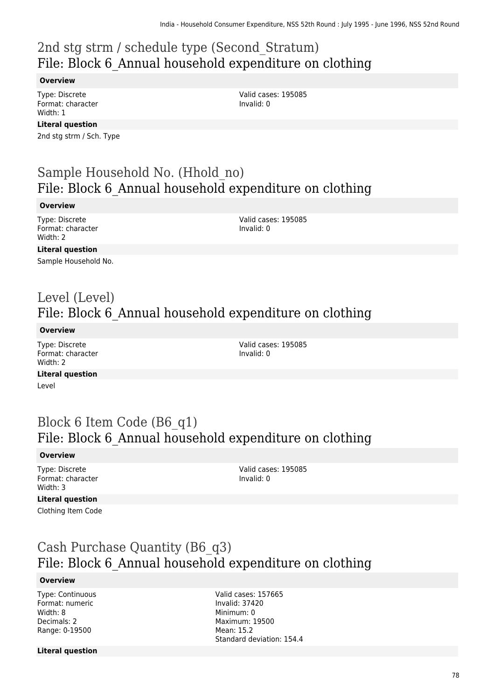# 2nd stg strm / schedule type (Second\_Stratum) File: Block 6\_Annual household expenditure on clothing

#### **Overview**

Type: Discrete Format: character Width: 1

#### **Literal question**

2nd stg strm / Sch. Type

Valid cases: 195085 Invalid: 0

# Sample Household No. (Hhold\_no) File: Block 6\_Annual household expenditure on clothing

#### **Overview**

Type: Discrete Format: character Width: 2

#### **Literal question**

Sample Household No.

#### Valid cases: 195085 Invalid: 0

# Level (Level) File: Block 6 Annual household expenditure on clothing

#### **Overview**

Type: Discrete Format: character Width: 2

Valid cases: 195085 Invalid: 0

#### **Literal question**

Level

# Block 6 Item Code (B6\_q1) File: Block 6 Annual household expenditure on clothing

#### **Overview**

Type: Discrete Format: character Width: 3

Valid cases: 195085 Invalid: 0

#### **Literal question**

Clothing Item Code

# Cash Purchase Quantity (B6\_q3) File: Block 6\_Annual household expenditure on clothing

#### **Overview**

Type: Continuous Format: numeric Width: 8 Decimals: 2 Range: 0-19500

Valid cases: 157665 Invalid: 37420 Minimum: 0 Maximum: 19500 Mean: 15.2 Standard deviation: 154.4

#### **Literal question**

78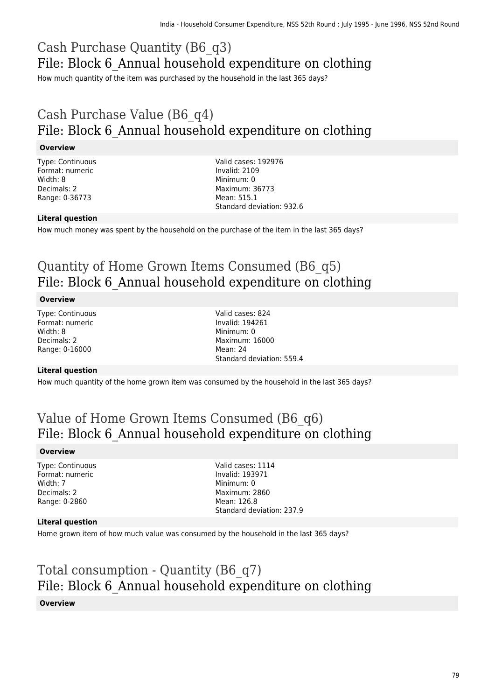# Cash Purchase Quantity (B6\_q3) File: Block 6\_Annual household expenditure on clothing

How much quantity of the item was purchased by the household in the last 365 days?

# Cash Purchase Value (B6\_q4) File: Block 6\_Annual household expenditure on clothing

#### **Overview**

Type: Continuous Format: numeric Width: 8 Decimals: 2 Range: 0-36773

Valid cases: 192976 Invalid: 2109 Minimum: 0 Maximum: 36773 Mean: 515.1 Standard deviation: 932.6

#### **Literal question**

How much money was spent by the household on the purchase of the item in the last 365 days?

# Quantity of Home Grown Items Consumed (B6\_q5) File: Block 6 Annual household expenditure on clothing

#### **Overview**

Type: Continuous Format: numeric Width: 8 Decimals: 2 Range: 0-16000

Valid cases: 824 Invalid: 194261 Minimum: 0 Maximum: 16000 Mean: 24 Standard deviation: 559.4

#### **Literal question**

How much quantity of the home grown item was consumed by the household in the last 365 days?

# Value of Home Grown Items Consumed (B6\_q6) File: Block 6 Annual household expenditure on clothing

#### **Overview**

Type: Continuous Format: numeric Width: 7 Decimals: 2 Range: 0-2860

Valid cases: 1114 Invalid: 193971 Minimum: 0 Maximum: 2860 Mean: 126.8 Standard deviation: 237.9

#### **Literal question**

Home grown item of how much value was consumed by the household in the last 365 days?

# Total consumption - Quantity (B6\_q7) File: Block 6\_Annual household expenditure on clothing

#### **Overview**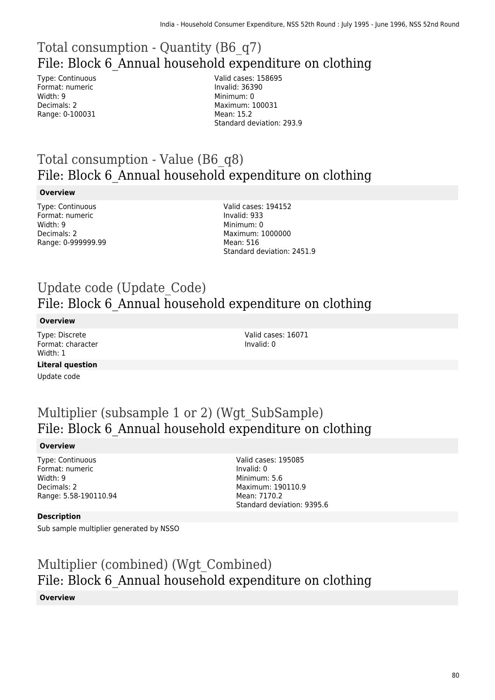# Total consumption - Quantity (B6\_q7) File: Block 6\_Annual household expenditure on clothing

Type: Continuous Format: numeric Width: 9 Decimals: 2 Range: 0-100031

Valid cases: 158695 Invalid: 36390 Minimum: 0 Maximum: 100031 Mean: 15.2 Standard deviation: 293.9

# Total consumption - Value (B6\_q8) File: Block 6\_Annual household expenditure on clothing

#### **Overview**

Type: Continuous Format: numeric Width: 9 Decimals: 2 Range: 0-999999.99 Valid cases: 194152 Invalid: 933 Minimum: 0 Maximum: 1000000 Mean: 516 Standard deviation: 2451.9

# Update code (Update\_Code) File: Block 6\_Annual household expenditure on clothing

#### **Overview**

Type: Discrete Format: character Width: 1

#### **Literal question**

Update code

Valid cases: 16071 Invalid: 0

# Multiplier (subsample 1 or 2) (Wgt\_SubSample) File: Block 6 Annual household expenditure on clothing

#### **Overview**

Type: Continuous Format: numeric Width: 9 Decimals: 2 Range: 5.58-190110.94 Valid cases: 195085 Invalid: 0 Minimum: 5.6 Maximum: 190110.9 Mean: 7170.2 Standard deviation: 9395.6

#### **Description**

Sub sample multiplier generated by NSSO

Multiplier (combined) (Wgt\_Combined) File: Block 6\_Annual household expenditure on clothing **Overview**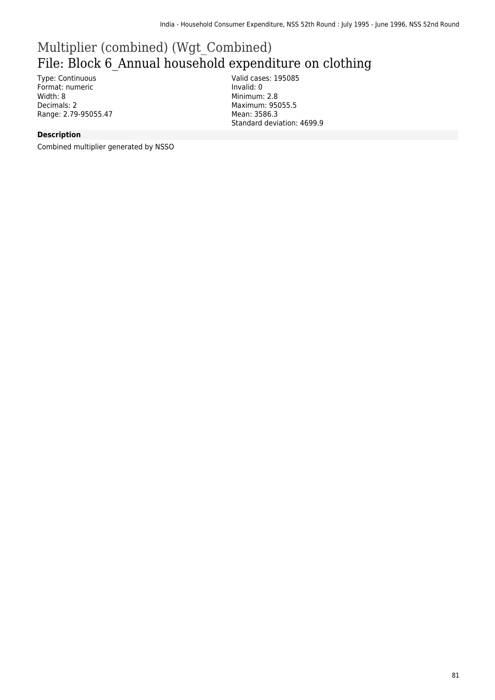# Multiplier (combined) (Wgt\_Combined) File: Block 6\_Annual household expenditure on clothing

Type: Continuous Format: numeric Width: 8 Decimals: 2 Range: 2.79-95055.47 Valid cases: 195085 Invalid: 0 Minimum: 2.8 Maximum: 95055.5 Mean: 3586.3 Standard deviation: 4699.9

#### **Description**

Combined multiplier generated by NSSO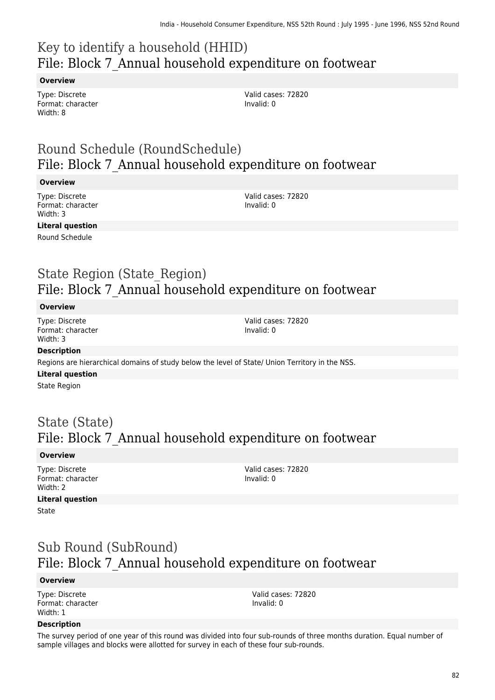# Key to identify a household (HHID) File: Block 7\_Annual household expenditure on footwear

**Overview**

Type: Discrete Format: character Width: 8

Valid cases: 72820 Invalid: 0

# Round Schedule (RoundSchedule) File: Block 7\_Annual household expenditure on footwear

#### **Overview**

Type: Discrete Format: character Width: 3

Valid cases: 72820 Invalid: 0

#### **Literal question**

Round Schedule

# State Region (State\_Region) File: Block 7\_Annual household expenditure on footwear

#### **Overview**

Type: Discrete Format: character Width: 3

Valid cases: 72820 Invalid: 0

#### **Description**

Regions are hierarchical domains of study below the level of State/ Union Territory in the NSS.

#### **Literal question**

State Region

# State (State) File: Block 7\_Annual household expenditure on footwear

#### **Overview**

Type: Discrete Format: character Width: 2

Valid cases: 72820 Invalid: 0

#### **Literal question**

**State** 

# Sub Round (SubRound) File: Block 7\_Annual household expenditure on footwear

#### **Overview**

Type: Discrete Format: character Width: 1

Valid cases: 72820 Invalid: 0

#### **Description**

The survey period of one year of this round was divided into four sub-rounds of three months duration. Equal number of sample villages and blocks were allotted for survey in each of these four sub-rounds.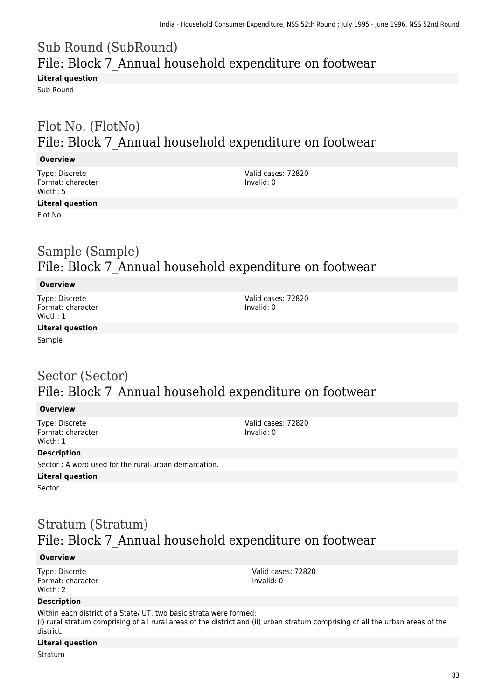# Sub Round (SubRound) File: Block 7\_Annual household expenditure on footwear **Literal question**

Sub Round

# Flot No. (FlotNo) File: Block 7\_Annual household expenditure on footwear

#### **Overview**

Type: Discrete Format: character Width: 5

Valid cases: 72820 Invalid: 0

**Literal question**

Flot No.

# Sample (Sample) File: Block 7\_Annual household expenditure on footwear

#### **Overview**

Type: Discrete Format: character Width: 1

Valid cases: 72820 Invalid: 0

# **Literal question**

Sample

# Sector (Sector) File: Block 7\_Annual household expenditure on footwear

#### **Overview**

Type: Discrete Format: character Width: 1

Valid cases: 72820 Invalid: 0

#### **Description**

Sector : A word used for the rural-urban demarcation.

#### **Literal question**

Sector

# Stratum (Stratum) File: Block 7\_Annual household expenditure on footwear

#### **Overview**

Type: Discrete Format: character Width: 2

Valid cases: 72820 Invalid: 0

#### **Description**

Within each district of a State/ UT, two basic strata were formed: (i) rural stratum comprising of all rural areas of the district and (ii) urban stratum comprising of all the urban areas of the district.

#### **Literal question**

Stratum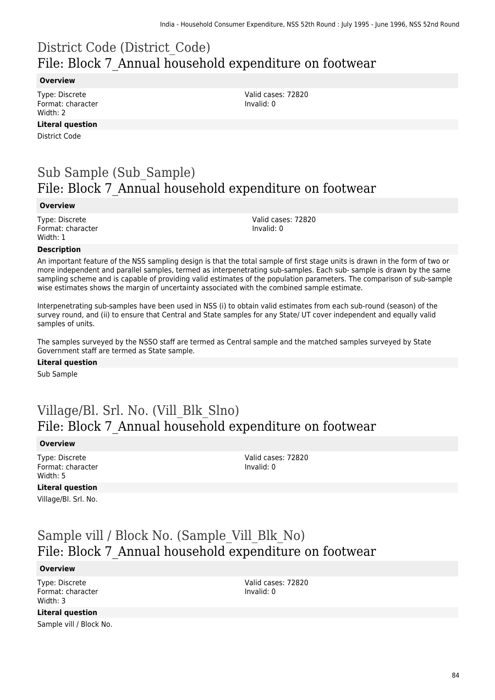# District Code (District\_Code) File: Block 7\_Annual household expenditure on footwear

**Overview**

Type: Discrete Format: character Width: 2

#### **Literal question**

District Code

Valid cases: 72820 Invalid: 0

# Sub Sample (Sub\_Sample) File: Block 7\_Annual household expenditure on footwear

#### **Overview**

Type: Discrete Format: character Width: 1

Valid cases: 72820 Invalid: 0

#### **Description**

An important feature of the NSS sampling design is that the total sample of first stage units is drawn in the form of two or more independent and parallel samples, termed as interpenetrating sub-samples. Each sub- sample is drawn by the same sampling scheme and is capable of providing valid estimates of the population parameters. The comparison of sub-sample wise estimates shows the margin of uncertainty associated with the combined sample estimate.

Interpenetrating sub-samples have been used in NSS (i) to obtain valid estimates from each sub-round (season) of the survey round, and (ii) to ensure that Central and State samples for any State/ UT cover independent and equally valid samples of units.

The samples surveyed by the NSSO staff are termed as Central sample and the matched samples surveyed by State Government staff are termed as State sample.

#### **Literal question**

Sub Sample

# Village/Bl. Srl. No. (Vill\_Blk\_Slno) File: Block 7\_Annual household expenditure on footwear

#### **Overview**

Type: Discrete Format: character Width: 5

Valid cases: 72820 Invalid: 0

#### **Literal question**

Village/Bl. Srl. No.

# Sample vill / Block No. (Sample\_Vill\_Blk\_No) File: Block 7\_Annual household expenditure on footwear

#### **Overview**

Type: Discrete Format: character Width: 3

#### **Literal question**

Sample vill / Block No.

Valid cases: 72820 Invalid: 0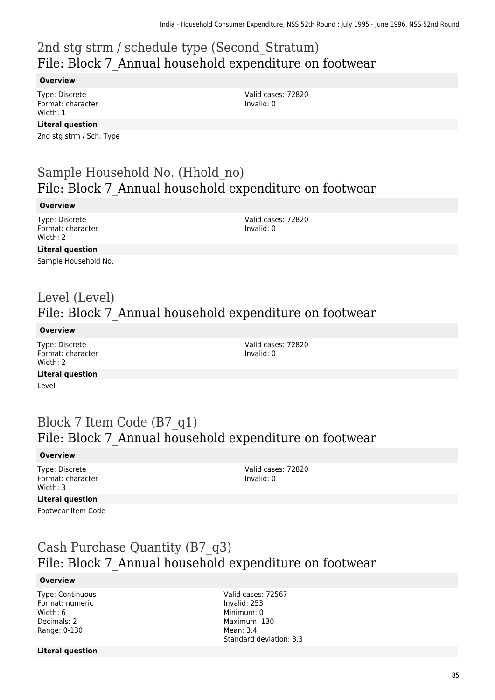# 2nd stg strm / schedule type (Second\_Stratum) File: Block 7\_Annual household expenditure on footwear

#### **Overview**

Type: Discrete Format: character Width: 1

#### **Literal question**

2nd stg strm / Sch. Type

Valid cases: 72820 Invalid: 0

# Sample Household No. (Hhold\_no) File: Block 7\_Annual household expenditure on footwear

#### **Overview**

Type: Discrete Format: character Width: 2

#### **Literal question**

Sample Household No.

# Invalid: 0

Valid cases: 72820

# Level (Level) File: Block 7\_Annual household expenditure on footwear

#### **Overview**

Type: Discrete Format: character Width: 2

Valid cases: 72820 Invalid: 0

#### **Literal question**

Level

# Block 7 Item Code (B7\_q1) File: Block 7\_Annual household expenditure on footwear

#### **Overview**

Type: Discrete Format: character Width: 3

Valid cases: 72820 Invalid: 0

#### **Literal question**

Footwear Item Code

# Cash Purchase Quantity (B7\_q3) File: Block 7\_Annual household expenditure on footwear

#### **Overview**

Type: Continuous Format: numeric Width: 6 Decimals: 2 Range: 0-130

Valid cases: 72567 Invalid: 253 Minimum: 0 Maximum: 130 Mean: 3.4 Standard deviation: 3.3

#### **Literal question**

85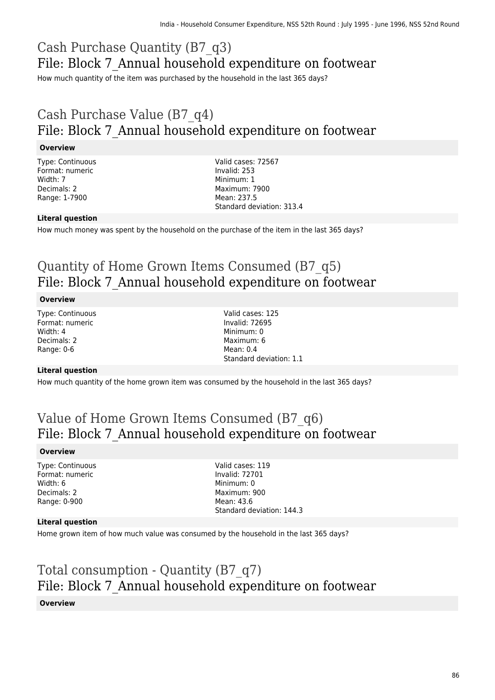# Cash Purchase Quantity (B7\_q3) File: Block 7\_Annual household expenditure on footwear

How much quantity of the item was purchased by the household in the last 365 days?

# Cash Purchase Value (B7\_q4) File: Block 7\_Annual household expenditure on footwear

#### **Overview**

Type: Continuous Format: numeric Width: 7 Decimals: 2 Range: 1-7900

Valid cases: 72567 Invalid: 253 Minimum: 1 Maximum: 7900 Mean: 237.5 Standard deviation: 313.4

#### **Literal question**

How much money was spent by the household on the purchase of the item in the last 365 days?

# Quantity of Home Grown Items Consumed (B7\_q5) File: Block 7\_Annual household expenditure on footwear

#### **Overview**

Type: Continuous Format: numeric Width: 4 Decimals: 2 Range: 0-6

Valid cases: 125 Invalid: 72695 Minimum: 0 Maximum: 6 Mean: 0.4 Standard deviation: 1.1

#### **Literal question**

How much quantity of the home grown item was consumed by the household in the last 365 days?

# Value of Home Grown Items Consumed (B7\_q6) File: Block 7\_Annual household expenditure on footwear

#### **Overview**

Type: Continuous Format: numeric Width: 6 Decimals: 2 Range: 0-900

Valid cases: 119 Invalid: 72701 Minimum: 0 Maximum: 900 Mean: 43.6 Standard deviation: 144.3

#### **Literal question**

Home grown item of how much value was consumed by the household in the last 365 days?

# Total consumption - Quantity (B7\_q7) File: Block 7\_Annual household expenditure on footwear

#### **Overview**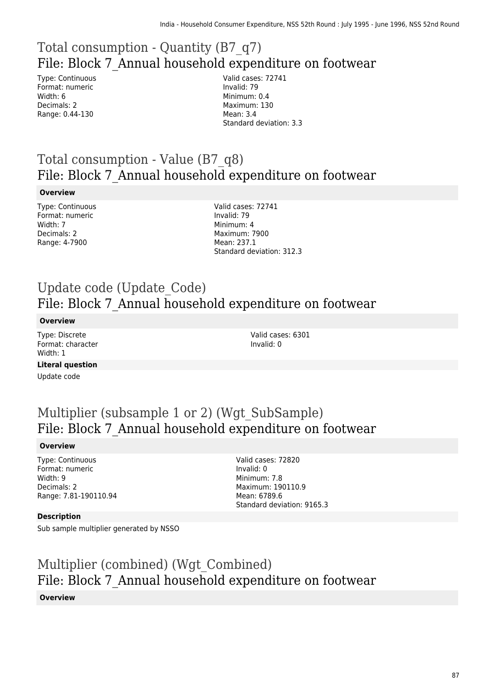# Total consumption - Quantity (B7\_q7) File: Block 7\_Annual household expenditure on footwear

Type: Continuous Format: numeric Width: 6 Decimals: 2 Range: 0.44-130

Valid cases: 72741 Invalid: 79 Minimum: 0.4 Maximum: 130 Mean: 3.4 Standard deviation: 3.3

# Total consumption - Value (B7\_q8) File: Block 7\_Annual household expenditure on footwear

#### **Overview**

Type: Continuous Format: numeric Width: 7 Decimals: 2 Range: 4-7900

Valid cases: 72741 Invalid: 79 Minimum: 4 Maximum: 7900 Mean: 237.1 Standard deviation: 312.3

# Update code (Update\_Code) File: Block 7\_Annual household expenditure on footwear

#### **Overview**

Type: Discrete Format: character Width: 1

#### **Literal question**

Update code

Valid cases: 6301 Invalid: 0

# Multiplier (subsample 1 or 2) (Wgt\_SubSample) File: Block 7\_Annual household expenditure on footwear

#### **Overview**

Type: Continuous Format: numeric Width: 9 Decimals: 2 Range: 7.81-190110.94 Valid cases: 72820 Invalid: 0 Minimum: 7.8 Maximum: 190110.9 Mean: 6789.6 Standard deviation: 9165.3

#### **Description**

Sub sample multiplier generated by NSSO

Multiplier (combined) (Wgt\_Combined) File: Block 7\_Annual household expenditure on footwear **Overview**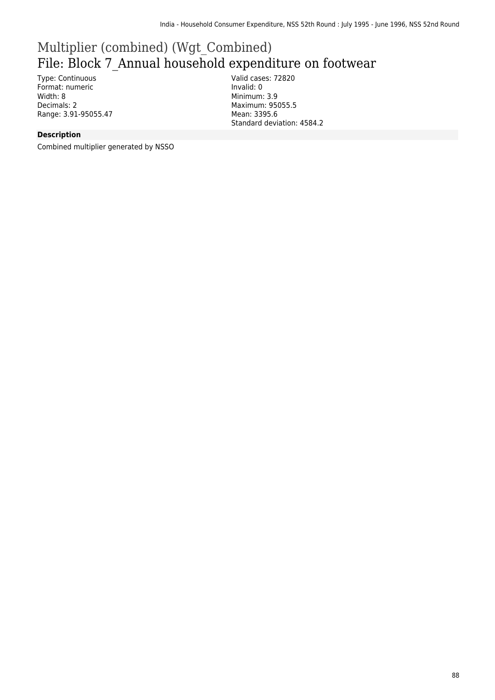# Multiplier (combined) (Wgt\_Combined) File: Block 7\_Annual household expenditure on footwear

Type: Continuous Format: numeric Width: 8 Decimals: 2 Range: 3.91-95055.47 Valid cases: 72820 Invalid: 0 Minimum: 3.9 Maximum: 95055.5 Mean: 3395.6 Standard deviation: 4584.2

#### **Description**

Combined multiplier generated by NSSO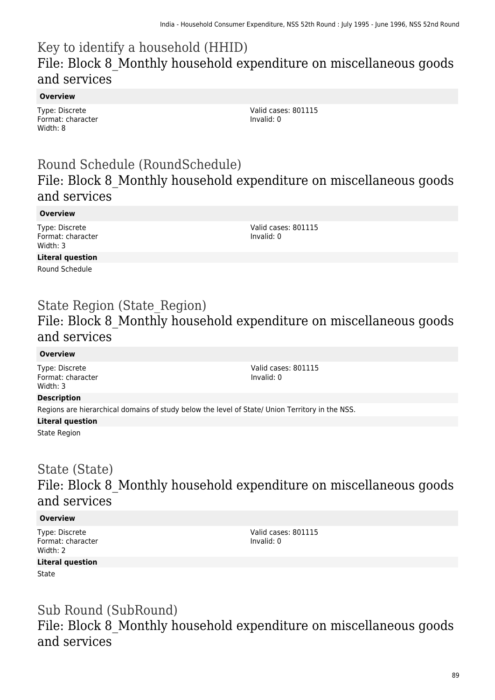# Key to identify a household (HHID) File: Block 8 Monthly household expenditure on miscellaneous goods and services

#### **Overview**

Type: Discrete Format: character Width: 8

Valid cases: 801115 Invalid: 0

# Round Schedule (RoundSchedule) File: Block 8\_Monthly household expenditure on miscellaneous goods and services

#### **Overview**

Type: Discrete Format: character Width: 3

Valid cases: 801115 Invalid: 0

#### **Literal question**

Round Schedule

# State Region (State\_Region) File: Block 8 Monthly household expenditure on miscellaneous goods and services

#### **Overview**

Type: Discrete Format: character Width: 3

Valid cases: 801115 Invalid: 0

#### **Description**

Regions are hierarchical domains of study below the level of State/ Union Territory in the NSS.

#### **Literal question**

State Region

# State (State) File: Block 8 Monthly household expenditure on miscellaneous goods and services

#### **Overview**

Type: Discrete Format: character Width: 2

Valid cases: 801115 Invalid: 0

#### **Literal question State**

# Sub Round (SubRound) File: Block 8\_Monthly household expenditure on miscellaneous goods and services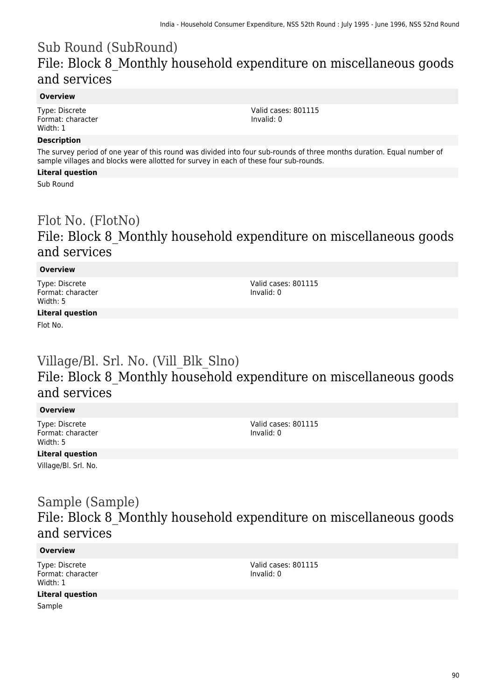# Sub Round (SubRound) File: Block 8\_Monthly household expenditure on miscellaneous goods and services

#### **Overview**

Type: Discrete Format: character Width: 1

Valid cases: 801115 Invalid: 0

#### **Description**

The survey period of one year of this round was divided into four sub-rounds of three months duration. Equal number of sample villages and blocks were allotted for survey in each of these four sub-rounds.

#### **Literal question**

Sub Round

# Flot No. (FlotNo) File: Block 8\_Monthly household expenditure on miscellaneous goods and services

#### **Overview**

Type: Discrete Format: character Width: 5

Valid cases: 801115 Invalid: 0

# **Literal question**

Flot No.

# Village/Bl. Srl. No. (Vill\_Blk\_Slno) File: Block 8\_Monthly household expenditure on miscellaneous goods and services

#### **Overview**

Type: Discrete Format: character Width: 5

#### **Literal question**

Village/Bl. Srl. No.

Valid cases: 801115 Invalid: 0

# Sample (Sample) File: Block 8\_Monthly household expenditure on miscellaneous goods and services

#### **Overview**

Type: Discrete Format: character Width: 1

#### **Literal question**

Sample

Valid cases: 801115 Invalid: 0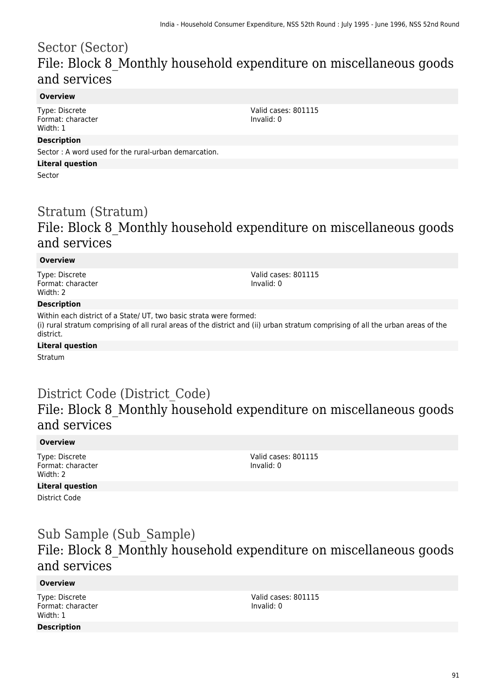Valid cases: 801115

Valid cases: 801115

Invalid: 0

Invalid: 0

# Sector (Sector) File: Block 8\_Monthly household expenditure on miscellaneous goods and services

#### **Overview**

Type: Discrete Format: character Width: 1

**Description**

Sector : A word used for the rural-urban demarcation.

**Literal question**

Sector

# Stratum (Stratum) File: Block 8\_Monthly household expenditure on miscellaneous goods and services

#### **Overview**

Type: Discrete Format: character Width: 2

**Description**

Within each district of a State/ UT, two basic strata were formed: (i) rural stratum comprising of all rural areas of the district and (ii) urban stratum comprising of all the urban areas of the district.

#### **Literal question**

Stratum

# District Code (District\_Code) File: Block 8\_Monthly household expenditure on miscellaneous goods

# and services

**Overview**

Type: Discrete Format: character Width: 2

#### **Literal question**

District Code

Valid cases: 801115 Invalid: 0

# Sub Sample (Sub\_Sample) File: Block 8\_Monthly household expenditure on miscellaneous goods and services

#### **Overview**

Type: Discrete Format: character Width: 1

**Description**

Valid cases: 801115 Invalid: 0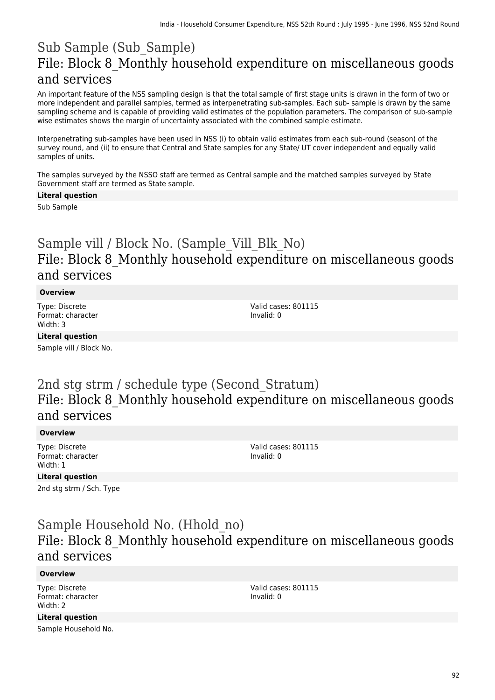# Sub Sample (Sub\_Sample) File: Block 8\_Monthly household expenditure on miscellaneous goods and services

An important feature of the NSS sampling design is that the total sample of first stage units is drawn in the form of two or more independent and parallel samples, termed as interpenetrating sub-samples. Each sub- sample is drawn by the same sampling scheme and is capable of providing valid estimates of the population parameters. The comparison of sub-sample wise estimates shows the margin of uncertainty associated with the combined sample estimate.

Interpenetrating sub-samples have been used in NSS (i) to obtain valid estimates from each sub-round (season) of the survey round, and (ii) to ensure that Central and State samples for any State/ UT cover independent and equally valid samples of units.

The samples surveyed by the NSSO staff are termed as Central sample and the matched samples surveyed by State Government staff are termed as State sample.

#### **Literal question**

Sub Sample

# Sample vill / Block No. (Sample\_Vill\_Blk\_No) File: Block 8\_Monthly household expenditure on miscellaneous goods and services

#### **Overview**

Type: Discrete Format: character Width: 3

#### **Literal question**

Sample vill / Block No.

Valid cases: 801115 Invalid: 0

# 2nd stg strm / schedule type (Second\_Stratum) File: Block 8\_Monthly household expenditure on miscellaneous goods and services

#### **Overview**

Type: Discrete Format: character Width: 1

**Literal question**

2nd stg strm / Sch. Type

Valid cases: 801115 Invalid: 0

Sample Household No. (Hhold\_no) File: Block 8 Monthly household expenditure on miscellaneous goods and services

#### **Overview**

Type: Discrete Format: character Width: 2

#### Valid cases: 801115 Invalid: 0

#### **Literal question**

Sample Household No.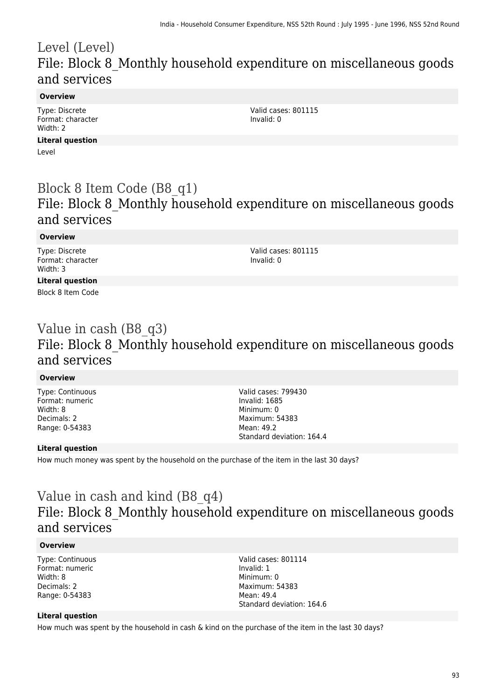# Level (Level) File: Block 8\_Monthly household expenditure on miscellaneous goods and services

#### **Overview**

Type: Discrete Format: character Width: 2

**Literal question**

Level

# Block 8 Item Code (B8\_q1) File: Block 8\_Monthly household expenditure on miscellaneous goods and services

#### **Overview**

Type: Discrete Format: character Width: 3

Valid cases: 801115 Invalid: 0

Valid cases: 801115

Invalid: 0

#### **Literal question**

Block 8 Item Code

# Value in cash (B8\_q3) File: Block 8\_Monthly household expenditure on miscellaneous goods and services

#### **Overview**

Type: Continuous Format: numeric Width: 8 Decimals: 2 Range: 0-54383

Valid cases: 799430 Invalid: 1685 Minimum: 0 Maximum: 54383 Mean: 49.2 Standard deviation: 164.4

#### **Literal question**

How much money was spent by the household on the purchase of the item in the last 30 days?

# Value in cash and kind (B8\_q4) File: Block 8\_Monthly household expenditure on miscellaneous goods and services

#### **Overview**

Type: Continuous Format: numeric Width: 8 Decimals: 2 Range: 0-54383

Valid cases: 801114 Invalid: 1 Minimum: 0 Maximum: 54383 Mean: 49.4 Standard deviation: 164.6

#### **Literal question**

How much was spent by the household in cash & kind on the purchase of the item in the last 30 days?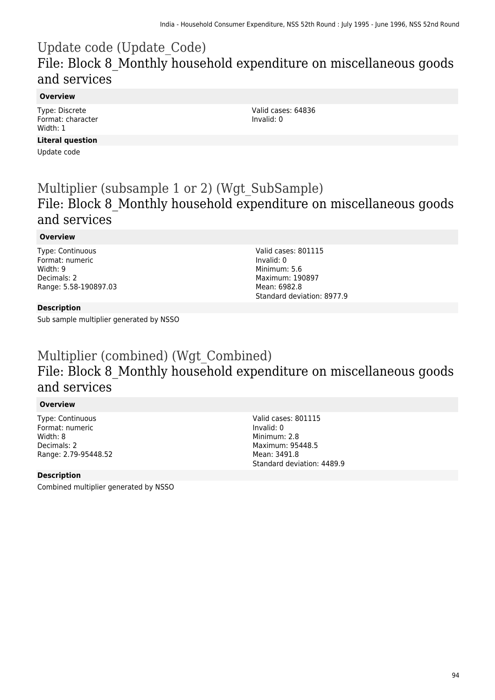# Update code (Update\_Code) File: Block 8\_Monthly household expenditure on miscellaneous goods and services

#### **Overview**

Type: Discrete Format: character Width: 1

# **Literal question**

Update code

Valid cases: 64836 Invalid: 0

# Multiplier (subsample 1 or 2) (Wqt\_SubSample) File: Block 8\_Monthly household expenditure on miscellaneous goods and services

#### **Overview**

Type: Continuous Format: numeric Width: 9 Decimals: 2 Range: 5.58-190897.03

#### **Description**

Sub sample multiplier generated by NSSO

Valid cases: 801115 Invalid: 0 Minimum: 5.6 Maximum: 190897 Mean: 6982.8 Standard deviation: 8977.9

# Multiplier (combined) (Wgt\_Combined) File: Block 8\_Monthly household expenditure on miscellaneous goods and services

#### **Overview**

Type: Continuous Format: numeric Width: 8 Decimals: 2 Range: 2.79-95448.52

#### **Description**

Combined multiplier generated by NSSO

Valid cases: 801115 Invalid: 0 Minimum: 2.8 Maximum: 95448.5 Mean: 3491.8 Standard deviation: 4489.9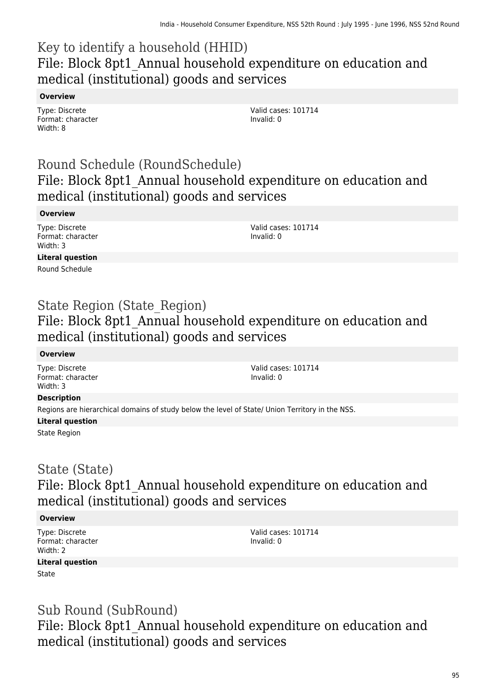# Key to identify a household (HHID) File: Block 8pt1 Annual household expenditure on education and medical (institutional) goods and services

#### **Overview**

Type: Discrete Format: character Width: 8

Valid cases: 101714 Invalid: 0

# Round Schedule (RoundSchedule) File: Block 8pt1 Annual household expenditure on education and medical (institutional) goods and services

#### **Overview**

Type: Discrete Format: character Width: 3

Valid cases: 101714 Invalid: 0

#### **Literal question**

Round Schedule

# State Region (State\_Region)

# File: Block 8pt1 Annual household expenditure on education and medical (institutional) goods and services

#### **Overview**

Type: Discrete Format: character Width: 3

Valid cases: 101714 Invalid: 0

#### **Description**

Regions are hierarchical domains of study below the level of State/ Union Territory in the NSS.

#### **Literal question**

State Region

# State (State) File: Block 8pt1 Annual household expenditure on education and medical (institutional) goods and services

#### **Overview**

Type: Discrete Format: character Width: 2

Valid cases: 101714 Invalid: 0

**Literal question State** 

### Sub Round (SubRound)

File: Block 8pt1\_Annual household expenditure on education and medical (institutional) goods and services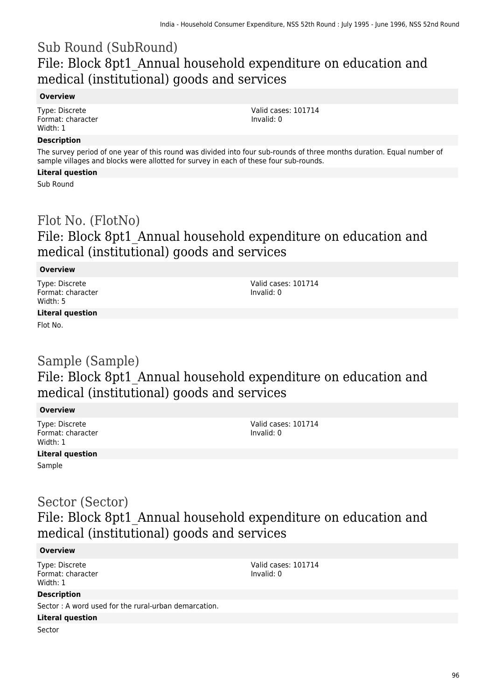# Sub Round (SubRound) File: Block 8pt1 Annual household expenditure on education and medical (institutional) goods and services

#### **Overview**

Type: Discrete Format: character Width: 1

Valid cases: 101714 Invalid: 0

#### **Description**

The survey period of one year of this round was divided into four sub-rounds of three months duration. Equal number of sample villages and blocks were allotted for survey in each of these four sub-rounds.

#### **Literal question**

Sub Round

# Flot No. (FlotNo) File: Block 8pt1 Annual household expenditure on education and medical (institutional) goods and services

#### **Overview**

Type: Discrete Format: character Width: 5

Valid cases: 101714 Invalid: 0

# **Literal question**

Flot No.

# Sample (Sample) File: Block 8pt1 Annual household expenditure on education and medical (institutional) goods and services

#### **Overview**

Type: Discrete Format: character Width: 1

#### **Literal question**

Sample

# Sector (Sector)

File: Block 8pt1 Annual household expenditure on education and medical (institutional) goods and services

#### **Overview**

Type: Discrete Format: character Width: 1

**Description**

Sector : A word used for the rural-urban demarcation.

#### **Literal question**

Sector

Valid cases: 101714 Invalid: 0

Valid cases: 101714

Invalid: 0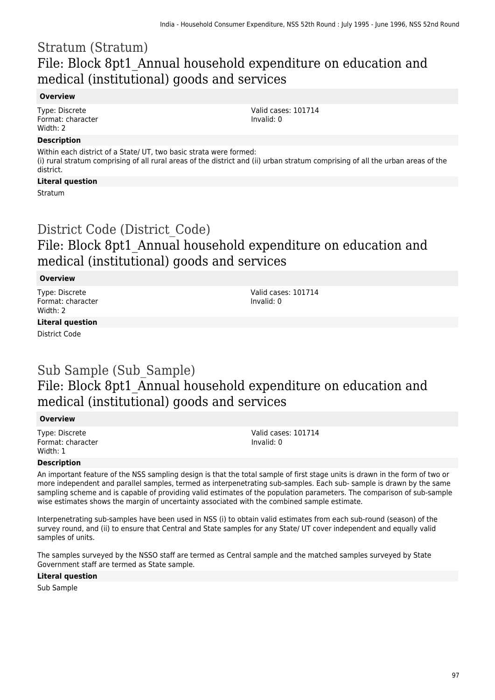# Stratum (Stratum) File: Block 8pt1 Annual household expenditure on education and medical (institutional) goods and services

#### **Overview**

Type: Discrete Format: character Width: 2

Valid cases: 101714 Invalid: 0

#### **Description**

Within each district of a State/ UT, two basic strata were formed: (i) rural stratum comprising of all rural areas of the district and (ii) urban stratum comprising of all the urban areas of the district.

#### **Literal question**

Stratum

# District Code (District\_Code) File: Block 8pt1\_Annual household expenditure on education and medical (institutional) goods and services

#### **Overview**

Type: Discrete Format: character Width: 2

**Literal question** District Code

Sub Sample (Sub\_Sample)

# File: Block 8pt1 Annual household expenditure on education and medical (institutional) goods and services

#### **Overview**

Type: Discrete Format: character Width: 1

Valid cases: 101714 Invalid: 0

Valid cases: 101714

Invalid: 0

#### **Description**

An important feature of the NSS sampling design is that the total sample of first stage units is drawn in the form of two or more independent and parallel samples, termed as interpenetrating sub-samples. Each sub- sample is drawn by the same sampling scheme and is capable of providing valid estimates of the population parameters. The comparison of sub-sample wise estimates shows the margin of uncertainty associated with the combined sample estimate.

Interpenetrating sub-samples have been used in NSS (i) to obtain valid estimates from each sub-round (season) of the survey round, and (ii) to ensure that Central and State samples for any State/ UT cover independent and equally valid samples of units.

The samples surveyed by the NSSO staff are termed as Central sample and the matched samples surveyed by State Government staff are termed as State sample.

**Literal question**

Sub Sample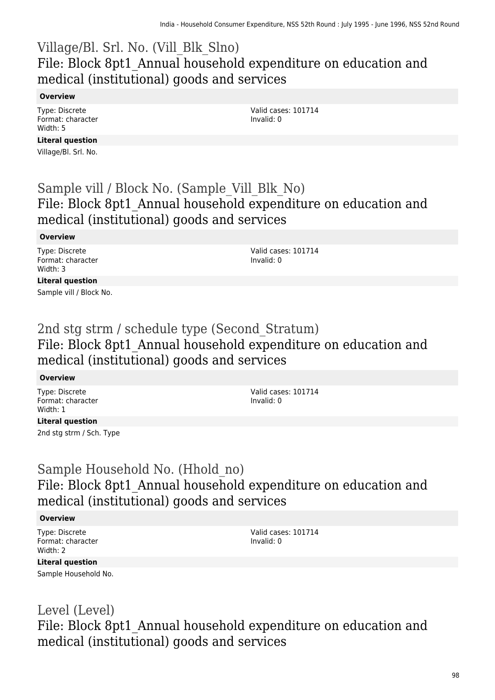# Village/Bl. Srl. No. (Vill\_Blk\_Slno) File: Block 8pt1 Annual household expenditure on education and medical (institutional) goods and services

#### **Overview**

Type: Discrete Format: character Width: 5

**Literal question** Village/Bl. Srl. No. Valid cases: 101714 Invalid: 0

# Sample vill / Block No. (Sample\_Vill\_Blk\_No) File: Block 8pt1 Annual household expenditure on education and medical (institutional) goods and services

#### **Overview**

Type: Discrete Format: character Width: 3

Valid cases: 101714 Invalid: 0

#### **Literal question**

Sample vill / Block No.

# 2nd stg strm / schedule type (Second Stratum) File: Block 8pt1 Annual household expenditure on education and medical (institutional) goods and services

#### **Overview**

Type: Discrete Format: character Width: 1 **Literal question**

2nd stg strm / Sch. Type

Valid cases: 101714 Invalid: 0

# Sample Household No. (Hhold\_no) File: Block 8pt1 Annual household expenditure on education and medical (institutional) goods and services

#### **Overview**

Type: Discrete Format: character Width: 2

Valid cases: 101714 Invalid: 0

#### **Literal question**

Sample Household No.

# Level (Level) File: Block 8pt1\_Annual household expenditure on education and medical (institutional) goods and services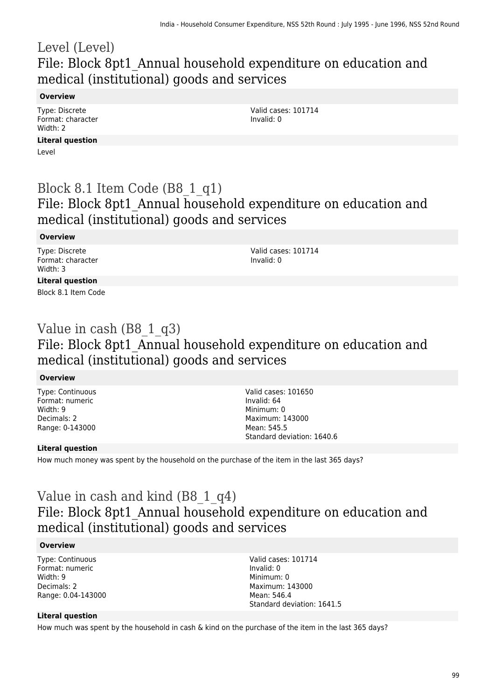# Level (Level) File: Block 8pt1\_Annual household expenditure on education and medical (institutional) goods and services

#### **Overview**

Type: Discrete Format: character Width: 2

**Literal question**

Level

Block 8.1 Item Code (B8\_1\_q1) File: Block 8pt1 Annual household expenditure on education and medical (institutional) goods and services

#### **Overview**

Type: Discrete Format: character Width: 3

Valid cases: 101714 Invalid: 0

Valid cases: 101714

Invalid: 0

#### **Literal question**

Block 8.1 Item Code

# Value in cash (B8\_1\_q3) File: Block 8pt1\_Annual household expenditure on education and medical (institutional) goods and services

#### **Overview**

Type: Continuous Format: numeric Width: 9 Decimals: 2 Range: 0-143000

Valid cases: 101650 Invalid: 64 Minimum: 0 Maximum: 143000 Mean: 545.5 Standard deviation: 1640.6

#### **Literal question**

How much money was spent by the household on the purchase of the item in the last 365 days?

# Value in cash and kind (B8\_1\_q4) File: Block 8pt1\_Annual household expenditure on education and medical (institutional) goods and services

#### **Overview**

Type: Continuous Format: numeric Width: 9 Decimals: 2 Range: 0.04-143000 Valid cases: 101714 Invalid: 0 Minimum: 0 Maximum: 143000 Mean: 546.4 Standard deviation: 1641.5

#### **Literal question**

How much was spent by the household in cash & kind on the purchase of the item in the last 365 days?

99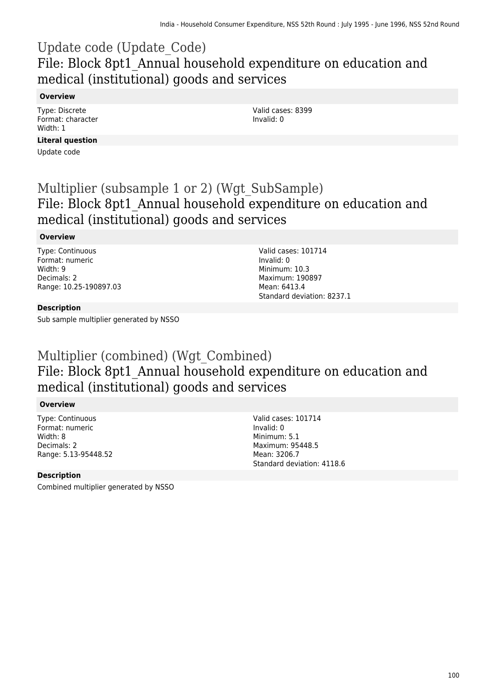# Update code (Update\_Code) File: Block 8pt1\_Annual household expenditure on education and medical (institutional) goods and services

#### **Overview**

Type: Discrete Format: character Width: 1

#### **Literal question**

Update code

Multiplier (subsample 1 or 2) (Wqt\_SubSample) File: Block 8pt1\_Annual household expenditure on education and medical (institutional) goods and services

#### **Overview**

Type: Continuous Format: numeric Width: 9 Decimals: 2 Range: 10.25-190897.03

#### **Description**

Sub sample multiplier generated by NSSO

Valid cases: 8399 Invalid: 0

> Valid cases: 101714 Invalid: 0 Minimum: 10.3 Maximum: 190897 Mean: 6413.4 Standard deviation: 8237.1

# Multiplier (combined) (Wgt\_Combined) File: Block 8pt1\_Annual household expenditure on education and medical (institutional) goods and services

#### **Overview**

Type: Continuous Format: numeric Width: 8 Decimals: 2 Range: 5.13-95448.52

#### **Description**

Combined multiplier generated by NSSO

Valid cases: 101714 Invalid: 0 Minimum: 5.1 Maximum: 95448.5 Mean: 3206.7 Standard deviation: 4118.6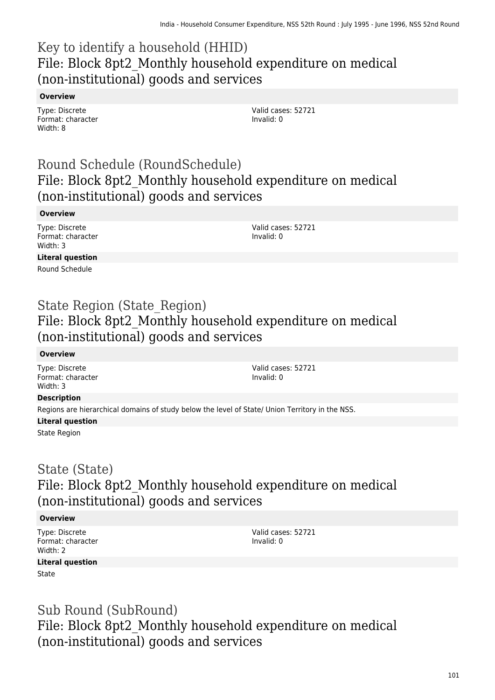# Key to identify a household (HHID) File: Block 8pt2\_Monthly household expenditure on medical (non-institutional) goods and services

#### **Overview**

Type: Discrete Format: character Width: 8

Valid cases: 52721 Invalid: 0

# Round Schedule (RoundSchedule) File: Block 8pt2\_Monthly household expenditure on medical (non-institutional) goods and services

#### **Overview**

Type: Discrete Format: character Width: 3

Valid cases: 52721 Invalid: 0

### **Literal question**

Round Schedule

# State Region (State\_Region) File: Block 8pt2\_Monthly household expenditure on medical (non-institutional) goods and services

#### **Overview**

Type: Discrete Format: character Width: 3

Valid cases: 52721 Invalid: 0

#### **Description**

Regions are hierarchical domains of study below the level of State/ Union Territory in the NSS.

#### **Literal question**

State Region

# State (State) File: Block 8pt2 Monthly household expenditure on medical (non-institutional) goods and services

#### **Overview**

Type: Discrete Format: character Width: 2

Valid cases: 52721 Invalid: 0

**Literal question State** 

# Sub Round (SubRound) File: Block 8pt2 Monthly household expenditure on medical (non-institutional) goods and services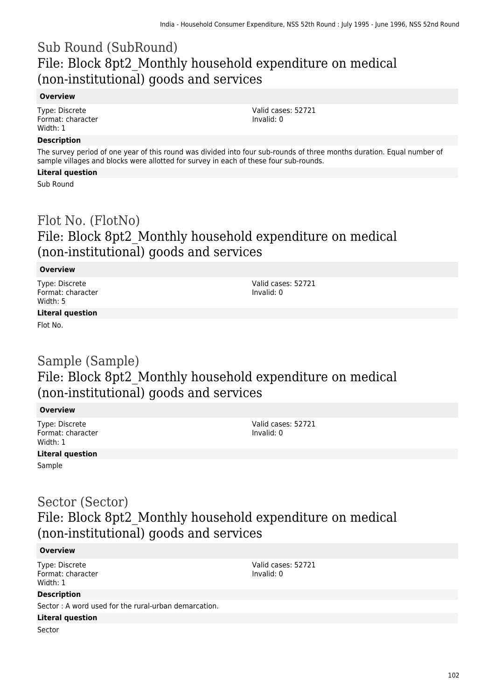# Sub Round (SubRound) File: Block 8pt2\_Monthly household expenditure on medical (non-institutional) goods and services

#### **Overview**

Type: Discrete Format: character Width: 1

Valid cases: 52721 Invalid: 0

#### **Description**

The survey period of one year of this round was divided into four sub-rounds of three months duration. Equal number of sample villages and blocks were allotted for survey in each of these four sub-rounds.

#### **Literal question**

Sub Round

# Flot No. (FlotNo) File: Block 8pt2\_Monthly household expenditure on medical (non-institutional) goods and services

#### **Overview**

Type: Discrete Format: character Width: 5

Valid cases: 52721 Invalid: 0

# **Literal question**

Flot No.

# Sample (Sample) File: Block 8pt2\_Monthly household expenditure on medical (non-institutional) goods and services

#### **Overview**

Type: Discrete Format: character Width: 1

#### **Literal question**

Sample

Valid cases: 52721 Invalid: 0

# Sector (Sector) File: Block 8pt2\_Monthly household expenditure on medical (non-institutional) goods and services

#### **Overview**

Type: Discrete Format: character Width: 1

#### **Description**

Sector : A word used for the rural-urban demarcation.

#### **Literal question**

Sector

Valid cases: 52721 Invalid: 0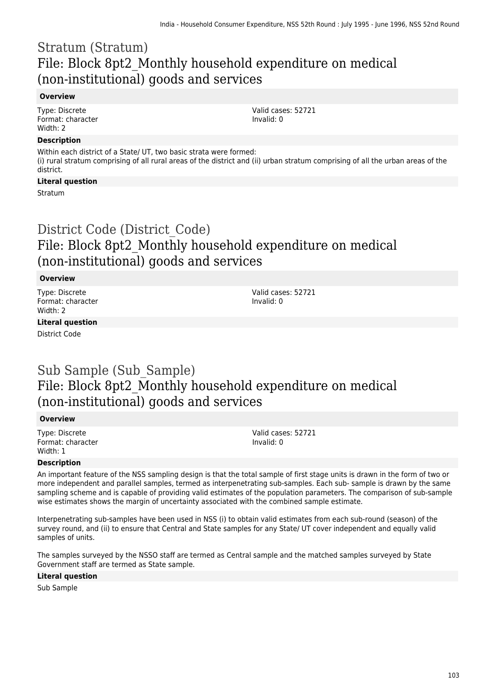# Stratum (Stratum) File: Block 8pt2 Monthly household expenditure on medical (non-institutional) goods and services

#### **Overview**

Type: Discrete Format: character Width: 2

Valid cases: 52721 Invalid: 0

#### **Description**

Within each district of a State/ UT, two basic strata were formed: (i) rural stratum comprising of all rural areas of the district and (ii) urban stratum comprising of all the urban areas of the district.

#### **Literal question**

Stratum

# District Code (District\_Code) File: Block 8pt2\_Monthly household expenditure on medical (non-institutional) goods and services

#### **Overview**

Type: Discrete Format: character Width: 2

**Literal question** District Code

Sub Sample (Sub\_Sample) File: Block 8pt2\_Monthly household expenditure on medical

# (non-institutional) goods and services

#### **Overview**

Type: Discrete Format: character Width: 1

Valid cases: 52721 Invalid: 0

Valid cases: 52721

Invalid: 0

#### **Description**

An important feature of the NSS sampling design is that the total sample of first stage units is drawn in the form of two or more independent and parallel samples, termed as interpenetrating sub-samples. Each sub- sample is drawn by the same sampling scheme and is capable of providing valid estimates of the population parameters. The comparison of sub-sample wise estimates shows the margin of uncertainty associated with the combined sample estimate.

Interpenetrating sub-samples have been used in NSS (i) to obtain valid estimates from each sub-round (season) of the survey round, and (ii) to ensure that Central and State samples for any State/ UT cover independent and equally valid samples of units.

The samples surveyed by the NSSO staff are termed as Central sample and the matched samples surveyed by State Government staff are termed as State sample.

**Literal question**

Sub Sample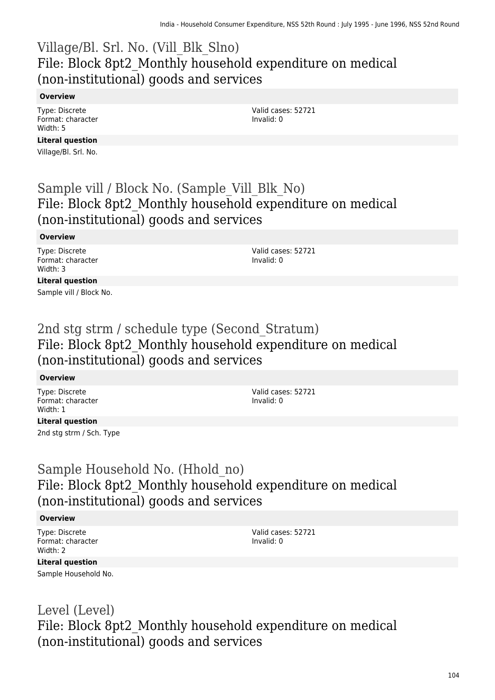# Village/Bl. Srl. No. (Vill\_Blk\_Slno) File: Block 8pt2 Monthly household expenditure on medical (non-institutional) goods and services

#### **Overview**

Type: Discrete Format: character Width: 5

**Literal question** Village/Bl. Srl. No.

Sample vill / Block No. (Sample\_Vill\_Blk\_No) File: Block 8pt2\_Monthly household expenditure on medical (non-institutional) goods and services

#### **Overview**

Type: Discrete Format: character Width: 3

Valid cases: 52721 Invalid: 0

Valid cases: 52721

Invalid: 0

#### **Literal question**

Sample vill / Block No.

# 2nd stg strm / schedule type (Second Stratum) File: Block 8pt2 Monthly household expenditure on medical (non-institutional) goods and services

#### **Overview**

Type: Discrete Format: character Width: 1 **Literal question**

2nd stg strm / Sch. Type

Valid cases: 52721 Invalid: 0

Sample Household No. (Hhold\_no) File: Block 8pt2 Monthly household expenditure on medical (non-institutional) goods and services

#### **Overview**

Type: Discrete Format: character Width: 2

Valid cases: 52721 Invalid: 0

#### **Literal question**

Sample Household No.

# Level (Level) File: Block 8pt2 Monthly household expenditure on medical (non-institutional) goods and services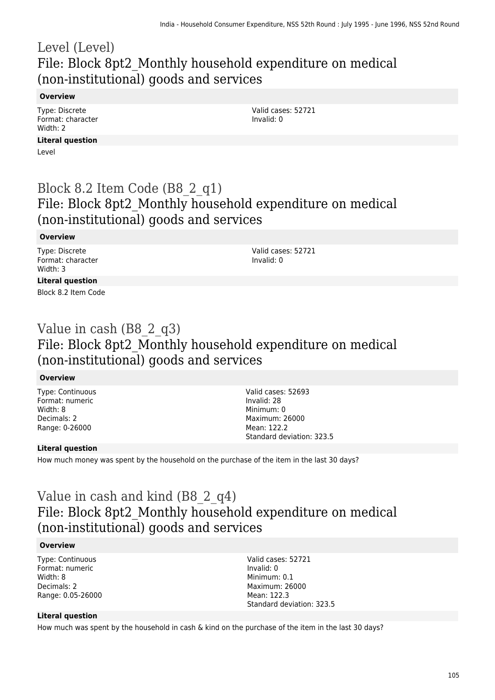# Level (Level) File: Block 8pt2\_Monthly household expenditure on medical (non-institutional) goods and services

#### **Overview**

Type: Discrete Format: character Width: 2

**Literal question**

Level

# Block 8.2 Item Code (B8\_2\_q1) File: Block 8pt2\_Monthly household expenditure on medical (non-institutional) goods and services

#### **Overview**

Type: Discrete Format: character Width: 3

Valid cases: 52721 Invalid: 0

Valid cases: 52721

Invalid: 0

#### **Literal question**

Block 8.2 Item Code

# Value in cash (B8\_2\_q3) File: Block 8pt2 Monthly household expenditure on medical (non-institutional) goods and services

#### **Overview**

Type: Continuous Format: numeric Width: 8 Decimals: 2 Range: 0-26000

Valid cases: 52693 Invalid: 28 Minimum: 0 Maximum: 26000 Mean: 122.2 Standard deviation: 323.5

#### **Literal question**

How much money was spent by the household on the purchase of the item in the last 30 days?

# Value in cash and kind (B8\_2\_q4) File: Block 8pt2 Monthly household expenditure on medical (non-institutional) goods and services

#### **Overview**

Type: Continuous Format: numeric Width: 8 Decimals: 2 Range: 0.05-26000

Valid cases: 52721 Invalid: 0 Minimum: 0.1 Maximum: 26000 Mean: 122.3 Standard deviation: 323.5

#### **Literal question**

How much was spent by the household in cash & kind on the purchase of the item in the last 30 days?

105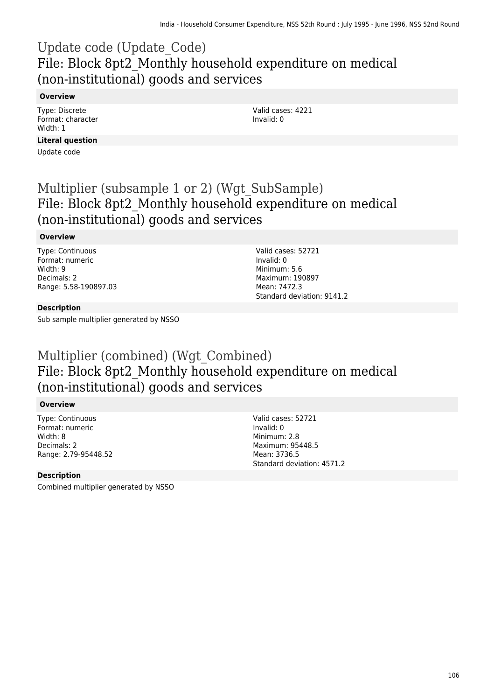# Update code (Update\_Code) File: Block 8pt2\_Monthly household expenditure on medical (non-institutional) goods and services

#### **Overview**

Type: Discrete Format: character Width: 1

**Literal question**

Update code

# Multiplier (subsample 1 or 2) (Wqt\_SubSample) File: Block 8pt2\_Monthly household expenditure on medical (non-institutional) goods and services

#### **Overview**

Type: Continuous Format: numeric Width: 9 Decimals: 2 Range: 5.58-190897.03

#### **Description**

Sub sample multiplier generated by NSSO

Valid cases: 4221 Invalid: 0

Valid cases: 52721 Invalid: 0 Minimum: 5.6 Maximum: 190897 Mean: 7472.3 Standard deviation: 9141.2

# Multiplier (combined) (Wgt\_Combined) File: Block 8pt2\_Monthly household expenditure on medical (non-institutional) goods and services

#### **Overview**

Type: Continuous Format: numeric Width: 8 Decimals: 2 Range: 2.79-95448.52

#### **Description**

Combined multiplier generated by NSSO

Valid cases: 52721 Invalid: 0 Minimum: 2.8 Maximum: 95448.5 Mean: 3736.5 Standard deviation: 4571.2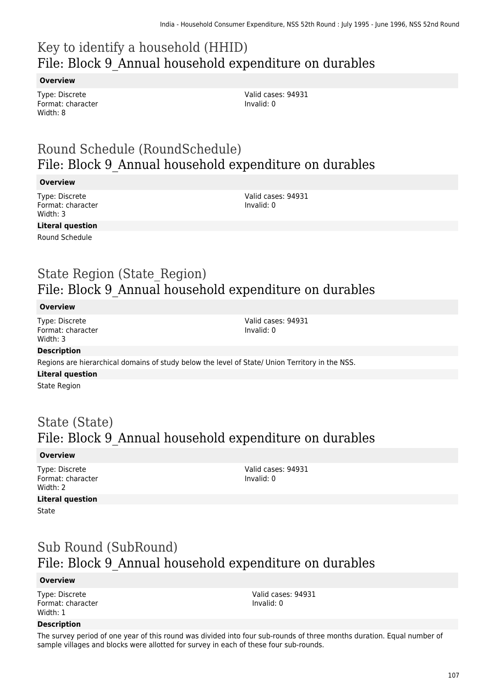# Key to identify a household (HHID) File: Block 9\_Annual household expenditure on durables

**Overview**

Type: Discrete Format: character Width: 8

Valid cases: 94931 Invalid: 0

# Round Schedule (RoundSchedule) File: Block 9\_Annual household expenditure on durables

**Overview**

Type: Discrete Format: character Width: 3

Valid cases: 94931 Invalid: 0

#### **Literal question**

Round Schedule

# State Region (State\_Region) File: Block 9\_Annual household expenditure on durables

#### **Overview**

Type: Discrete Format: character Width: 3

Valid cases: 94931 Invalid: 0

#### **Description**

Regions are hierarchical domains of study below the level of State/ Union Territory in the NSS.

#### **Literal question**

State Region

# State (State) File: Block 9\_Annual household expenditure on durables

#### **Overview**

Type: Discrete Format: character Width: 2

Valid cases: 94931 Invalid: 0

#### **Literal question**

**State** 

# Sub Round (SubRound) File: Block 9\_Annual household expenditure on durables

#### **Overview**

Type: Discrete Format: character Width: 1

Valid cases: 94931 Invalid: 0

#### **Description**

The survey period of one year of this round was divided into four sub-rounds of three months duration. Equal number of sample villages and blocks were allotted for survey in each of these four sub-rounds.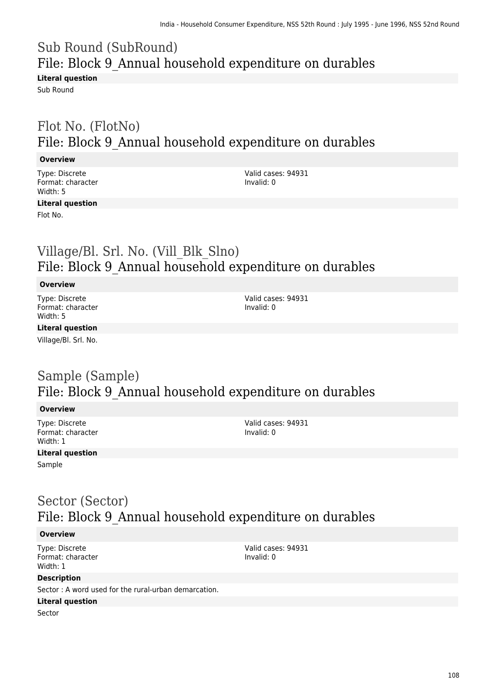# Sub Round (SubRound) File: Block 9\_Annual household expenditure on durables **Literal question**

Sub Round

# Flot No. (FlotNo) File: Block 9\_Annual household expenditure on durables

#### **Overview**

Type: Discrete Format: character Width: 5

**Literal question** Flot No.

Valid cases: 94931 Invalid: 0

# Village/Bl. Srl. No. (Vill\_Blk\_Slno) File: Block 9\_Annual household expenditure on durables

#### **Overview**

Type: Discrete Format: character Width: 5

Valid cases: 94931 Invalid: 0

#### **Literal question**

Village/Bl. Srl. No.

# Sample (Sample) File: Block 9\_Annual household expenditure on durables

#### **Overview**

Type: Discrete Format: character Width: 1

Valid cases: 94931 Invalid: 0

#### **Literal question**

Sample

# Sector (Sector) File: Block 9\_Annual household expenditure on durables

#### **Overview**

Type: Discrete Format: character Width: 1

Valid cases: 94931 Invalid: 0

#### **Description**

Sector : A word used for the rural-urban demarcation.

#### **Literal question**

Sector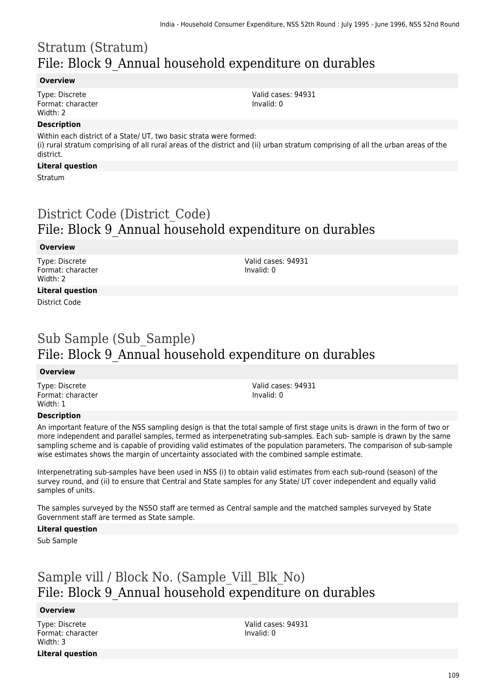### Stratum (Stratum) File: Block 9\_Annual household expenditure on durables

#### **Overview**

Type: Discrete Format: character Width: 2

Valid cases: 94931 Invalid: 0

#### **Description**

Within each district of a State/ UT, two basic strata were formed: (i) rural stratum comprising of all rural areas of the district and (ii) urban stratum comprising of all the urban areas of the district.

#### **Literal question**

Stratum

### District Code (District\_Code) File: Block 9\_Annual household expenditure on durables

#### **Overview**

Type: Discrete Format: character Width: 2

#### **Literal question**

District Code

Valid cases: 94931 Invalid: 0

# Sub Sample (Sub\_Sample) File: Block 9\_Annual household expenditure on durables

#### **Overview**

Type: Discrete Format: character Width: 1

Valid cases: 94931 Invalid: 0

#### **Description**

An important feature of the NSS sampling design is that the total sample of first stage units is drawn in the form of two or more independent and parallel samples, termed as interpenetrating sub-samples. Each sub- sample is drawn by the same sampling scheme and is capable of providing valid estimates of the population parameters. The comparison of sub-sample wise estimates shows the margin of uncertainty associated with the combined sample estimate.

Interpenetrating sub-samples have been used in NSS (i) to obtain valid estimates from each sub-round (season) of the survey round, and (ii) to ensure that Central and State samples for any State/ UT cover independent and equally valid samples of units.

The samples surveyed by the NSSO staff are termed as Central sample and the matched samples surveyed by State Government staff are termed as State sample.

#### **Literal question**

Sub Sample

### Sample vill / Block No. (Sample\_Vill\_Blk\_No) File: Block 9\_Annual household expenditure on durables

#### **Overview**

Type: Discrete Format: character Width: 3 **Literal question**

Valid cases: 94931 Invalid: 0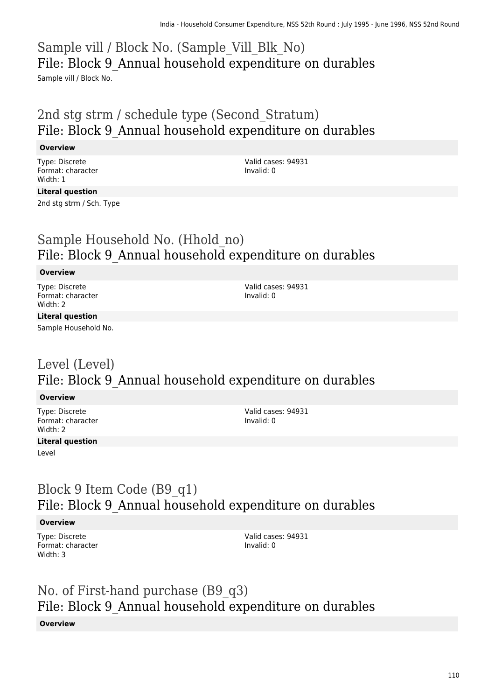# Sample vill / Block No. (Sample\_Vill\_Blk\_No) File: Block 9\_Annual household expenditure on durables

Sample vill / Block No.

### 2nd stg strm / schedule type (Second\_Stratum) File: Block 9\_Annual household expenditure on durables

#### **Overview**

Type: Discrete Format: character Width: 1

Valid cases: 94931 Invalid: 0

#### **Literal question** 2nd stg strm / Sch. Type

### Sample Household No. (Hhold\_no) File: Block 9\_Annual household expenditure on durables

#### **Overview**

Type: Discrete Format: character Width: 2

Valid cases: 94931 Invalid: 0

#### **Literal question**

Sample Household No.

### Level (Level) File: Block 9\_Annual household expenditure on durables

#### **Overview**

Type: Discrete Format: character Width: 2

### **Literal question**

Level

Valid cases: 94931 Invalid: 0

# Block 9 Item Code (B9\_q1) File: Block 9\_Annual household expenditure on durables

#### **Overview**

Type: Discrete Format: character Width: 3

Valid cases: 94931 Invalid: 0

### No. of First-hand purchase (B9\_q3) File: Block 9\_Annual household expenditure on durables

#### **Overview**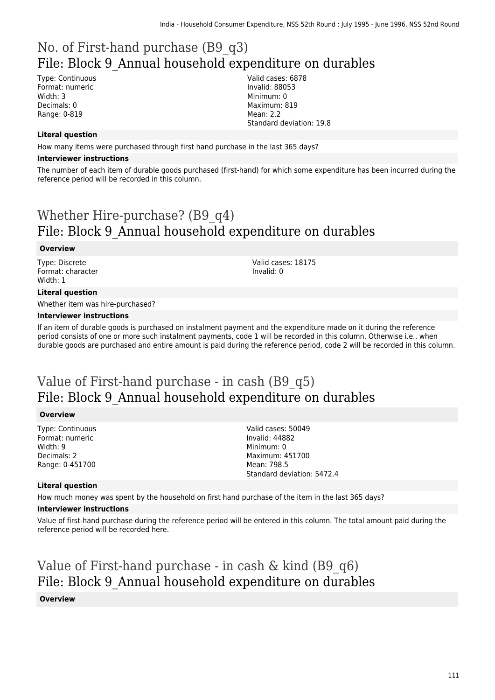### No. of First-hand purchase (B9\_q3) File: Block 9\_Annual household expenditure on durables

Type: Continuous Format: numeric Width: 3 Decimals: 0 Range: 0-819

Valid cases: 6878 Invalid: 88053 Minimum: 0 Maximum: 819 Mean: 2.2 Standard deviation: 19.8

Valid cases: 18175

Invalid: 0

#### **Literal question**

How many items were purchased through first hand purchase in the last 365 days?

#### **Interviewer instructions**

The number of each item of durable goods purchased (first-hand) for which some expenditure has been incurred during the reference period will be recorded in this column.

### Whether Hire-purchase? (B9\_q4) File: Block 9\_Annual household expenditure on durables

#### **Overview**

Type: Discrete Format: character Width: 1

#### **Literal question**

Whether item was hire-purchased?

#### **Interviewer instructions**

If an item of durable goods is purchased on instalment payment and the expenditure made on it during the reference period consists of one or more such instalment payments, code 1 will be recorded in this column. Otherwise i.e., when durable goods are purchased and entire amount is paid during the reference period, code 2 will be recorded in this column.

### Value of First-hand purchase - in cash (B9\_q5) File: Block 9\_Annual household expenditure on durables

#### **Overview**

Type: Continuous Format: numeric Width: 9 Decimals: 2 Range: 0-451700

Valid cases: 50049 Invalid: 44882 Minimum: 0 Maximum: 451700 Mean: 798.5 Standard deviation: 5472.4

#### **Literal question**

How much money was spent by the household on first hand purchase of the item in the last 365 days?

#### **Interviewer instructions**

Value of first-hand purchase during the reference period will be entered in this column. The total amount paid during the reference period will be recorded here.

Value of First-hand purchase - in cash & kind (B9\_q6) File: Block 9\_Annual household expenditure on durables

**Overview**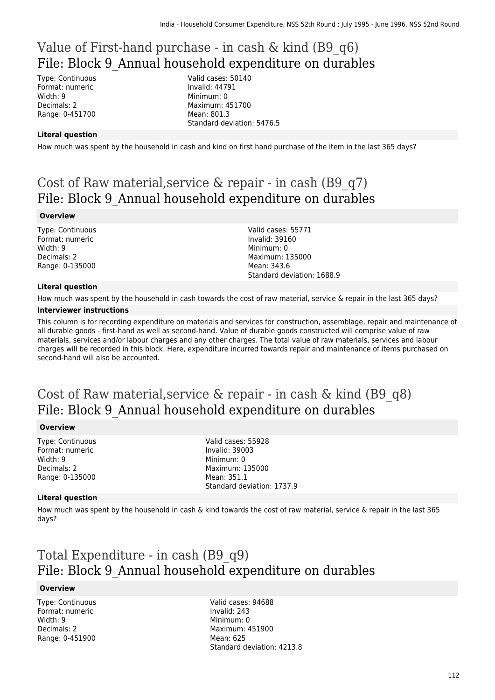### Value of First-hand purchase - in cash & kind (B9\_q6) File: Block 9\_Annual household expenditure on durables

Type: Continuous Format: numeric Width: 9 Decimals: 2 Range: 0-451700

Valid cases: 50140 Invalid: 44791 Minimum: 0 Maximum: 451700 Mean: 801.3 Standard deviation: 5476.5

#### **Literal question**

How much was spent by the household in cash and kind on first hand purchase of the item in the last 365 days?

### Cost of Raw material,service & repair - in cash (B9\_q7) File: Block 9\_Annual household expenditure on durables

#### **Overview**

Type: Continuous Format: numeric Width: 9 Decimals: 2 Range: 0-135000

#### Valid cases: 55771 Invalid: 39160 Minimum: 0 Maximum: 135000 Mean: 343.6 Standard deviation: 1688.9

#### **Literal question**

How much was spent by the household in cash towards the cost of raw material, service & repair in the last 365 days?

#### **Interviewer instructions**

This column is for recording expenditure on materials and services for construction, assemblage, repair and maintenance of all durable goods - first-hand as well as second-hand. Value of durable goods constructed will comprise value of raw materials, services and/or labour charges and any other charges. The total value of raw materials, services and labour charges will be recorded in this block. Here, expenditure incurred towards repair and maintenance of items purchased on second-hand will also be accounted.

### Cost of Raw material,service & repair - in cash & kind (B9\_q8) File: Block 9\_Annual household expenditure on durables

#### **Overview**

Type: Continuous Format: numeric Width: 9 Decimals: 2 Range: 0-135000

Valid cases: 55928 Invalid: 39003 Minimum: 0 Maximum: 135000 Mean: 351.1 Standard deviation: 1737.9

#### **Literal question**

How much was spent by the household in cash & kind towards the cost of raw material, service & repair in the last 365 days?

### Total Expenditure - in cash (B9\_q9) File: Block 9\_Annual household expenditure on durables

#### **Overview**

Type: Continuous Format: numeric Width: 9 Decimals: 2 Range: 0-451900

Valid cases: 94688 Invalid: 243 Minimum: 0 Maximum: 451900 Mean: 625 Standard deviation: 4213.8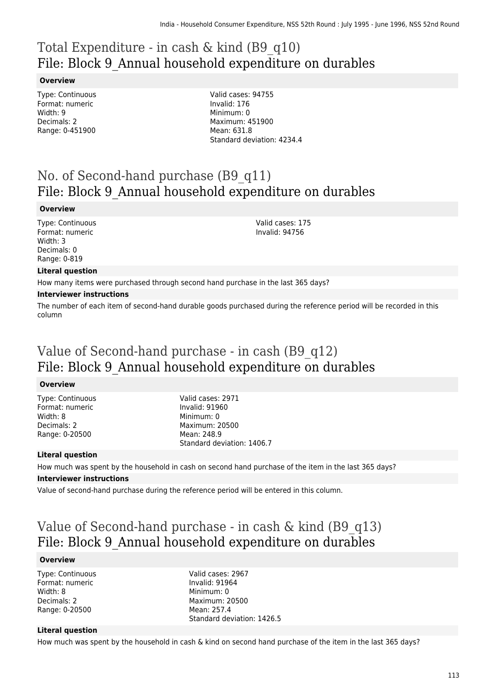# Total Expenditure - in cash & kind (B9\_q10) File: Block 9\_Annual household expenditure on durables

#### **Overview**

| Type: Continuous |
|------------------|
| Format: numeric  |
| Width: 9         |
| Decimals: 2      |
| Range: 0-451900  |

Valid cases: 94755 Invalid: 176 Minimum: 0 Maximum: 451900 Mean: 631.8 Standard deviation: 4234.4

### No. of Second-hand purchase (B9\_q11) File: Block 9\_Annual household expenditure on durables

#### **Overview**

Type: Continuous Format: numeric Width: 3 Decimals: 0 Range: 0-819

Valid cases: 175 Invalid: 94756

#### **Literal question**

How many items were purchased through second hand purchase in the last 365 days?

#### **Interviewer instructions**

The number of each item of second-hand durable goods purchased during the reference period will be recorded in this column

### Value of Second-hand purchase - in cash (B9\_q12) File: Block 9\_Annual household expenditure on durables

#### **Overview**

Type: Continuous Format: numeric Width: 8 Decimals: 2 Range: 0-20500

Valid cases: 2971 Invalid: 91960 Minimum: 0 Maximum: 20500 Mean: 248.9 Standard deviation: 1406.7

#### **Literal question**

How much was spent by the household in cash on second hand purchase of the item in the last 365 days?

#### **Interviewer instructions**

Value of second-hand purchase during the reference period will be entered in this column.

### Value of Second-hand purchase - in cash & kind (B9\_q13) File: Block 9\_Annual household expenditure on durables

#### **Overview**

Type: Continuous Format: numeric Width: 8 Decimals: 2 Range: 0-20500

Valid cases: 2967 Invalid: 91964 Minimum: 0 Maximum: 20500 Mean: 257.4 Standard deviation: 1426.5

#### **Literal question**

How much was spent by the household in cash & kind on second hand purchase of the item in the last 365 days?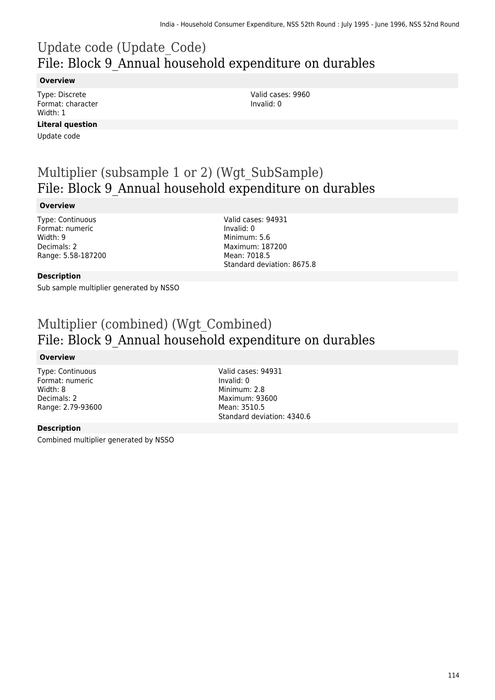# Update code (Update\_Code) File: Block 9\_Annual household expenditure on durables

**Overview**

Type: Discrete Format: character Width: 1

#### **Literal question**

Update code

Valid cases: 9960 Invalid: 0

### Multiplier (subsample 1 or 2) (Wgt\_SubSample) File: Block 9\_Annual household expenditure on durables

#### **Overview**

Type: Continuous Format: numeric Width: 9 Decimals: 2 Range: 5.58-187200 Valid cases: 94931 Invalid: 0 Minimum: 5.6 Maximum: 187200 Mean: 7018.5 Standard deviation: 8675.8

#### **Description**

Sub sample multiplier generated by NSSO

### Multiplier (combined) (Wgt\_Combined) File: Block 9\_Annual household expenditure on durables

#### **Overview**

Type: Continuous Format: numeric Width: 8 Decimals: 2 Range: 2.79-93600 Valid cases: 94931 Invalid: 0 Minimum: 2.8 Maximum: 93600 Mean: 3510.5 Standard deviation: 4340.6

#### **Description**

Combined multiplier generated by NSSO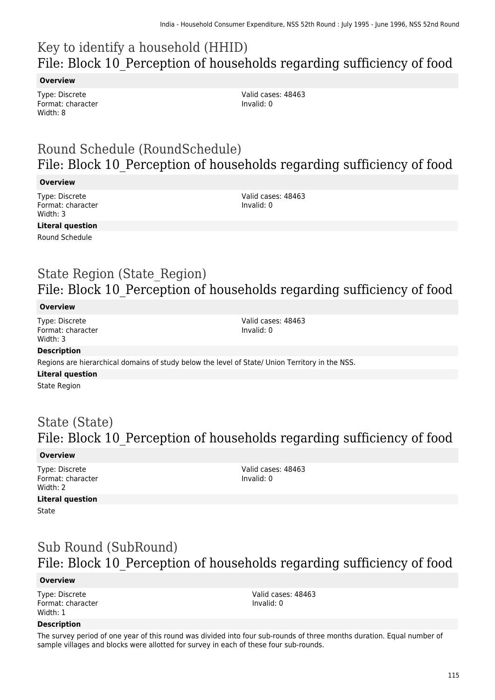# Key to identify a household (HHID) File: Block 10 Perception of households regarding sufficiency of food

**Overview**

Type: Discrete Format: character Width: 8

Valid cases: 48463 Invalid: 0

# Round Schedule (RoundSchedule) File: Block 10 Perception of households regarding sufficiency of food

#### **Overview**

Type: Discrete Format: character Width: 3

Valid cases: 48463 Invalid: 0

#### **Literal question**

Round Schedule

### State Region (State\_Region) File: Block 10 Perception of households regarding sufficiency of food

#### **Overview**

Type: Discrete Format: character Width: 3

Valid cases: 48463 Invalid: 0

### **Description**

Regions are hierarchical domains of study below the level of State/ Union Territory in the NSS.

#### **Literal question**

State Region

### State (State) File: Block 10 Perception of households regarding sufficiency of food

#### **Overview**

Type: Discrete Format: character Width: 2

Valid cases: 48463 Invalid: 0

#### **Literal question**

**State** 

### Sub Round (SubRound) File: Block 10 Perception of households regarding sufficiency of food

#### **Overview**

Type: Discrete Format: character Width: 1

Valid cases: 48463 Invalid: 0

#### **Description**

The survey period of one year of this round was divided into four sub-rounds of three months duration. Equal number of sample villages and blocks were allotted for survey in each of these four sub-rounds.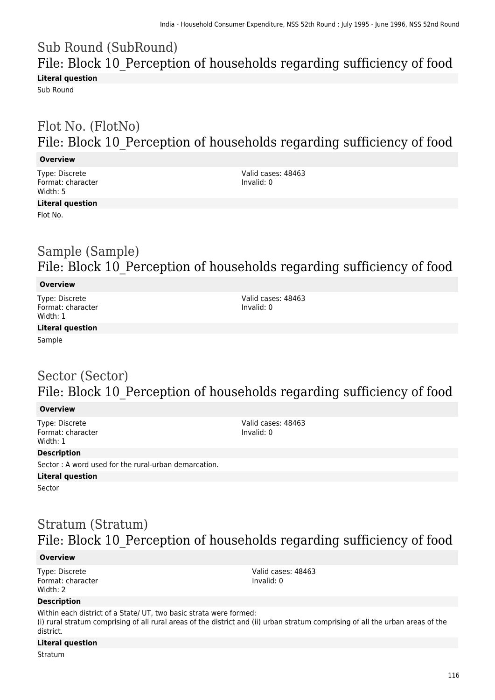### Sub Round (SubRound) File: Block 10 Perception of households regarding sufficiency of food **Literal question**

Sub Round

### Flot No. (FlotNo) File: Block 10 Perception of households regarding sufficiency of food

#### **Overview**

Type: Discrete Format: character Width: 5

Valid cases: 48463 Invalid: 0

**Literal question**

Flot No.

# Sample (Sample) File: Block 10 Perception of households regarding sufficiency of food

#### **Overview**

Type: Discrete Format: character Width: 1

Valid cases: 48463 Invalid: 0

### **Literal question**

Sample

### Sector (Sector) File: Block 10 Perception of households regarding sufficiency of food

#### **Overview**

Type: Discrete Format: character Width: 1

Valid cases: 48463 Invalid: 0

#### **Description**

Sector : A word used for the rural-urban demarcation.

#### **Literal question**

Sector

### Stratum (Stratum) File: Block 10 Perception of households regarding sufficiency of food

#### **Overview**

Type: Discrete Format: character Width: 2

Valid cases: 48463 Invalid: 0

#### **Description**

Within each district of a State/ UT, two basic strata were formed: (i) rural stratum comprising of all rural areas of the district and (ii) urban stratum comprising of all the urban areas of the district.

#### **Literal question**

Stratum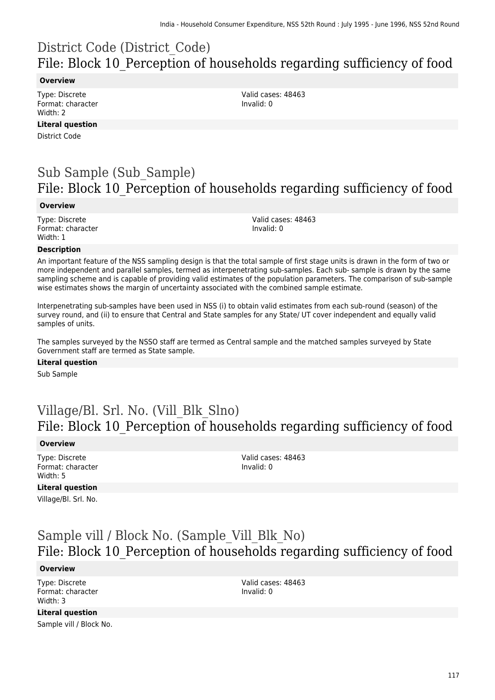# District Code (District\_Code) File: Block 10 Perception of households regarding sufficiency of food

**Overview**

Type: Discrete Format: character Width: 2

#### **Literal question**

District Code

Valid cases: 48463 Invalid: 0

### Sub Sample (Sub\_Sample) File: Block 10 Perception of households regarding sufficiency of food

#### **Overview**

Type: Discrete Format: character Width: 1

Valid cases: 48463 Invalid: 0

#### **Description**

An important feature of the NSS sampling design is that the total sample of first stage units is drawn in the form of two or more independent and parallel samples, termed as interpenetrating sub-samples. Each sub- sample is drawn by the same sampling scheme and is capable of providing valid estimates of the population parameters. The comparison of sub-sample wise estimates shows the margin of uncertainty associated with the combined sample estimate.

Interpenetrating sub-samples have been used in NSS (i) to obtain valid estimates from each sub-round (season) of the survey round, and (ii) to ensure that Central and State samples for any State/ UT cover independent and equally valid samples of units.

The samples surveyed by the NSSO staff are termed as Central sample and the matched samples surveyed by State Government staff are termed as State sample.

#### **Literal question**

Sub Sample

### Village/Bl. Srl. No. (Vill\_Blk\_Slno) File: Block 10 Perception of households regarding sufficiency of food

#### **Overview**

Type: Discrete Format: character Width: 5

Valid cases: 48463 Invalid: 0

#### **Literal question**

Village/Bl. Srl. No.

### Sample vill / Block No. (Sample\_Vill\_Blk\_No) File: Block 10 Perception of households regarding sufficiency of food

#### **Overview**

Type: Discrete Format: character Width: 3

#### **Literal question**

Sample vill / Block No.

Valid cases: 48463 Invalid: 0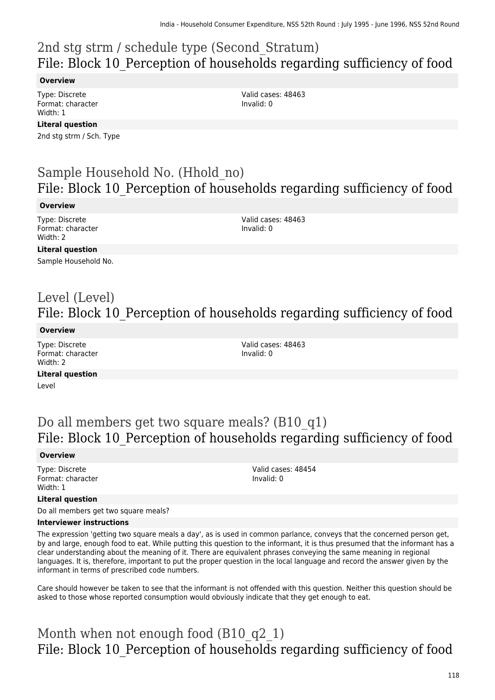# 2nd stg strm / schedule type (Second\_Stratum) File: Block 10 Perception of households regarding sufficiency of food

#### **Overview**

Type: Discrete Format: character Width: 1

#### **Literal question**

2nd stg strm / Sch. Type

Valid cases: 48463 Invalid: 0

### Sample Household No. (Hhold\_no) File: Block 10 Perception of households regarding sufficiency of food

#### **Overview**

Type: Discrete Format: character Width: 2

#### **Literal question**

Sample Household No.

Valid cases: 48463

Invalid: 0

Valid cases: 48463

Invalid: 0

### Level (Level) File: Block 10 Perception of households regarding sufficiency of food

#### **Overview**

Type: Discrete Format: character Width: 2

**Literal question**

Level

### Do all members get two square meals? (B10\_q1) File: Block 10 Perception of households regarding sufficiency of food

#### **Overview**

Type: Discrete Format: character Width: 1

#### Valid cases: 48454 Invalid: 0

#### **Literal question**

Do all members get two square meals?

#### **Interviewer instructions**

The expression 'getting two square meals a day', as is used in common parlance, conveys that the concerned person get, by and large, enough food to eat. While putting this question to the informant, it is thus presumed that the informant has a clear understanding about the meaning of it. There are equivalent phrases conveying the same meaning in regional languages. It is, therefore, important to put the proper question in the local language and record the answer given by the informant in terms of prescribed code numbers.

Care should however be taken to see that the informant is not offended with this question. Neither this question should be asked to those whose reported consumption would obviously indicate that they get enough to eat.

# Month when not enough food (B10 q2 1) File: Block 10 Perception of households regarding sufficiency of food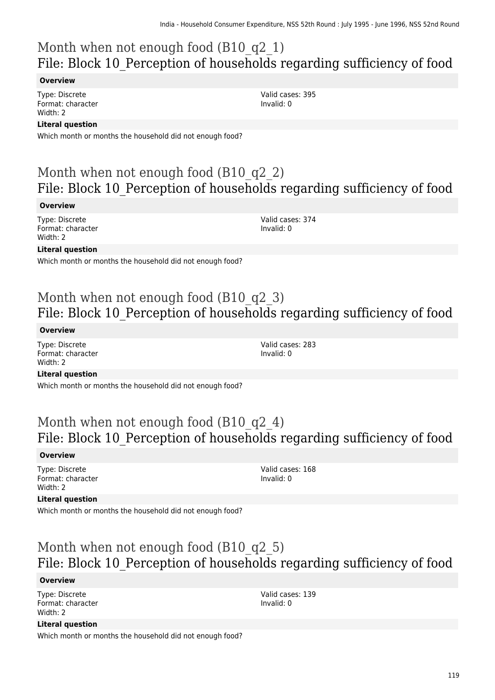# Month when not enough food (B10 q2 1) File: Block 10 Perception of households regarding sufficiency of food

#### **Overview**

Type: Discrete Format: character Width: 2

#### **Literal question**

Which month or months the household did not enough food?

### Month when not enough food (B10 q2 2) File: Block 10 Perception of households regarding sufficiency of food

#### **Overview**

Type: Discrete Format: character Width: 2

Valid cases: 374 Invalid: 0

Valid cases: 283 Invalid: 0

Valid cases: 395 Invalid: 0

#### **Literal question**

Which month or months the household did not enough food?

### Month when not enough food (B10 q2 3) File: Block 10 Perception of households regarding sufficiency of food

#### **Overview**

Type: Discrete Format: character Width: 2

### **Literal question**

Which month or months the household did not enough food?

### Month when not enough food (B10\_q2\_4) File: Block 10 Perception of households regarding sufficiency of food

#### **Overview**

Type: Discrete Format: character Width: 2

Valid cases: 168 Invalid: 0

#### **Literal question**

Which month or months the household did not enough food?

### Month when not enough food (B10\_q2\_5) File: Block 10 Perception of households regarding sufficiency of food

#### **Overview**

Type: Discrete Format: character Width: 2

Valid cases: 139 Invalid: 0

#### **Literal question**

Which month or months the household did not enough food?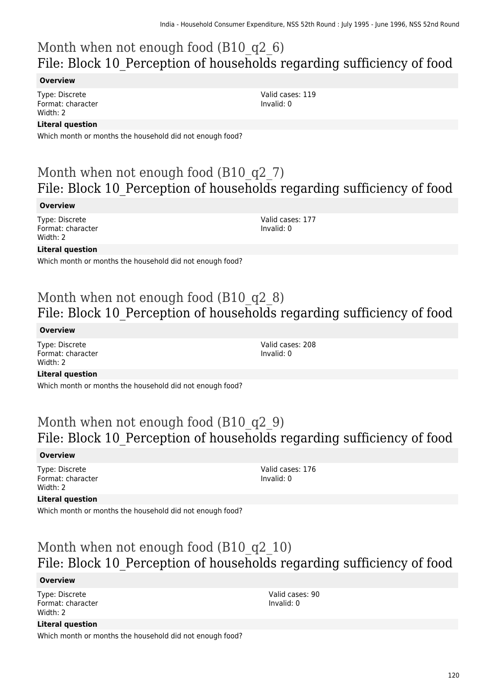# Month when not enough food (B10 q2 6) File: Block 10 Perception of households regarding sufficiency of food

#### **Overview**

Type: Discrete Format: character Width: 2

#### **Literal question**

Which month or months the household did not enough food?

### Month when not enough food (B10 q2 7) File: Block 10 Perception of households regarding sufficiency of food

#### **Overview**

Type: Discrete Format: character Width: 2

Valid cases: 177 Invalid: 0

Valid cases: 208 Invalid: 0

#### **Literal question**

Which month or months the household did not enough food?

### Month when not enough food (B10 q2 8) File: Block 10 Perception of households regarding sufficiency of food

#### **Overview**

Type: Discrete Format: character Width: 2

#### **Literal question**

Which month or months the household did not enough food?

### Month when not enough food (B10\_q2\_9) File: Block 10 Perception of households regarding sufficiency of food

#### **Overview**

Type: Discrete Format: character Width: 2

Valid cases: 176 Invalid: 0

#### **Literal question**

Which month or months the household did not enough food?

### Month when not enough food (B10 q2 10) File: Block 10 Perception of households regarding sufficiency of food

#### **Overview**

Type: Discrete Format: character Width: 2

Valid cases: 90 Invalid: 0

#### **Literal question**

Which month or months the household did not enough food?

Valid cases: 119 Invalid: 0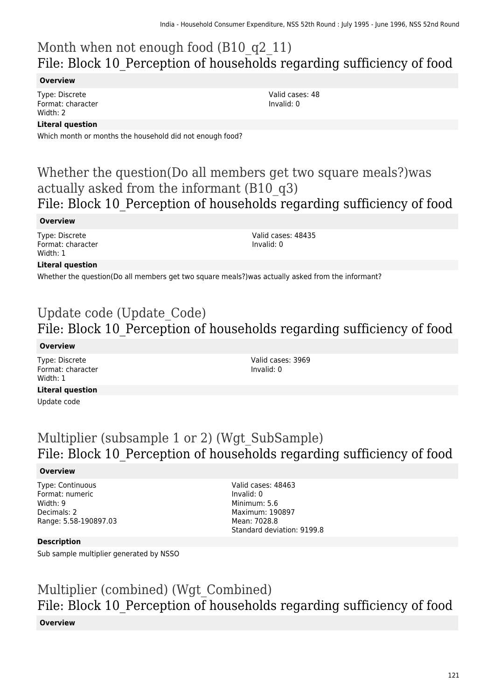Valid cases: 48 Invalid: 0

# Month when not enough food (B10 q2 11) File: Block 10 Perception of households regarding sufficiency of food

#### **Overview**

Type: Discrete Format: character Width: 2

#### **Literal question**

Which month or months the household did not enough food?

### Whether the question(Do all members get two square meals?)was actually asked from the informant (B10\_q3) File: Block 10 Perception of households regarding sufficiency of food

#### **Overview**

Type: Discrete Format: character Width: 1

Valid cases: 48435 Invalid: 0

#### **Literal question**

Whether the question(Do all members get two square meals?)was actually asked from the informant?

### Update code (Update\_Code) File: Block 10 Perception of households regarding sufficiency of food

#### **Overview**

Type: Discrete Format: character Width: 1

Valid cases: 3969 Invalid: 0

#### **Literal question**

Update code

### Multiplier (subsample 1 or 2) (Wqt\_SubSample) File: Block 10 Perception of households regarding sufficiency of food

#### **Overview**

Type: Continuous Format: numeric Width: 9 Decimals: 2 Range: 5.58-190897.03

Valid cases: 48463 Invalid: 0 Minimum: 5.6 Maximum: 190897 Mean: 7028.8 Standard deviation: 9199.8

#### **Description**

Sub sample multiplier generated by NSSO

# Multiplier (combined) (Wgt\_Combined) File: Block 10 Perception of households regarding sufficiency of food

#### **Overview**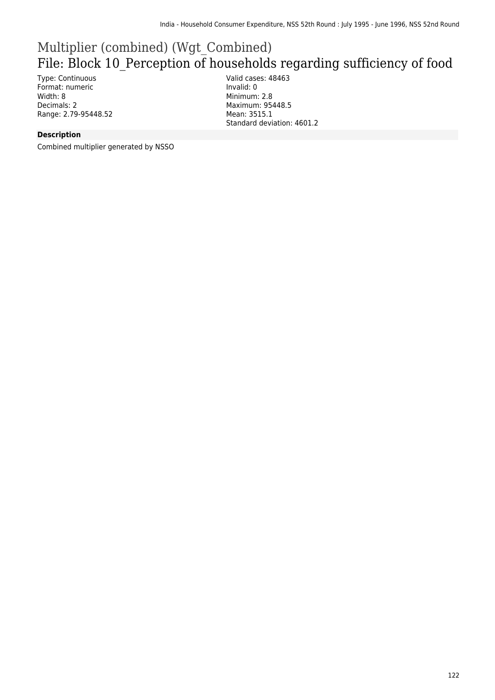# Multiplier (combined) (Wgt\_Combined) File: Block 10\_Perception of households regarding sufficiency of food

Type: Continuous Format: numeric Width: 8 Decimals: 2 Range: 2.79-95448.52 Valid cases: 48463 Invalid: 0 Minimum: 2.8 Maximum: 95448.5 Mean: 3515.1 Standard deviation: 4601.2

#### **Description**

Combined multiplier generated by NSSO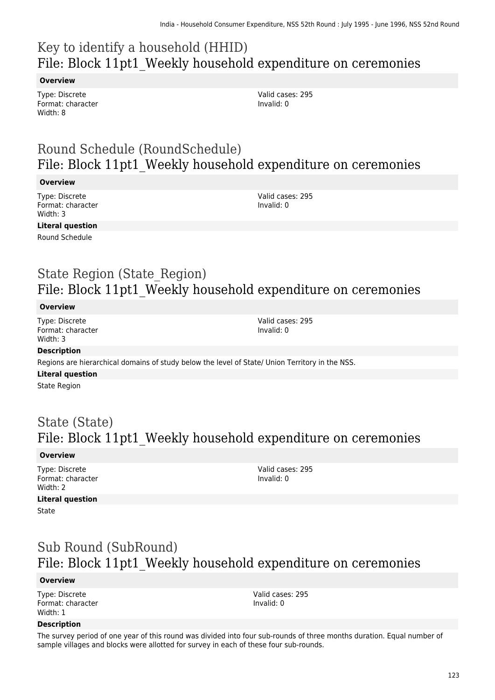# Key to identify a household (HHID) File: Block 11pt1\_Weekly household expenditure on ceremonies

**Overview**

Type: Discrete Format: character Width: 8

Valid cases: 295 Invalid: 0

### Round Schedule (RoundSchedule) File: Block 11pt1\_Weekly household expenditure on ceremonies

#### **Overview**

Type: Discrete Format: character Width: 3

#### **Literal question**

Round Schedule

Valid cases: 295 Invalid: 0

### State Region (State\_Region) File: Block 11pt1\_Weekly household expenditure on ceremonies

#### **Overview**

Type: Discrete Format: character Width: 3

Valid cases: 295 Invalid: 0

### **Description**

Regions are hierarchical domains of study below the level of State/ Union Territory in the NSS.

#### **Literal question**

State Region

### State (State) File: Block 11pt1 Weekly household expenditure on ceremonies

#### **Overview**

**State** 

Type: Discrete Format: character Width: 2

**Literal question**

Valid cases: 295 Invalid: 0

# Sub Round (SubRound) File: Block 11pt1\_Weekly household expenditure on ceremonies

#### **Overview**

Type: Discrete Format: character Width: 1

Valid cases: 295 Invalid: 0

#### **Description**

The survey period of one year of this round was divided into four sub-rounds of three months duration. Equal number of sample villages and blocks were allotted for survey in each of these four sub-rounds.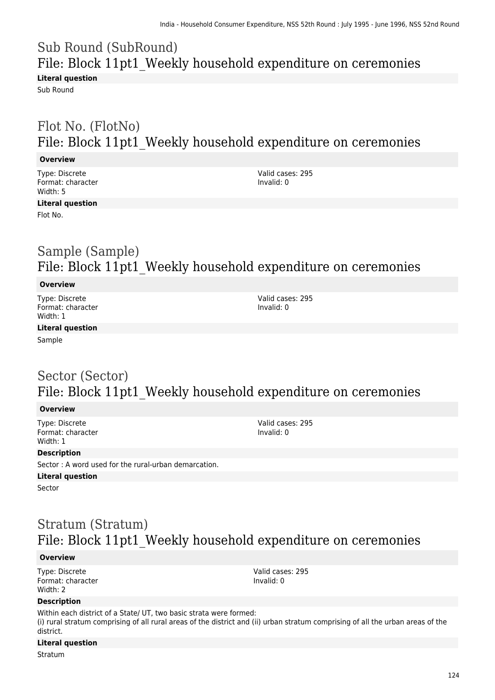### Sub Round (SubRound) File: Block 11pt1\_Weekly household expenditure on ceremonies **Literal question**

Sub Round

### Flot No. (FlotNo) File: Block 11pt1\_Weekly household expenditure on ceremonies

#### **Overview**

Type: Discrete Format: character Width: 5

**Literal question** Flot No.

Valid cases: 295 Invalid: 0

Valid cases: 295 Invalid: 0

### Sample (Sample) File: Block 11pt1 Weekly household expenditure on ceremonies

#### **Overview**

Type: Discrete Format: character Width: 1

#### **Literal question**

Sample

### Sector (Sector) File: Block 11pt1\_Weekly household expenditure on ceremonies

#### **Overview**

Type: Discrete Format: character Width: 1

#### **Description**

Sector : A word used for the rural-urban demarcation.

#### **Literal question**

Sector

### Stratum (Stratum) File: Block 11pt1 Weekly household expenditure on ceremonies

#### **Overview**

Type: Discrete Format: character Width: 2

Valid cases: 295 Invalid: 0

#### **Description**

Within each district of a State/ UT, two basic strata were formed: (i) rural stratum comprising of all rural areas of the district and (ii) urban stratum comprising of all the urban areas of the district.

#### **Literal question**

Stratum

Valid cases: 295 Invalid: 0

124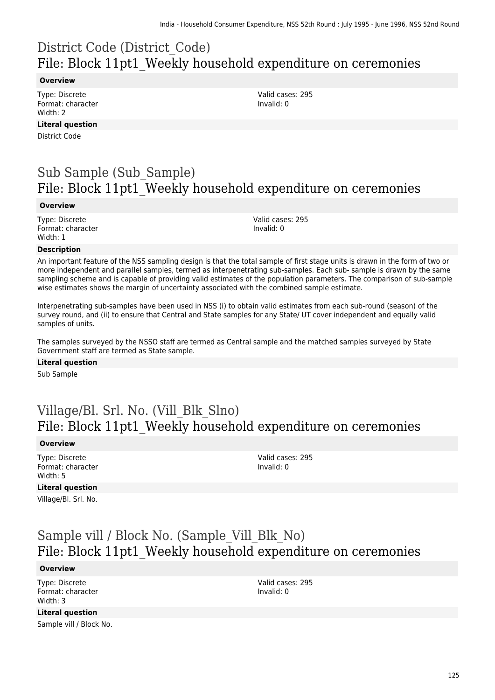# District Code (District\_Code) File: Block 11pt1\_Weekly household expenditure on ceremonies

**Overview**

Type: Discrete Format: character Width: 2

#### **Literal question**

District Code

Valid cases: 295 Invalid: 0

# Sub Sample (Sub\_Sample) File: Block 11pt1\_Weekly household expenditure on ceremonies

#### **Overview**

Type: Discrete Format: character Width: 1

Valid cases: 295 Invalid: 0

#### **Description**

An important feature of the NSS sampling design is that the total sample of first stage units is drawn in the form of two or more independent and parallel samples, termed as interpenetrating sub-samples. Each sub- sample is drawn by the same sampling scheme and is capable of providing valid estimates of the population parameters. The comparison of sub-sample wise estimates shows the margin of uncertainty associated with the combined sample estimate.

Interpenetrating sub-samples have been used in NSS (i) to obtain valid estimates from each sub-round (season) of the survey round, and (ii) to ensure that Central and State samples for any State/ UT cover independent and equally valid samples of units.

The samples surveyed by the NSSO staff are termed as Central sample and the matched samples surveyed by State Government staff are termed as State sample.

#### **Literal question**

Sub Sample

### Village/Bl. Srl. No. (Vill\_Blk\_Slno) File: Block 11pt1\_Weekly household expenditure on ceremonies

#### **Overview**

Type: Discrete Format: character Width: 5

#### **Literal question**

Village/Bl. Srl. No.

#### Valid cases: 295 Invalid: 0

### Sample vill / Block No. (Sample\_Vill\_Blk\_No) File: Block 11pt1\_Weekly household expenditure on ceremonies

#### **Overview**

Type: Discrete Format: character Width: 3

#### **Literal question**

Sample vill / Block No.

Valid cases: 295 Invalid: 0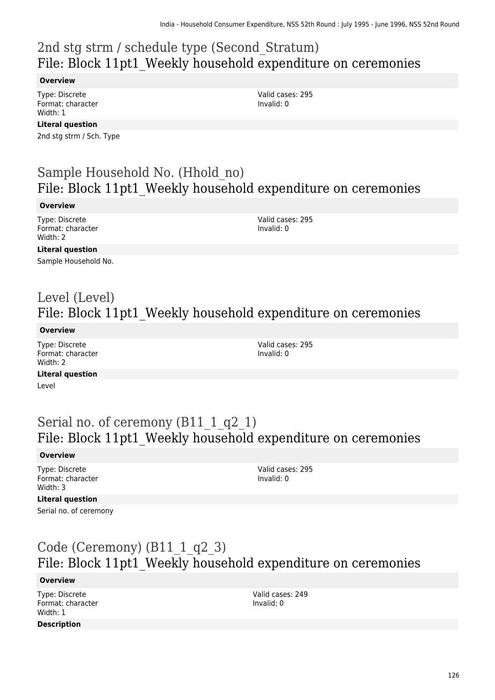# 2nd stg strm / schedule type (Second\_Stratum) File: Block 11pt1\_Weekly household expenditure on ceremonies

#### **Overview**

Type: Discrete Format: character Width: 1

#### **Literal question**

2nd stg strm / Sch. Type

Sample Household No. (Hhold\_no) File: Block 11pt1\_Weekly household expenditure on ceremonies

#### **Overview**

Type: Discrete Format: character Width: 2

#### **Literal question**

Sample Household No.

### Level (Level) File: Block 11pt1 Weekly household expenditure on ceremonies

#### **Overview**

Type: Discrete Format: character Width: 2

**Literal question**

Level

### Serial no. of ceremony (B11\_1\_q2\_1) File: Block 11pt1\_Weekly household expenditure on ceremonies

#### **Overview**

Type: Discrete Format: character Width: 3

#### **Literal question**

Serial no. of ceremony

### Code (Ceremony) (B11\_1\_q2\_3) File: Block 11pt1\_Weekly household expenditure on ceremonies

#### **Overview**

Type: Discrete Format: character Width: 1

**Description**

Valid cases: 249 Invalid: 0

Valid cases: 295 Invalid: 0

Valid cases: 295 Invalid: 0

Valid cases: 295 Invalid: 0

Valid cases: 295 Invalid: 0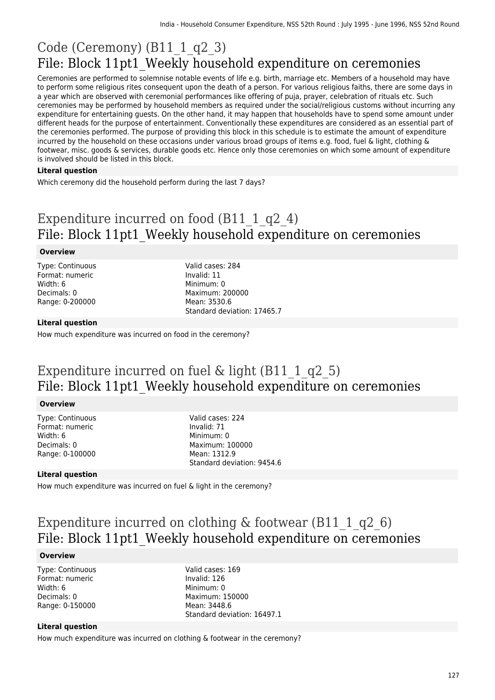# Code (Ceremony) (B11\_1\_q2\_3) File: Block 11pt1\_Weekly household expenditure on ceremonies

Ceremonies are performed to solemnise notable events of life e.g. birth, marriage etc. Members of a household may have to perform some religious rites consequent upon the death of a person. For various religious faiths, there are some days in a year which are observed with ceremonial performances like offering of puja, prayer, celebration of rituals etc. Such ceremonies may be performed by household members as required under the social/religious customs without incurring any expenditure for entertaining guests. On the other hand, it may happen that households have to spend some amount under different heads for the purpose of entertainment. Conventionally these expenditures are considered as an essential part of the ceremonies performed. The purpose of providing this block in this schedule is to estimate the amount of expenditure incurred by the household on these occasions under various broad groups of items e.g. food, fuel & light, clothing & footwear, misc. goods & services, durable goods etc. Hence only those ceremonies on which some amount of expenditure is involved should be listed in this block.

#### **Literal question**

Which ceremony did the household perform during the last 7 days?

# Expenditure incurred on food  $(B11\ 1\ q2\ 4)$ File: Block 11pt1\_Weekly household expenditure on ceremonies

#### **Overview**

Type: Continuous Format: numeric Width: 6 Decimals: 0 Range: 0-200000

Valid cases: 284 Invalid: 11 Minimum: 0 Maximum: 200000 Mean: 3530.6 Standard deviation: 17465.7

#### **Literal question**

How much expenditure was incurred on food in the ceremony?

### Expenditure incurred on fuel  $\&$  light (B11\_1\_q2\_5) File: Block 11pt1\_Weekly household expenditure on ceremonies

#### **Overview**

Type: Continuous Format: numeric Width: 6 Decimals: 0 Range: 0-100000

Valid cases: 224 Invalid: 71 Minimum: 0 Maximum: 100000 Mean: 1312.9 Standard deviation: 9454.6

#### **Literal question**

How much expenditure was incurred on fuel & light in the ceremony?

### Expenditure incurred on clothing  $\&$  footwear (B11\_1\_q2\_6) File: Block 11pt1\_Weekly household expenditure on ceremonies

#### **Overview**

Type: Continuous Format: numeric Width: 6 Decimals: 0 Range: 0-150000

Valid cases: 169 Invalid: 126 Minimum: 0 Maximum: 150000 Mean: 3448.6 Standard deviation: 16497.1

#### **Literal question**

How much expenditure was incurred on clothing & footwear in the ceremony?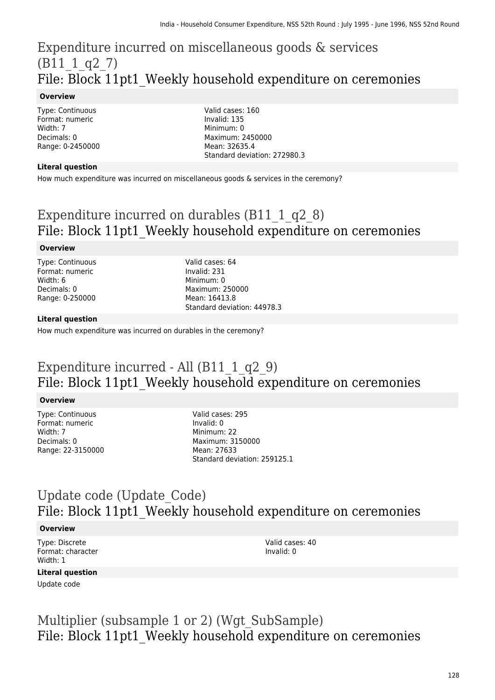### Expenditure incurred on miscellaneous goods & services (B11\_1\_q2\_7) File: Block 11pt1\_Weekly household expenditure on ceremonies

#### **Overview**

Type: Continuous Format: numeric Width: 7 Decimals: 0 Range: 0-2450000

Valid cases: 160 Invalid: 135 Minimum: 0 Maximum: 2450000 Mean: 32635.4 Standard deviation: 272980.3

#### **Literal question**

How much expenditure was incurred on miscellaneous goods & services in the ceremony?

### Expenditure incurred on durables (B11\_1\_q2\_8) File: Block 11pt1 Weekly household expenditure on ceremonies

#### **Overview**

Type: Continuous Format: numeric Width: 6 Decimals: 0 Range: 0-250000

Valid cases: 64 Invalid: 231 Minimum: 0 Maximum: 250000 Mean: 16413.8 Standard deviation: 44978.3

#### **Literal question**

How much expenditure was incurred on durables in the ceremony?

### Expenditure incurred - All (B11\_1\_q2\_9) File: Block 11pt1\_Weekly household expenditure on ceremonies

#### **Overview**

Type: Continuous Format: numeric Width: 7 Decimals: 0 Range: 22-3150000 Valid cases: 295 Invalid: 0 Minimum: 22 Maximum: 3150000 Mean: 27633 Standard deviation: 259125.1

### Update code (Update\_Code) File: Block 11pt1 Weekly household expenditure on ceremonies

Valid cases: 40 Invalid: 0

#### **Overview**

Type: Discrete Format: character Width: 1

#### **Literal question**

Update code

Multiplier (subsample 1 or 2) (Wgt\_SubSample) File: Block 11pt1\_Weekly household expenditure on ceremonies

128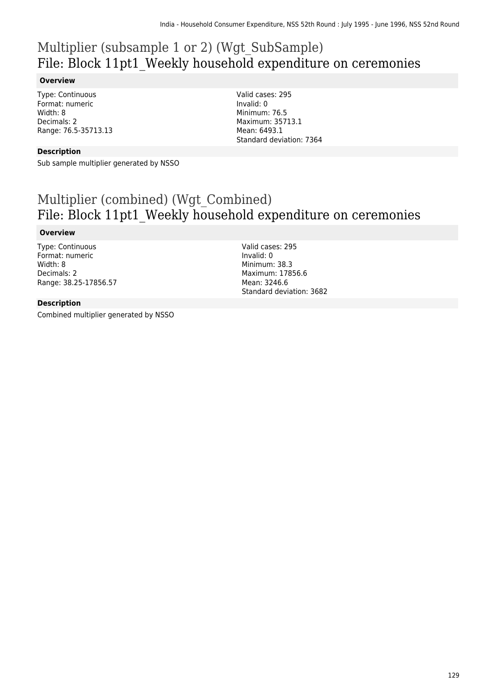# Multiplier (subsample 1 or 2) (Wgt\_SubSample) File: Block 11pt1\_Weekly household expenditure on ceremonies

#### **Overview**

Type: Continuous Format: numeric Width: 8 Decimals: 2 Range: 76.5-35713.13

#### **Description**

Sub sample multiplier generated by NSSO

Valid cases: 295 Invalid: 0 Minimum: 76.5 Maximum: 35713.1 Mean: 6493.1 Standard deviation: 7364

### Multiplier (combined) (Wgt\_Combined) File: Block 11pt1\_Weekly household expenditure on ceremonies

#### **Overview**

Type: Continuous Format: numeric Width: 8 Decimals: 2 Range: 38.25-17856.57

#### **Description**

Combined multiplier generated by NSSO

Valid cases: 295 Invalid: 0 Minimum: 38.3 Maximum: 17856.6 Mean: 3246.6 Standard deviation: 3682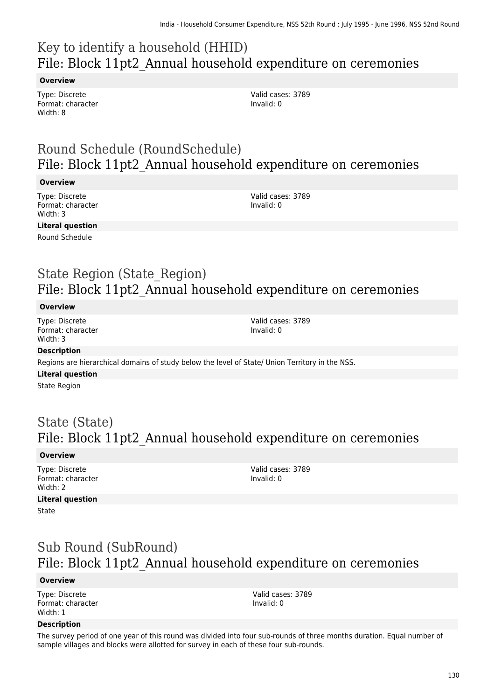# Key to identify a household (HHID) File: Block 11pt2\_Annual household expenditure on ceremonies

**Overview**

Type: Discrete Format: character Width: 8

Valid cases: 3789 Invalid: 0

# Round Schedule (RoundSchedule) File: Block 11pt2\_Annual household expenditure on ceremonies

**Overview**

Type: Discrete Format: character Width: 3

Valid cases: 3789 Invalid: 0

#### **Literal question**

Round Schedule

### State Region (State\_Region) File: Block 11pt2\_Annual household expenditure on ceremonies

#### **Overview**

Type: Discrete Format: character Width: 3

Valid cases: 3789 Invalid: 0

### **Description**

Regions are hierarchical domains of study below the level of State/ Union Territory in the NSS.

**Literal question**

State Region

### State (State) File: Block 11pt2\_Annual household expenditure on ceremonies

#### **Overview**

**State** 

Type: Discrete Format: character Width: 2

**Literal question**

Valid cases: 3789 Invalid: 0

# Sub Round (SubRound) File: Block 11pt2\_Annual household expenditure on ceremonies

#### **Overview**

Type: Discrete Format: character Width: 1

Valid cases: 3789 Invalid: 0

#### **Description**

The survey period of one year of this round was divided into four sub-rounds of three months duration. Equal number of sample villages and blocks were allotted for survey in each of these four sub-rounds.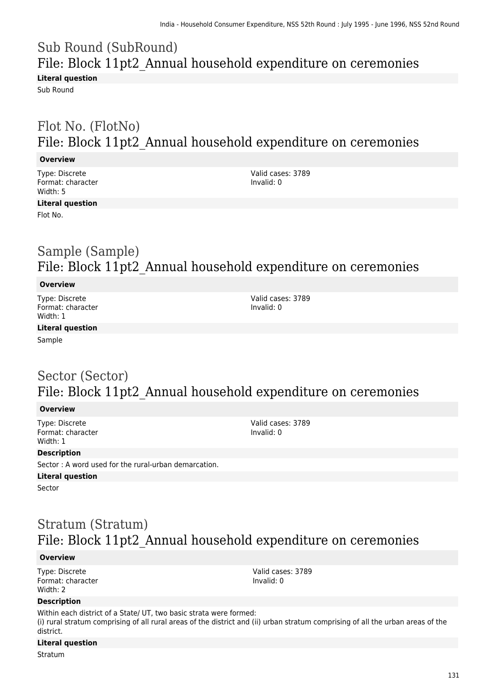### Sub Round (SubRound) File: Block 11pt2\_Annual household expenditure on ceremonies **Literal question**

Sub Round

### Flot No. (FlotNo) File: Block 11pt2\_Annual household expenditure on ceremonies

#### **Overview**

Type: Discrete Format: character Width: 5

Valid cases: 3789 Invalid: 0

**Literal question**

Flot No.

### Sample (Sample) File: Block 11pt2\_Annual household expenditure on ceremonies

#### **Overview**

Type: Discrete Format: character Width: 1

Valid cases: 3789 Invalid: 0

### **Literal question**

Sample

### Sector (Sector) File: Block 11pt2\_Annual household expenditure on ceremonies

#### **Overview**

Type: Discrete Format: character Width: 1

Valid cases: 3789 Invalid: 0

#### **Description**

Sector : A word used for the rural-urban demarcation.

#### **Literal question**

Sector

### Stratum (Stratum) File: Block 11pt2\_Annual household expenditure on ceremonies

#### **Overview**

Type: Discrete Format: character Width: 2

Valid cases: 3789 Invalid: 0

#### **Description**

Within each district of a State/ UT, two basic strata were formed: (i) rural stratum comprising of all rural areas of the district and (ii) urban stratum comprising of all the urban areas of the district.

#### **Literal question**

Stratum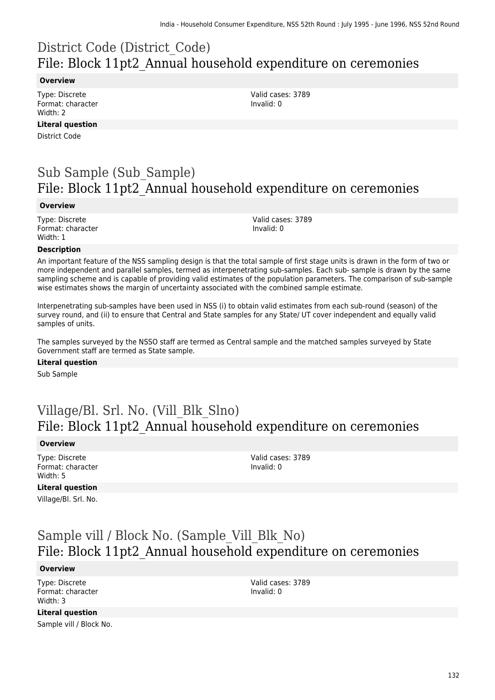# District Code (District\_Code) File: Block 11pt2\_Annual household expenditure on ceremonies

**Overview**

Type: Discrete Format: character Width: 2

#### **Literal question**

District Code

Valid cases: 3789 Invalid: 0

# Sub Sample (Sub\_Sample) File: Block 11pt2\_Annual household expenditure on ceremonies

#### **Overview**

Type: Discrete Format: character Width: 1

Valid cases: 3789 Invalid: 0

#### **Description**

An important feature of the NSS sampling design is that the total sample of first stage units is drawn in the form of two or more independent and parallel samples, termed as interpenetrating sub-samples. Each sub- sample is drawn by the same sampling scheme and is capable of providing valid estimates of the population parameters. The comparison of sub-sample wise estimates shows the margin of uncertainty associated with the combined sample estimate.

Interpenetrating sub-samples have been used in NSS (i) to obtain valid estimates from each sub-round (season) of the survey round, and (ii) to ensure that Central and State samples for any State/ UT cover independent and equally valid samples of units.

The samples surveyed by the NSSO staff are termed as Central sample and the matched samples surveyed by State Government staff are termed as State sample.

#### **Literal question**

Sub Sample

### Village/Bl. Srl. No. (Vill\_Blk\_Slno) File: Block 11pt2\_Annual household expenditure on ceremonies

#### **Overview**

Type: Discrete Format: character Width: 5

Valid cases: 3789 Invalid: 0

#### **Literal question**

Village/Bl. Srl. No.

### Sample vill / Block No. (Sample\_Vill\_Blk\_No) File: Block 11pt2\_Annual household expenditure on ceremonies

#### **Overview**

Type: Discrete Format: character Width: 3

#### **Literal question**

Sample vill / Block No.

Valid cases: 3789 Invalid: 0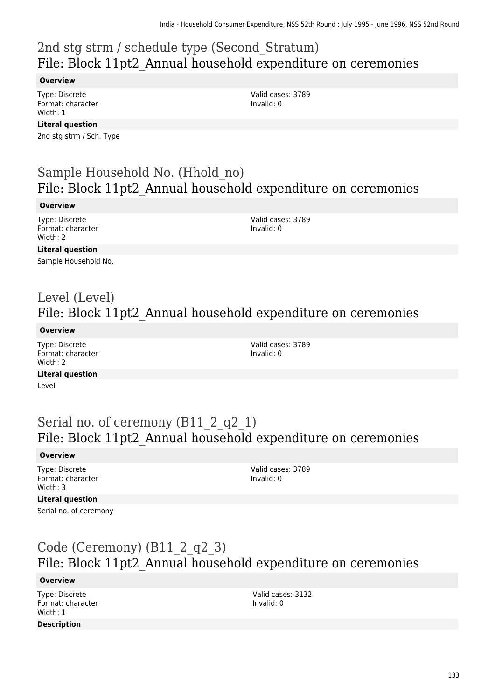# 2nd stg strm / schedule type (Second\_Stratum) File: Block 11pt2\_Annual household expenditure on ceremonies

#### **Overview**

Type: Discrete Format: character Width: 1

#### **Literal question**

2nd stg strm / Sch. Type

Valid cases: 3789 Invalid: 0

Valid cases: 3789

Invalid: 0

### Sample Household No. (Hhold\_no) File: Block 11pt2\_Annual household expenditure on ceremonies

#### **Overview**

Type: Discrete Format: character Width: 2

#### **Literal question**

Sample Household No.

# Level (Level) File: Block 11pt2\_Annual household expenditure on ceremonies

#### **Overview**

Type: Discrete Format: character Width: 2

Valid cases: 3789 Invalid: 0

### **Literal question**

Level

### Serial no. of ceremony (B11\_2\_q2\_1) File: Block 11pt2\_Annual household expenditure on ceremonies

#### **Overview**

Type: Discrete Format: character Width: 3

Valid cases: 3789 Invalid: 0

#### **Literal question**

Serial no. of ceremony

### Code (Ceremony) (B11\_2\_q2\_3) File: Block 11pt2\_Annual household expenditure on ceremonies

#### **Overview**

Type: Discrete Format: character Width: 1

**Description**

Valid cases: 3132 Invalid: 0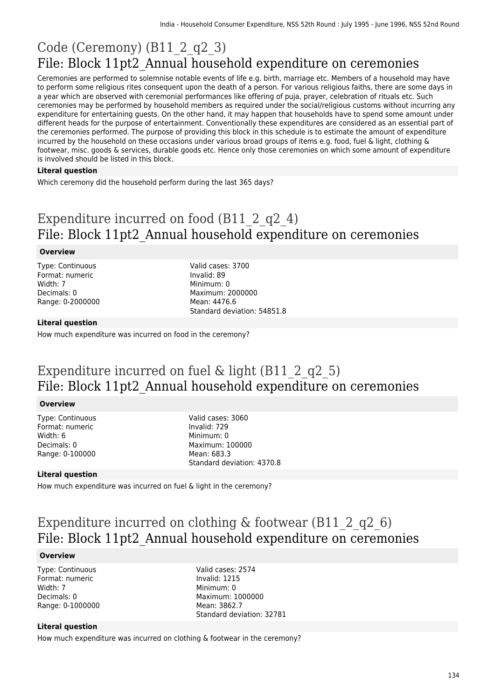# Code (Ceremony) (B11\_2\_q2\_3) File: Block 11pt2\_Annual household expenditure on ceremonies

Ceremonies are performed to solemnise notable events of life e.g. birth, marriage etc. Members of a household may have to perform some religious rites consequent upon the death of a person. For various religious faiths, there are some days in a year which are observed with ceremonial performances like offering of puja, prayer, celebration of rituals etc. Such ceremonies may be performed by household members as required under the social/religious customs without incurring any expenditure for entertaining guests. On the other hand, it may happen that households have to spend some amount under different heads for the purpose of entertainment. Conventionally these expenditures are considered as an essential part of the ceremonies performed. The purpose of providing this block in this schedule is to estimate the amount of expenditure incurred by the household on these occasions under various broad groups of items e.g. food, fuel & light, clothing & footwear, misc. goods & services, durable goods etc. Hence only those ceremonies on which some amount of expenditure is involved should be listed in this block.

#### **Literal question**

Which ceremony did the household perform during the last 365 days?

# Expenditure incurred on food (B11\_2\_q2\_4) File: Block 11pt2\_Annual household expenditure on ceremonies

#### **Overview**

Type: Continuous Format: numeric Width: 7 Decimals: 0 Range: 0-2000000 Valid cases: 3700 Invalid: 89 Minimum: 0 Maximum: 2000000 Mean: 4476.6 Standard deviation: 54851.8

#### **Literal question**

How much expenditure was incurred on food in the ceremony?

### Expenditure incurred on fuel  $\&$  light (B11\_2\_q2\_5) File: Block 11pt2\_Annual household expenditure on ceremonies

#### **Overview**

Type: Continuous Format: numeric Width: 6 Decimals: 0 Range: 0-100000

Valid cases: 3060 Invalid: 729 Minimum: 0 Maximum: 100000 Mean: 683.3 Standard deviation: 4370.8

#### **Literal question**

How much expenditure was incurred on fuel & light in the ceremony?

### Expenditure incurred on clothing  $\&$  footwear (B11\_2\_q2\_6) File: Block 11pt2\_Annual household expenditure on ceremonies

#### **Overview**

Type: Continuous Format: numeric Width: 7 Decimals: 0 Range: 0-1000000

Valid cases: 2574 Invalid: 1215 Minimum: 0 Maximum: 1000000 Mean: 3862.7 Standard deviation: 32781

#### **Literal question**

How much expenditure was incurred on clothing & footwear in the ceremony?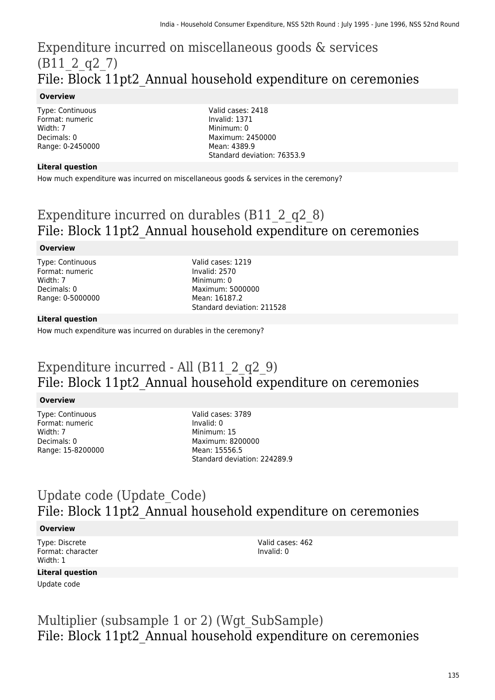### Expenditure incurred on miscellaneous goods & services (B11\_2\_q2\_7) File: Block 11pt2\_Annual household expenditure on ceremonies

#### **Overview**

Type: Continuous Format: numeric Width: 7 Decimals: 0 Range: 0-2450000 Valid cases: 2418 Invalid: 1371 Minimum: 0 Maximum: 2450000 Mean: 4389.9 Standard deviation: 76353.9

#### **Literal question**

How much expenditure was incurred on miscellaneous goods & services in the ceremony?

### Expenditure incurred on durables (B11\_2\_q2\_8) File: Block 11pt2 Annual household expenditure on ceremonies

#### **Overview**

Type: Continuous Format: numeric Width: 7 Decimals: 0 Range: 0-5000000 Valid cases: 1219 Invalid: 2570 Minimum: 0 Maximum: 5000000 Mean: 16187.2 Standard deviation: 211528

#### **Literal question**

How much expenditure was incurred on durables in the ceremony?

### Expenditure incurred - All (B11\_2\_q2\_9) File: Block 11pt2\_Annual household expenditure on ceremonies

#### **Overview**

Type: Continuous Format: numeric Width: 7 Decimals: 0 Range: 15-8200000 Valid cases: 3789 Invalid: 0 Minimum: 15 Maximum: 8200000 Mean: 15556.5 Standard deviation: 224289.9

### Update code (Update\_Code) File: Block 11pt2\_Annual household expenditure on ceremonies

#### **Overview**

Type: Discrete Format: character Width: 1

#### **Literal question**

Update code

Valid cases: 462 Invalid: 0

Multiplier (subsample 1 or 2) (Wgt\_SubSample) File: Block 11pt2\_Annual household expenditure on ceremonies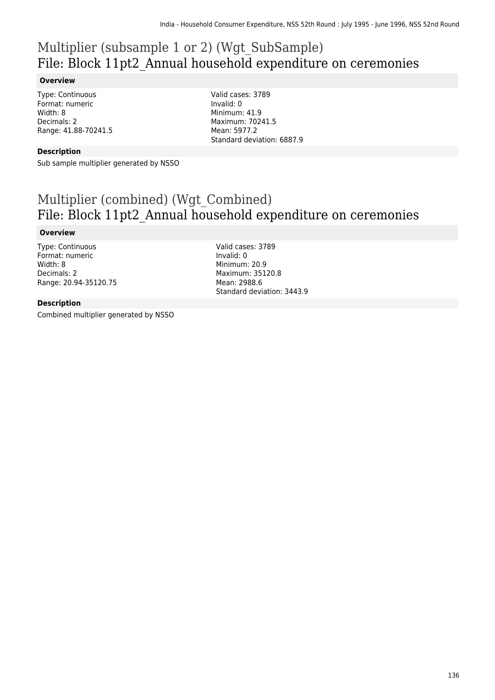# Multiplier (subsample 1 or 2) (Wgt\_SubSample) File: Block 11pt2\_Annual household expenditure on ceremonies

#### **Overview**

Type: Continuous Format: numeric Width: 8 Decimals: 2 Range: 41.88-70241.5 Valid cases: 3789 Invalid: 0 Minimum: 41.9 Maximum: 70241.5 Mean: 5977.2 Standard deviation: 6887.9

#### **Description**

Sub sample multiplier generated by NSSO

### Multiplier (combined) (Wgt\_Combined) File: Block 11pt2 Annual household expenditure on ceremonies

#### **Overview**

Type: Continuous Format: numeric Width: 8 Decimals: 2 Range: 20.94-35120.75 Valid cases: 3789 Invalid: 0 Minimum: 20.9 Maximum: 35120.8 Mean: 2988.6 Standard deviation: 3443.9

#### **Description**

Combined multiplier generated by NSSO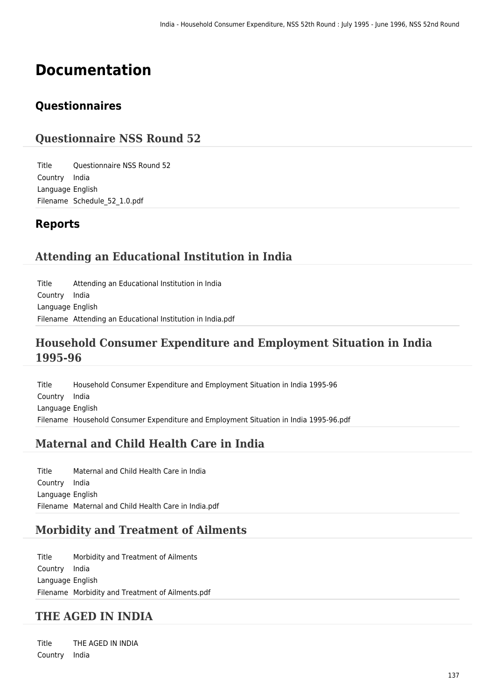# **Documentation**

### **Questionnaires**

### **Questionnaire NSS Round 52**

Title Questionnaire NSS Round 52 Country India Language English Filename Schedule\_52\_1.0.pdf

### **Reports**

### **Attending an Educational Institution in India**

Title Attending an Educational Institution in India Country India Language English Filename Attending an Educational Institution in India.pdf

### **Household Consumer Expenditure and Employment Situation in India 1995-96**

Title Household Consumer Expenditure and Employment Situation in India 1995-96 Country India Language English Filename Household Consumer Expenditure and Employment Situation in India 1995-96.pdf

### **Maternal and Child Health Care in India**

Title Maternal and Child Health Care in India Country India Language English Filename Maternal and Child Health Care in India.pdf

### **Morbidity and Treatment of Ailments**

Title Morbidity and Treatment of Ailments Country India Language English Filename Morbidity and Treatment of Ailments.pdf

### **THE AGED IN INDIA**

Title THE AGED IN INDIA Country India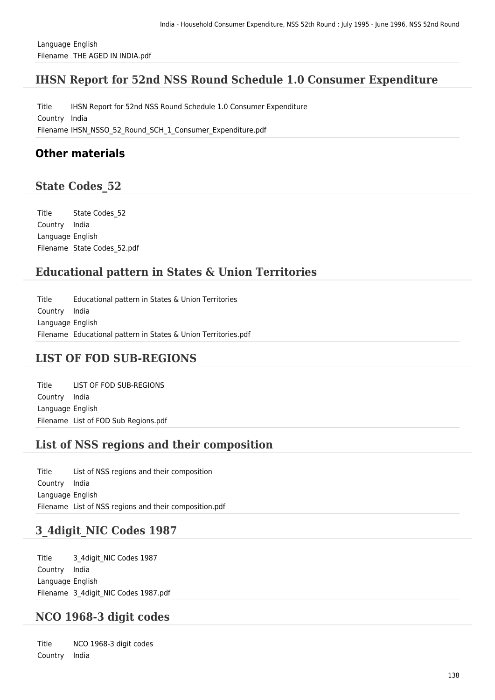### **IHSN Report for 52nd NSS Round Schedule 1.0 Consumer Expenditure**

Title IHSN Report for 52nd NSS Round Schedule 1.0 Consumer Expenditure Country India Filename IHSN\_NSSO\_52\_Round\_SCH\_1\_Consumer\_Expenditure.pdf

### **Other materials**

### **State Codes\_52**

Title State Codes\_52 Country India Language English Filename State Codes\_52.pdf

### **Educational pattern in States & Union Territories**

Title Educational pattern in States & Union Territories Country India Language English Filename Educational pattern in States & Union Territories.pdf

### **LIST OF FOD SUB-REGIONS**

Title LIST OF FOD SUB-REGIONS Country India Language English Filename List of FOD Sub Regions.pdf

### **List of NSS regions and their composition**

Title List of NSS regions and their composition Country India Language English Filename List of NSS regions and their composition.pdf

### **3\_4digit\_NIC Codes 1987**

Title 3 4digit NIC Codes 1987 Country India Language English Filename 3\_4digit\_NIC Codes 1987.pdf

### **NCO 1968-3 digit codes**

Title NCO 1968-3 digit codes Country India